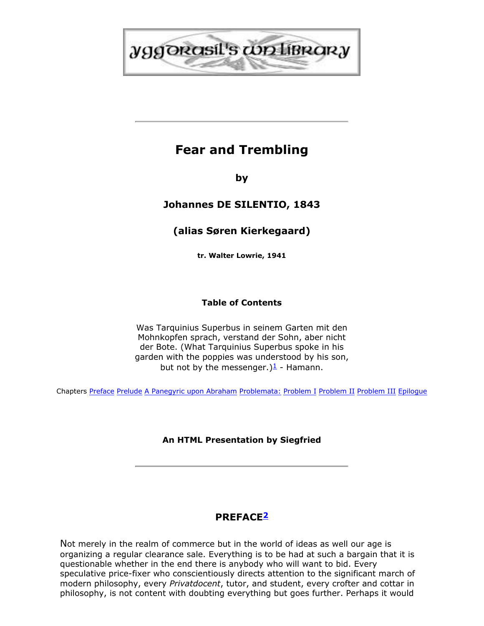*yggorasil's wn LiBrary* 

## **Fear and Trembling**

**by**

**Johannes DE SILENTIO, 1843**

**(alias Søren Kierkegaard)**

**tr. Walter Lowrie, 1941**

#### **Table of Contents**

Was Tarquinius Superbus in seinem Garten mit den Mohnkopfen sprach, verstand der Sohn, aber nicht der Bote. (What Tarquinius Superbus spoke in his garden with the poppies was understood by his son, but not by the messenger.) $\frac{1}{2}$  - Hamann.

Chapters [Preface](#page-0-0) [Prelude](#page-2-0) [A Panegyric upon Abraham](#page-4-0) [Problemata:](#page-9-0) [Problem I](#page-23-0) [Problem II](#page-30-0) [Problem III](#page-38-0) [Epilogue](#page-59-0)

**An HTML Presentation by Siegfried**

### **PREFACE[2](#page-61-1)**

<span id="page-0-0"></span>Not merely in the realm of commerce but in the world of ideas as well our age is organizing a regular clearance sale. Everything is to be had at such a bargain that it is questionable whether in the end there is anybody who will want to bid. Every speculative price-fixer who conscientiously directs attention to the significant march of modern philosophy, every *Privatdocent*, tutor, and student, every crofter and cottar in philosophy, is not content with doubting everything but goes further. Perhaps it would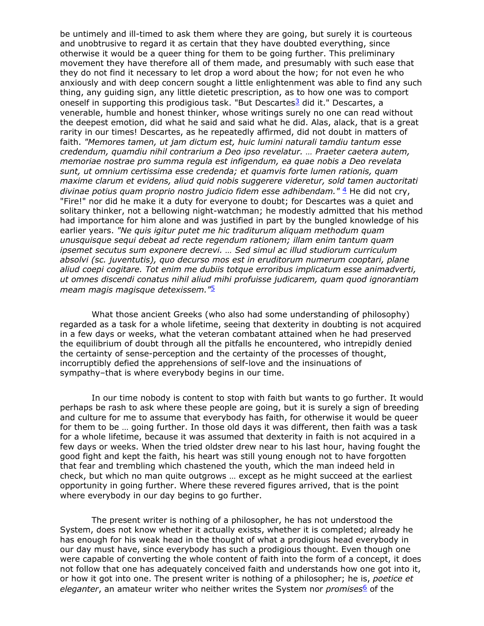be untimely and ill-timed to ask them where they are going, but surely it is courteous and unobtrusive to regard it as certain that they have doubted everything, since otherwise it would be a queer thing for them to be going further. This preliminary movement they have therefore all of them made, and presumably with such ease that they do not find it necessary to let drop a word about the how; for not even he who anxiously and with deep concern sought a little enlightenment was able to find any such thing, any guiding sign, any little dietetic prescription, as to how one was to comport oneself in supporting this prodigious task. "But Descartes<sup>3</sup> did it." Descartes, a venerable, humble and honest thinker, whose writings surely no one can read without the deepest emotion, did what he said and said what he did. Alas, alack, that is a great rarity in our times! Descartes, as he repeatedly affirmed, did not doubt in matters of faith. *"Memores tamen, ut jam dictum est, huic lumini naturali tamdiu tantum esse credendum, quamdiu nihil contrarium a Deo ipso revelatur. … Praeter caetera autem, memoriae nostrae pro summa regula est infigendum, ea quae nobis a Deo revelata sunt, ut omnium certissima esse credenda; et quamvis forte lumen rationis, quam maxime clarum et evidens, aliud quid nobis suggerere videretur, sold tamen auctoritati divinae potius quam proprio nostro judicio fidem esse adhibendam."* [4](#page-61-3) He did not cry, "Fire!" nor did he make it a duty for everyone to doubt; for Descartes was a quiet and solitary thinker, not a bellowing night-watchman; he modestly admitted that his method had importance for him alone and was justified in part by the bungled knowledge of his earlier years. *"Ne quis igitur putet me hic traditurum aliquam methodum quam unusquisque sequi debeat ad recte regendum rationem; illam enim tantum quam ipsemet secutus sum exponere decrevi. … Sed simul ac illud studiorum curriculum absolvi (sc. juventutis), quo decurso mos est in eruditorum numerum cooptari, plane aliud coepi cogitare. Tot enim me dubiis totque erroribus implicatum esse animadverti, ut omnes discendi conatus nihil aliud mihi profuisse judicarem, quam quod ignorantiam meam magis magisque detexissem."*[5](#page-61-4)

What those ancient Greeks (who also had some understanding of philosophy) regarded as a task for a whole lifetime, seeing that dexterity in doubting is not acquired in a few days or weeks, what the veteran combatant attained when he had preserved the equilibrium of doubt through all the pitfalls he encountered, who intrepidly denied the certainty of sense-perception and the certainty of the processes of thought, incorruptibly defied the apprehensions of self-love and the insinuations of sympathy–that is where everybody begins in our time.

In our time nobody is content to stop with faith but wants to go further. It would perhaps be rash to ask where these people are going, but it is surely a sign of breeding and culture for me to assume that everybody has faith, for otherwise it would be queer for them to be … going further. In those old days it was different, then faith was a task for a whole lifetime, because it was assumed that dexterity in faith is not acquired in a few days or weeks. When the tried oldster drew near to his last hour, having fought the good fight and kept the faith, his heart was still young enough not to have forgotten that fear and trembling which chastened the youth, which the man indeed held in check, but which no man quite outgrows … except as he might succeed at the earliest opportunity in going further. Where these revered figures arrived, that is the point where everybody in our day begins to go further.

The present writer is nothing of a philosopher, he has not understood the System, does not know whether it actually exists, whether it is completed; already he has enough for his weak head in the thought of what a prodigious head everybody in our day must have, since everybody has such a prodigious thought. Even though one were capable of converting the whole content of faith into the form of a concept, it does not follow that one has adequately conceived faith and understands how one got into it, or how it got into one. The present writer is nothing of a philosopher; he is, *poetice et eleganter*, an amateur writer who neither writes the System nor *promises*[6](#page-61-5) of the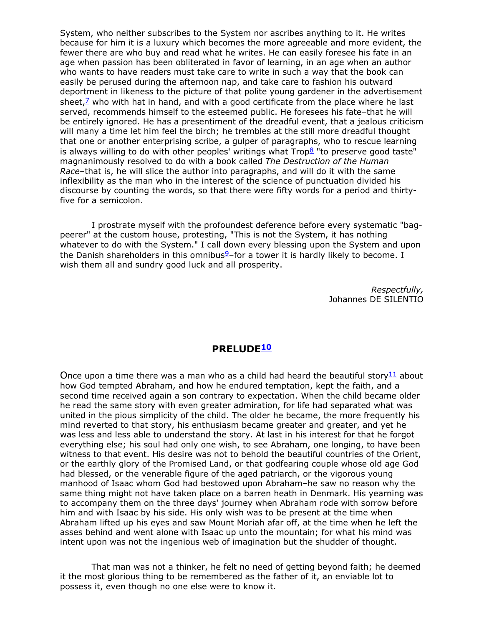System, who neither subscribes to the System nor ascribes anything to it. He writes because for him it is a luxury which becomes the more agreeable and more evident, the fewer there are who buy and read what he writes. He can easily foresee his fate in an age when passion has been obliterated in favor of learning, in an age when an author who wants to have readers must take care to write in such a way that the book can easily be perused during the afternoon nap, and take care to fashion his outward deportment in likeness to the picture of that polite young gardener in the advertisement sheet, $\overline{2}$  who with hat in hand, and with a good certificate from the place where he last served, recommends himself to the esteemed public. He foresees his fate–that he will be entirely ignored. He has a presentiment of the dreadful event, that a jealous criticism will many a time let him feel the birch; he trembles at the still more dreadful thought that one or another enterprising scribe, a gulper of paragraphs, who to rescue learning is always willing to do with other peoples' writings what  $Trop<sup>8</sup>$  "to preserve good taste" magnanimously resolved to do with a book called *The Destruction of the Human Race*–that is, he will slice the author into paragraphs, and will do it with the same inflexibility as the man who in the interest of the science of punctuation divided his discourse by counting the words, so that there were fifty words for a period and thirtyfive for a semicolon.

I prostrate myself with the profoundest deference before every systematic "bagpeerer" at the custom house, protesting, "This is not the System, it has nothing whatever to do with the System." I call down every blessing upon the System and upon the Danish shareholders in this omnibus $9-$ for a tower it is hardly likely to become. I wish them all and sundry good luck and all prosperity.

> *Respectfully,* Johannes DE SILENTIO

#### **PRELUD[E10](#page-62-2)**

<span id="page-2-0"></span>Once upon a time there was a man who as a child had heard the beautiful story  $11$  about how God tempted Abraham, and how he endured temptation, kept the faith, and a second time received again a son contrary to expectation. When the child became older he read the same story with even greater admiration, for life had separated what was united in the pious simplicity of the child. The older he became, the more frequently his mind reverted to that story, his enthusiasm became greater and greater, and yet he was less and less able to understand the story. At last in his interest for that he forgot everything else; his soul had only one wish, to see Abraham, one longing, to have been witness to that event. His desire was not to behold the beautiful countries of the Orient, or the earthly glory of the Promised Land, or that godfearing couple whose old age God had blessed, or the venerable figure of the aged patriarch, or the vigorous young manhood of Isaac whom God had bestowed upon Abraham–he saw no reason why the same thing might not have taken place on a barren heath in Denmark. His yearning was to accompany them on the three days' journey when Abraham rode with sorrow before him and with Isaac by his side. His only wish was to be present at the time when Abraham lifted up his eyes and saw Mount Moriah afar off, at the time when he left the asses behind and went alone with Isaac up unto the mountain; for what his mind was intent upon was not the ingenious web of imagination but the shudder of thought.

That man was not a thinker, he felt no need of getting beyond faith; he deemed it the most glorious thing to be remembered as the father of it, an enviable lot to possess it, even though no one else were to know it.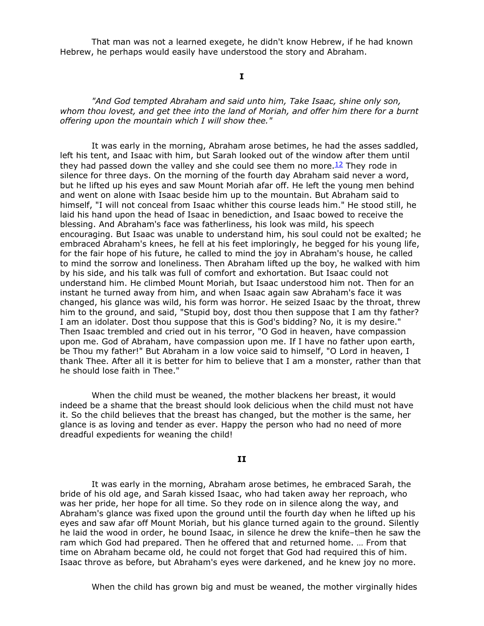That man was not a learned exegete, he didn't know Hebrew, if he had known Hebrew, he perhaps would easily have understood the story and Abraham.

**I**

*"And God tempted Abraham and said unto him, Take Isaac, shine only son, whom thou lovest, and get thee into the land of Moriah, and offer him there for a burnt offering upon the mountain which I will show thee."*

It was early in the morning, Abraham arose betimes, he had the asses saddled, left his tent, and Isaac with him, but Sarah looked out of the window after them until they had passed down the valley and she could see them no more.<sup>[12](#page-62-3)</sup> They rode in silence for three days. On the morning of the fourth day Abraham said never a word, but he lifted up his eyes and saw Mount Moriah afar off. He left the young men behind and went on alone with Isaac beside him up to the mountain. But Abraham said to himself, "I will not conceal from Isaac whither this course leads him." He stood still, he laid his hand upon the head of Isaac in benediction, and Isaac bowed to receive the blessing. And Abraham's face was fatherliness, his look was mild, his speech encouraging. But Isaac was unable to understand him, his soul could not be exalted; he embraced Abraham's knees, he fell at his feet imploringly, he begged for his young life, for the fair hope of his future, he called to mind the joy in Abraham's house, he called to mind the sorrow and loneliness. Then Abraham lifted up the boy, he walked with him by his side, and his talk was full of comfort and exhortation. But Isaac could not understand him. He climbed Mount Moriah, but Isaac understood him not. Then for an instant he turned away from him, and when Isaac again saw Abraham's face it was changed, his glance was wild, his form was horror. He seized Isaac by the throat, threw him to the ground, and said, "Stupid boy, dost thou then suppose that I am thy father? I am an idolater. Dost thou suppose that this is God's bidding? No, it is my desire." Then Isaac trembled and cried out in his terror, "O God in heaven, have compassion upon me. God of Abraham, have compassion upon me. If I have no father upon earth, be Thou my father!" But Abraham in a low voice said to himself, "O Lord in heaven, I thank Thee. After all it is better for him to believe that I am a monster, rather than that he should lose faith in Thee."

When the child must be weaned, the mother blackens her breast, it would indeed be a shame that the breast should look delicious when the child must not have it. So the child believes that the breast has changed, but the mother is the same, her glance is as loving and tender as ever. Happy the person who had no need of more dreadful expedients for weaning the child!

#### **II**

It was early in the morning, Abraham arose betimes, he embraced Sarah, the bride of his old age, and Sarah kissed Isaac, who had taken away her reproach, who was her pride, her hope for all time. So they rode on in silence along the way, and Abraham's glance was fixed upon the ground until the fourth day when he lifted up his eyes and saw afar off Mount Moriah, but his glance turned again to the ground. Silently he laid the wood in order, he bound Isaac, in silence he drew the knife–then he saw the ram which God had prepared. Then he offered that and returned home. … From that time on Abraham became old, he could not forget that God had required this of him. Isaac throve as before, but Abraham's eyes were darkened, and he knew joy no more.

When the child has grown big and must be weaned, the mother virginally hides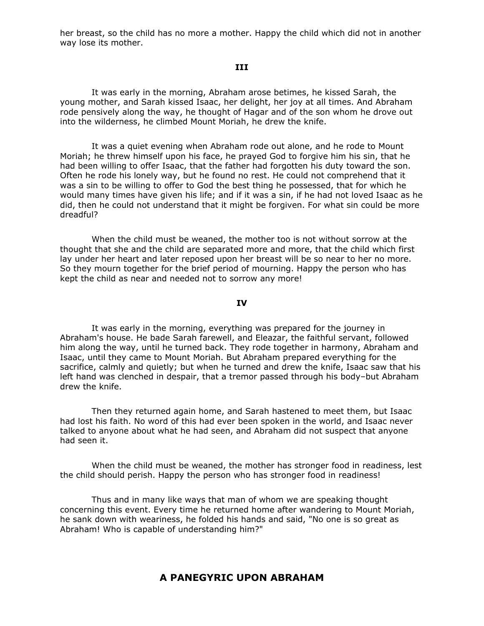her breast, so the child has no more a mother. Happy the child which did not in another way lose its mother.

#### **III**

It was early in the morning, Abraham arose betimes, he kissed Sarah, the young mother, and Sarah kissed Isaac, her delight, her joy at all times. And Abraham rode pensively along the way, he thought of Hagar and of the son whom he drove out into the wilderness, he climbed Mount Moriah, he drew the knife.

It was a quiet evening when Abraham rode out alone, and he rode to Mount Moriah; he threw himself upon his face, he prayed God to forgive him his sin, that he had been willing to offer Isaac, that the father had forgotten his duty toward the son. Often he rode his lonely way, but he found no rest. He could not comprehend that it was a sin to be willing to offer to God the best thing he possessed, that for which he would many times have given his life; and if it was a sin, if he had not loved Isaac as he did, then he could not understand that it might be forgiven. For what sin could be more dreadful?

When the child must be weaned, the mother too is not without sorrow at the thought that she and the child are separated more and more, that the child which first lay under her heart and later reposed upon her breast will be so near to her no more. So they mourn together for the brief period of mourning. Happy the person who has kept the child as near and needed not to sorrow any more!

#### **IV**

It was early in the morning, everything was prepared for the journey in Abraham's house. He bade Sarah farewell, and Eleazar, the faithful servant, followed him along the way, until he turned back. They rode together in harmony, Abraham and Isaac, until they came to Mount Moriah. But Abraham prepared everything for the sacrifice, calmly and quietly; but when he turned and drew the knife, Isaac saw that his left hand was clenched in despair, that a tremor passed through his body–but Abraham drew the knife.

Then they returned again home, and Sarah hastened to meet them, but Isaac had lost his faith. No word of this had ever been spoken in the world, and Isaac never talked to anyone about what he had seen, and Abraham did not suspect that anyone had seen it.

When the child must be weaned, the mother has stronger food in readiness, lest the child should perish. Happy the person who has stronger food in readiness!

<span id="page-4-0"></span>Thus and in many like ways that man of whom we are speaking thought concerning this event. Every time he returned home after wandering to Mount Moriah, he sank down with weariness, he folded his hands and said, "No one is so great as Abraham! Who is capable of understanding him?"

#### **A PANEGYRIC UPON ABRAHAM**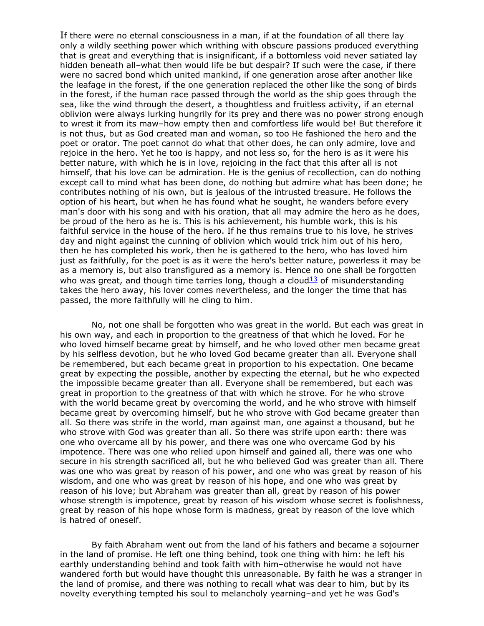If there were no eternal consciousness in a man, if at the foundation of all there lay only a wildly seething power which writhing with obscure passions produced everything that is great and everything that is insignificant, if a bottomless void never satiated lay hidden beneath all–what then would life be but despair? If such were the case, if there were no sacred bond which united mankind, if one generation arose after another like the leafage in the forest, if the one generation replaced the other like the song of birds in the forest, if the human race passed through the world as the ship goes through the sea, like the wind through the desert, a thoughtless and fruitless activity, if an eternal oblivion were always lurking hungrily for its prey and there was no power strong enough to wrest it from its maw–how empty then and comfortless life would be! But therefore it is not thus, but as God created man and woman, so too He fashioned the hero and the poet or orator. The poet cannot do what that other does, he can only admire, love and rejoice in the hero. Yet he too is happy, and not less so, for the hero is as it were his better nature, with which he is in love, rejoicing in the fact that this after all is not himself, that his love can be admiration. He is the genius of recollection, can do nothing except call to mind what has been done, do nothing but admire what has been done; he contributes nothing of his own, but is jealous of the intrusted treasure. He follows the option of his heart, but when he has found what he sought, he wanders before every man's door with his song and with his oration, that all may admire the hero as he does, be proud of the hero as he is. This is his achievement, his humble work, this is his faithful service in the house of the hero. If he thus remains true to his love, he strives day and night against the cunning of oblivion which would trick him out of his hero, then he has completed his work, then he is gathered to the hero, who has loved him just as faithfully, for the poet is as it were the hero's better nature, powerless it may be as a memory is, but also transfigured as a memory is. Hence no one shall be forgotten who was great, and though time tarries long, though a cloud<sup>13</sup> of misunderstanding takes the hero away, his lover comes nevertheless, and the longer the time that has passed, the more faithfully will he cling to him.

No, not one shall be forgotten who was great in the world. But each was great in his own way, and each in proportion to the greatness of that which he loved. For he who loved himself became great by himself, and he who loved other men became great by his selfless devotion, but he who loved God became greater than all. Everyone shall be remembered, but each became great in proportion to his expectation. One became great by expecting the possible, another by expecting the eternal, but he who expected the impossible became greater than all. Everyone shall be remembered, but each was great in proportion to the greatness of that with which he strove. For he who strove with the world became great by overcoming the world, and he who strove with himself became great by overcoming himself, but he who strove with God became greater than all. So there was strife in the world, man against man, one against a thousand, but he who strove with God was greater than all. So there was strife upon earth: there was one who overcame all by his power, and there was one who overcame God by his impotence. There was one who relied upon himself and gained all, there was one who secure in his strength sacrificed all, but he who believed God was greater than all. There was one who was great by reason of his power, and one who was great by reason of his wisdom, and one who was great by reason of his hope, and one who was great by reason of his love; but Abraham was greater than all, great by reason of his power whose strength is impotence, great by reason of his wisdom whose secret is foolishness, great by reason of his hope whose form is madness, great by reason of the love which is hatred of oneself.

By faith Abraham went out from the land of his fathers and became a sojourner in the land of promise. He left one thing behind, took one thing with him: he left his earthly understanding behind and took faith with him–otherwise he would not have wandered forth but would have thought this unreasonable. By faith he was a stranger in the land of promise, and there was nothing to recall what was dear to him, but by its novelty everything tempted his soul to melancholy yearning–and yet he was God's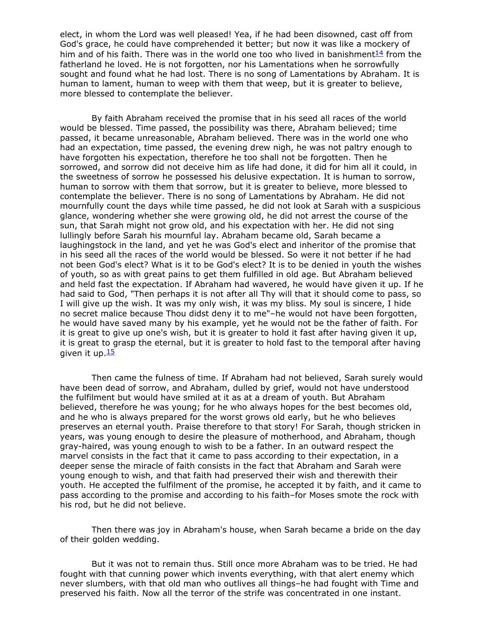elect, in whom the Lord was well pleased! Yea, if he had been disowned, cast off from God's grace, he could have comprehended it better; but now it was like a mockery of him and of his faith. There was in the world one too who lived in banishment $14$  from the fatherland he loved. He is not forgotten, nor his Lamentations when he sorrowfully sought and found what he had lost. There is no song of Lamentations by Abraham. It is human to lament, human to weep with them that weep, but it is greater to believe, more blessed to contemplate the believer.

By faith Abraham received the promise that in his seed all races of the world would be blessed. Time passed, the possibility was there, Abraham believed; time passed, it became unreasonable, Abraham believed. There was in the world one who had an expectation, time passed, the evening drew nigh, he was not paltry enough to have forgotten his expectation, therefore he too shall not be forgotten. Then he sorrowed, and sorrow did not deceive him as life had done, it did for him all it could, in the sweetness of sorrow he possessed his delusive expectation. It is human to sorrow, human to sorrow with them that sorrow, but it is greater to believe, more blessed to contemplate the believer. There is no song of Lamentations by Abraham. He did not mournfully count the days while time passed, he did not look at Sarah with a suspicious glance, wondering whether she were growing old, he did not arrest the course of the sun, that Sarah might not grow old, and his expectation with her. He did not sing lullingly before Sarah his mournful lay. Abraham became old, Sarah became a laughingstock in the land, and yet he was God's elect and inheritor of the promise that in his seed all the races of the world would be blessed. So were it not better if he had not been God's elect? What is it to be God's elect? It is to be denied in youth the wishes of youth, so as with great pains to get them fulfilled in old age. But Abraham believed and held fast the expectation. If Abraham had wavered, he would have given it up. If he had said to God, "Then perhaps it is not after all Thy will that it should come to pass, so I will give up the wish. It was my only wish, it was my bliss. My soul is sincere, I hide no secret malice because Thou didst deny it to me"–he would not have been forgotten, he would have saved many by his example, yet he would not be the father of faith. For it is great to give up one's wish, but it is greater to hold it fast after having given it up, it is great to grasp the eternal, but it is greater to hold fast to the temporal after having given it up. $15$ 

Then came the fulness of time. If Abraham had not believed, Sarah surely would have been dead of sorrow, and Abraham, dulled by grief, would not have understood the fulfilment but would have smiled at it as at a dream of youth. But Abraham believed, therefore he was young; for he who always hopes for the best becomes old, and he who is always prepared for the worst grows old early, but he who believes preserves an eternal youth. Praise therefore to that story! For Sarah, though stricken in years, was young enough to desire the pleasure of motherhood, and Abraham, though gray-haired, was young enough to wish to be a father. In an outward respect the marvel consists in the fact that it came to pass according to their expectation, in a deeper sense the miracle of faith consists in the fact that Abraham and Sarah were young enough to wish, and that faith had preserved their wish and therewith their youth. He accepted the fulfilment of the promise, he accepted it by faith, and it came to pass according to the promise and according to his faith–for Moses smote the rock with his rod, but he did not believe.

Then there was joy in Abraham's house, when Sarah became a bride on the day of their golden wedding.

But it was not to remain thus. Still once more Abraham was to be tried. He had fought with that cunning power which invents everything, with that alert enemy which never slumbers, with that old man who outlives all things–he had fought with Time and preserved his faith. Now all the terror of the strife was concentrated in one instant.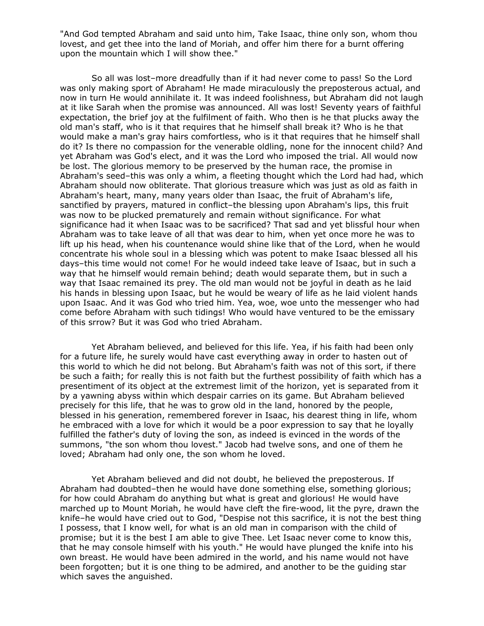"And God tempted Abraham and said unto him, Take Isaac, thine only son, whom thou lovest, and get thee into the land of Moriah, and offer him there for a burnt offering upon the mountain which I will show thee."

So all was lost–more dreadfully than if it had never come to pass! So the Lord was only making sport of Abraham! He made miraculously the preposterous actual, and now in turn He would annihilate it. It was indeed foolishness, but Abraham did not laugh at it like Sarah when the promise was announced. All was lost! Seventy years of faithful expectation, the brief joy at the fulfilment of faith. Who then is he that plucks away the old man's staff, who is it that requires that he himself shall break it? Who is he that would make a man's gray hairs comfortless, who is it that requires that he himself shall do it? Is there no compassion for the venerable oldling, none for the innocent child? And yet Abraham was God's elect, and it was the Lord who imposed the trial. All would now be lost. The glorious memory to be preserved by the human race, the promise in Abraham's seed–this was only a whim, a fleeting thought which the Lord had had, which Abraham should now obliterate. That glorious treasure which was just as old as faith in Abraham's heart, many, many years older than Isaac, the fruit of Abraham's life, sanctified by prayers, matured in conflict–the blessing upon Abraham's lips, this fruit was now to be plucked prematurely and remain without significance. For what significance had it when Isaac was to be sacrificed? That sad and yet blissful hour when Abraham was to take leave of all that was dear to him, when yet once more he was to lift up his head, when his countenance would shine like that of the Lord, when he would concentrate his whole soul in a blessing which was potent to make Isaac blessed all his days–this time would not come! For he would indeed take leave of Isaac, but in such a way that he himself would remain behind; death would separate them, but in such a way that Isaac remained its prey. The old man would not be joyful in death as he laid his hands in blessing upon Isaac, but he would be weary of life as he laid violent hands upon Isaac. And it was God who tried him. Yea, woe, woe unto the messenger who had come before Abraham with such tidings! Who would have ventured to be the emissary of this srrow? But it was God who tried Abraham.

Yet Abraham believed, and believed for this life. Yea, if his faith had been only for a future life, he surely would have cast everything away in order to hasten out of this world to which he did not belong. But Abraham's faith was not of this sort, if there be such a faith; for really this is not faith but the furthest possibility of faith which has a presentiment of its object at the extremest limit of the horizon, yet is separated from it by a yawning abyss within which despair carries on its game. But Abraham believed precisely for this life, that he was to grow old in the land, honored by the people, blessed in his generation, remembered forever in Isaac, his dearest thing in life, whom he embraced with a love for which it would be a poor expression to say that he loyally fulfilled the father's duty of loving the son, as indeed is evinced in the words of the summons, "the son whom thou lovest." Jacob had twelve sons, and one of them he loved; Abraham had only one, the son whom he loved.

Yet Abraham believed and did not doubt, he believed the preposterous. If Abraham had doubted–then he would have done something else, something glorious; for how could Abraham do anything but what is great and glorious! He would have marched up to Mount Moriah, he would have cleft the fire-wood, lit the pyre, drawn the knife–he would have cried out to God, "Despise not this sacrifice, it is not the best thing I possess, that I know well, for what is an old man in comparison with the child of promise; but it is the best I am able to give Thee. Let Isaac never come to know this, that he may console himself with his youth." He would have plunged the knife into his own breast. He would have been admired in the world, and his name would not have been forgotten; but it is one thing to be admired, and another to be the guiding star which saves the anguished.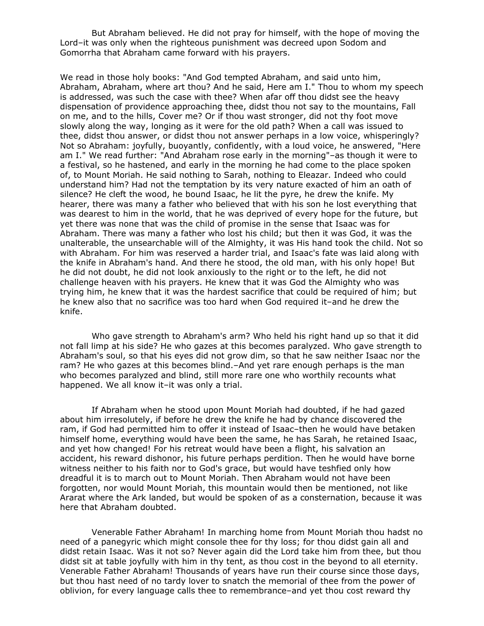But Abraham believed. He did not pray for himself, with the hope of moving the Lord–it was only when the righteous punishment was decreed upon Sodom and Gomorrha that Abraham came forward with his prayers.

We read in those holy books: "And God tempted Abraham, and said unto him, Abraham, Abraham, where art thou? And he said, Here am I." Thou to whom my speech is addressed, was such the case with thee? When afar off thou didst see the heavy dispensation of providence approaching thee, didst thou not say to the mountains, Fall on me, and to the hills, Cover me? Or if thou wast stronger, did not thy foot move slowly along the way, longing as it were for the old path? When a call was issued to thee, didst thou answer, or didst thou not answer perhaps in a low voice, whisperingly? Not so Abraham: joyfully, buoyantly, confidently, with a loud voice, he answered, "Here am I." We read further: "And Abraham rose early in the morning"–as though it were to a festival, so he hastened, and early in the morning he had come to the place spoken of, to Mount Moriah. He said nothing to Sarah, nothing to Eleazar. Indeed who could understand him? Had not the temptation by its very nature exacted of him an oath of silence? He cleft the wood, he bound Isaac, he lit the pyre, he drew the knife. My hearer, there was many a father who believed that with his son he lost everything that was dearest to him in the world, that he was deprived of every hope for the future, but yet there was none that was the child of promise in the sense that Isaac was for Abraham. There was many a father who lost his child; but then it was God, it was the unalterable, the unsearchable will of the Almighty, it was His hand took the child. Not so with Abraham. For him was reserved a harder trial, and Isaac's fate was laid along with the knife in Abraham's hand. And there he stood, the old man, with his only hope! But he did not doubt, he did not look anxiously to the right or to the left, he did not challenge heaven with his prayers. He knew that it was God the Almighty who was trying him, he knew that it was the hardest sacrifice that could be required of him; but he knew also that no sacrifice was too hard when God required it–and he drew the knife.

Who gave strength to Abraham's arm? Who held his right hand up so that it did not fall limp at his side? He who gazes at this becomes paralyzed. Who gave strength to Abraham's soul, so that his eyes did not grow dim, so that he saw neither Isaac nor the ram? He who gazes at this becomes blind.–And yet rare enough perhaps is the man who becomes paralyzed and blind, still more rare one who worthily recounts what happened. We all know it–it was only a trial.

If Abraham when he stood upon Mount Moriah had doubted, if he had gazed about him irresolutely, if before he drew the knife he had by chance discovered the ram, if God had permitted him to offer it instead of Isaac–then he would have betaken himself home, everything would have been the same, he has Sarah, he retained Isaac, and yet how changed! For his retreat would have been a flight, his salvation an accident, his reward dishonor, his future perhaps perdition. Then he would have borne witness neither to his faith nor to God's grace, but would have teshfied only how dreadful it is to march out to Mount Moriah. Then Abraham would not have been forgotten, nor would Mount Moriah, this mountain would then be mentioned, not like Ararat where the Ark landed, but would be spoken of as a consternation, because it was here that Abraham doubted.

Venerable Father Abraham! In marching home from Mount Moriah thou hadst no need of a panegyric which might console thee for thy loss; for thou didst gain all and didst retain Isaac. Was it not so? Never again did the Lord take him from thee, but thou didst sit at table joyfully with him in thy tent, as thou cost in the beyond to all eternity. Venerable Father Abraham! Thousands of years have run their course since those days, but thou hast need of no tardy lover to snatch the memorial of thee from the power of oblivion, for every language calls thee to remembrance–and yet thou cost reward thy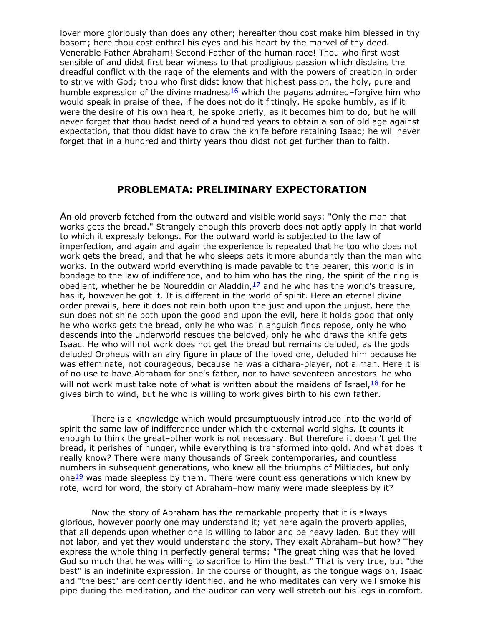lover more gloriously than does any other; hereafter thou cost make him blessed in thy bosom; here thou cost enthral his eyes and his heart by the marvel of thy deed. Venerable Father Abraham! Second Father of the human race! Thou who first wast sensible of and didst first bear witness to that prodigious passion which disdains the dreadful conflict with the rage of the elements and with the powers of creation in order to strive with God; thou who first didst know that highest passion, the holy, pure and humble expression of the divine madness $16$  which the pagans admired–forgive him who would speak in praise of thee, if he does not do it fittingly. He spoke humbly, as if it were the desire of his own heart, he spoke briefly, as it becomes him to do, but he will never forget that thou hadst need of a hundred years to obtain a son of old age against expectation, that thou didst have to draw the knife before retaining Isaac; he will never forget that in a hundred and thirty years thou didst not get further than to faith.

#### **PROBLEMATA: PRELIMINARY EXPECTORATION**

<span id="page-9-0"></span>An old proverb fetched from the outward and visible world says: "Only the man that works gets the bread." Strangely enough this proverb does not aptly apply in that world to which it expressly belongs. For the outward world is subjected to the law of imperfection, and again and again the experience is repeated that he too who does not work gets the bread, and that he who sleeps gets it more abundantly than the man who works. In the outward world everything is made payable to the bearer, this world is in bondage to the law of indifference, and to him who has the ring, the spirit of the ring is obedient, whether he be Noureddin or Aladdin, $17$  and he who has the world's treasure, has it, however he got it. It is different in the world of spirit. Here an eternal divine order prevails, here it does not rain both upon the just and upon the unjust, here the sun does not shine both upon the good and upon the evil, here it holds good that only he who works gets the bread, only he who was in anguish finds repose, only he who descends into the underworld rescues the beloved, only he who draws the knife gets Isaac. He who will not work does not get the bread but remains deluded, as the gods deluded Orpheus with an airy figure in place of the loved one, deluded him because he was effeminate, not courageous, because he was a cithara-player, not a man. Here it is of no use to have Abraham for one's father, nor to have seventeen ancestors–he who will not work must take note of what is written about the maidens of Israel, $18$  for he gives birth to wind, but he who is willing to work gives birth to his own father.

There is a knowledge which would presumptuously introduce into the world of spirit the same law of indifference under which the external world sighs. It counts it enough to think the great–other work is not necessary. But therefore it doesn't get the bread, it perishes of hunger, while everything is transformed into gold. And what does it really know? There were many thousands of Greek contemporaries, and countless numbers in subsequent generations, who knew all the triumphs of Miltiades, but only one $\frac{19}{12}$  $\frac{19}{12}$  $\frac{19}{12}$  was made sleepless by them. There were countless generations which knew by rote, word for word, the story of Abraham–how many were made sleepless by it?

Now the story of Abraham has the remarkable property that it is always glorious, however poorly one may understand it; yet here again the proverb applies, that all depends upon whether one is willing to labor and be heavy laden. But they will not labor, and yet they would understand the story. They exalt Abraham–but how? They express the whole thing in perfectly general terms: "The great thing was that he loved God so much that he was willing to sacrifice to Him the best." That is very true, but "the best" is an indefinite expression. In the course of thought, as the tongue wags on, Isaac and "the best" are confidently identified, and he who meditates can very well smoke his pipe during the meditation, and the auditor can very well stretch out his legs in comfort.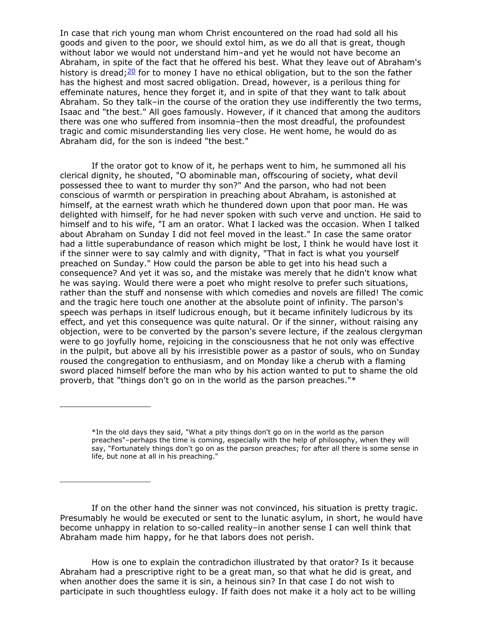In case that rich young man whom Christ encountered on the road had sold all his goods and given to the poor, we should extol him, as we do all that is great, though without labor we would not understand him–and yet he would not have become an Abraham, in spite of the fact that he offered his best. What they leave out of Abraham's history is dread; $20$  for to money I have no ethical obligation, but to the son the father has the highest and most sacred obligation. Dread, however, is a perilous thing for effeminate natures, hence they forget it, and in spite of that they want to talk about Abraham. So they talk–in the course of the oration they use indifferently the two terms, Isaac and "the best." All goes famously. However, if it chanced that among the auditors there was one who suffered from insomnia–then the most dreadful, the profoundest tragic and comic misunderstanding lies very close. He went home, he would do as Abraham did, for the son is indeed "the best."

If the orator got to know of it, he perhaps went to him, he summoned all his clerical dignity, he shouted, "O abominable man, offscouring of society, what devil possessed thee to want to murder thy son?" And the parson, who had not been conscious of warmth or perspiration in preaching about Abraham, is astonished at himself, at the earnest wrath which he thundered down upon that poor man. He was delighted with himself, for he had never spoken with such verve and unction. He said to himself and to his wife, "I am an orator. What I lacked was the occasion. When I talked about Abraham on Sunday I did not feel moved in the least." In case the same orator had a little superabundance of reason which might be lost, I think he would have lost it if the sinner were to say calmly and with dignity, "That in fact is what you yourself preached on Sunday." How could the parson be able to get into his head such a consequence? And yet it was so, and the mistake was merely that he didn't know what he was saying. Would there were a poet who might resolve to prefer such situations, rather than the stuff and nonsense with which comedies and novels are filled! The comic and the tragic here touch one another at the absolute point of infinity. The parson's speech was perhaps in itself ludicrous enough, but it became infinitely ludicrous by its effect, and yet this consequence was quite natural. Or if the sinner, without raising any objection, were to be converted by the parson's severe lecture, if the zealous clergyman were to go joyfully home, rejoicing in the consciousness that he not only was effective in the pulpit, but above all by his irresistible power as a pastor of souls, who on Sunday roused the congregation to enthusiasm, and on Monday like a cherub with a flaming sword placed himself before the man who by his action wanted to put to shame the old proverb, that "things don't go on in the world as the parson preaches."\*

<sup>\*</sup>In the old days they said, "What a pity things don't go on in the world as the parson preaches"–perhaps the time is coming, especially with the help of philosophy, when they will say, "Fortunately things don't go on as the parson preaches; for after all there is some sense in life, but none at all in his preaching."

If on the other hand the sinner was not convinced, his situation is pretty tragic. Presumably he would be executed or sent to the lunatic asylum, in short, he would have become unhappy in relation to so-called reality–in another sense I can well think that Abraham made him happy, for he that labors does not perish.

How is one to explain the contradichon illustrated by that orator? Is it because Abraham had a prescriptive right to be a great man, so that what he did is great, and when another does the same it is sin, a heinous sin? In that case I do not wish to participate in such thoughtless eulogy. If faith does not make it a holy act to be willing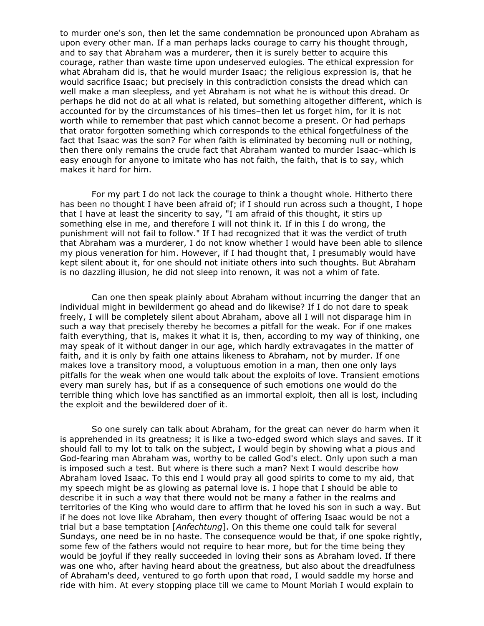to murder one's son, then let the same condemnation be pronounced upon Abraham as upon every other man. If a man perhaps lacks courage to carry his thought through, and to say that Abraham was a murderer, then it is surely better to acquire this courage, rather than waste time upon undeserved eulogies. The ethical expression for what Abraham did is, that he would murder Isaac; the religious expression is, that he would sacrifice Isaac; but precisely in this contradiction consists the dread which can well make a man sleepless, and yet Abraham is not what he is without this dread. Or perhaps he did not do at all what is related, but something altogether different, which is accounted for by the circumstances of his times–then let us forget him, for it is not worth while to remember that past which cannot become a present. Or had perhaps that orator forgotten something which corresponds to the ethical forgetfulness of the fact that Isaac was the son? For when faith is eliminated by becoming null or nothing, then there only remains the crude fact that Abraham wanted to murder Isaac–which is easy enough for anyone to imitate who has not faith, the faith, that is to say, which makes it hard for him.

For my part I do not lack the courage to think a thought whole. Hitherto there has been no thought I have been afraid of; if I should run across such a thought, I hope that I have at least the sincerity to say, "I am afraid of this thought, it stirs up something else in me, and therefore I will not think it. If in this I do wrong, the punishment will not fail to follow." If I had recognized that it was the verdict of truth that Abraham was a murderer, I do not know whether I would have been able to silence my pious veneration for him. However, if I had thought that, I presumably would have kept silent about it, for one should not initiate others into such thoughts. But Abraham is no dazzling illusion, he did not sleep into renown, it was not a whim of fate.

Can one then speak plainly about Abraham without incurring the danger that an individual might in bewilderment go ahead and do likewise? If I do not dare to speak freely, I will be completely silent about Abraham, above all I will not disparage him in such a way that precisely thereby he becomes a pitfall for the weak. For if one makes faith everything, that is, makes it what it is, then, according to my way of thinking, one may speak of it without danger in our age, which hardly extravagates in the matter of faith, and it is only by faith one attains likeness to Abraham, not by murder. If one makes love a transitory mood, a voluptuous emotion in a man, then one only lays pitfalls for the weak when one would talk about the exploits of love. Transient emotions every man surely has, but if as a consequence of such emotions one would do the terrible thing which love has sanctified as an immortal exploit, then all is lost, including the exploit and the bewildered doer of it.

So one surely can talk about Abraham, for the great can never do harm when it is apprehended in its greatness; it is like a two-edged sword which slays and saves. If it should fall to my lot to talk on the subject, I would begin by showing what a pious and God-fearing man Abraham was, worthy to be called God's elect. Only upon such a man is imposed such a test. But where is there such a man? Next I would describe how Abraham loved Isaac. To this end I would pray all good spirits to come to my aid, that my speech might be as glowing as paternal love is. I hope that I should be able to describe it in such a way that there would not be many a father in the realms and territories of the King who would dare to affirm that he loved his son in such a way. But if he does not love like Abraham, then every thought of offering Isaac would be not a trial but a base temptation [*Anfechtung*]. On this theme one could talk for several Sundays, one need be in no haste. The consequence would be that, if one spoke rightly, some few of the fathers would not require to hear more, but for the time being they would be joyful if they really succeeded in loving their sons as Abraham loved. If there was one who, after having heard about the greatness, but also about the dreadfulness of Abraham's deed, ventured to go forth upon that road, I would saddle my horse and ride with him. At every stopping place till we came to Mount Moriah I would explain to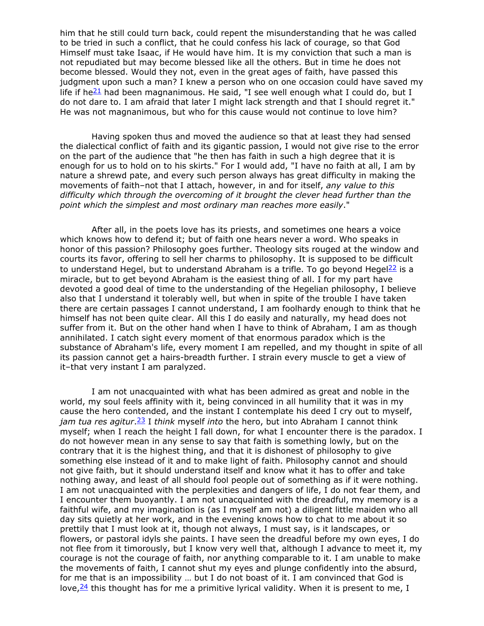him that he still could turn back, could repent the misunderstanding that he was called to be tried in such a conflict, that he could confess his lack of courage, so that God Himself must take Isaac, if He would have him. It is my conviction that such a man is not repudiated but may become blessed like all the others. But in time he does not become blessed. Would they not, even in the great ages of faith, have passed this judgment upon such a man? I knew a person who on one occasion could have saved my life if he $21$  had been magnanimous. He said, "I see well enough what I could do, but I do not dare to. I am afraid that later I might lack strength and that I should regret it." He was not magnanimous, but who for this cause would not continue to love him?

Having spoken thus and moved the audience so that at least they had sensed the dialectical conflict of faith and its gigantic passion, I would not give rise to the error on the part of the audience that "he then has faith in such a high degree that it is enough for us to hold on to his skirts." For I would add, "I have no faith at all, I am by nature a shrewd pate, and every such person always has great difficulty in making the movements of faith–not that I attach, however, in and for itself, *any value to this difficulty which through the overcoming of it brought the clever head further than the point which the simplest and most ordinary man reaches more easily*."

After all, in the poets love has its priests, and sometimes one hears a voice which knows how to defend it; but of faith one hears never a word. Who speaks in honor of this passion? Philosophy goes further. Theology sits rouged at the window and courts its favor, offering to sell her charms to philosophy. It is supposed to be difficult to understand Hegel, but to understand Abraham is a trifle. To go beyond Hegel $^{22}$  is a miracle, but to get beyond Abraham is the easiest thing of all. I for my part have devoted a good deal of time to the understanding of the Hegelian philosophy, I believe also that I understand it tolerably well, but when in spite of the trouble I have taken there are certain passages I cannot understand, I am foolhardy enough to think that he himself has not been quite clear. All this I do easily and naturally, my head does not suffer from it. But on the other hand when I have to think of Abraham, I am as though annihilated. I catch sight every moment of that enormous paradox which is the substance of Abraham's life, every moment I am repelled, and my thought in spite of all its passion cannot get a hairs-breadth further. I strain every muscle to get a view of it–that very instant I am paralyzed.

I am not unacquainted with what has been admired as great and noble in the world, my soul feels affinity with it, being convinced in all humility that it was in my cause the hero contended, and the instant I contemplate his deed I cry out to myself, *jam tua res agitur*[.23](#page-63-0) I *think* myself *into* the hero, but into Abraham I cannot think myself; when I reach the height I fall down, for what I encounter there is the paradox. I do not however mean in any sense to say that faith is something lowly, but on the contrary that it is the highest thing, and that it is dishonest of philosophy to give something else instead of it and to make light of faith. Philosophy cannot and should not give faith, but it should understand itself and know what it has to offer and take nothing away, and least of all should fool people out of something as if it were nothing. I am not unacquainted with the perplexities and dangers of life, I do not fear them, and I encounter them buoyantly. I am not unacquainted with the dreadful, my memory is a faithful wife, and my imagination is (as I myself am not) a diligent little maiden who all day sits quietly at her work, and in the evening knows how to chat to me about it so prettily that I must look at it, though not always, I must say, is it landscapes, or flowers, or pastoral idyls she paints. I have seen the dreadful before my own eyes, I do not flee from it timorously, but I know very well that, although I advance to meet it, my courage is not the courage of faith, nor anything comparable to it. I am unable to make the movements of faith, I cannot shut my eyes and plunge confidently into the absurd, for me that is an impossibility … but I do not boast of it. I am convinced that God is love, $24$  this thought has for me a primitive lyrical validity. When it is present to me, I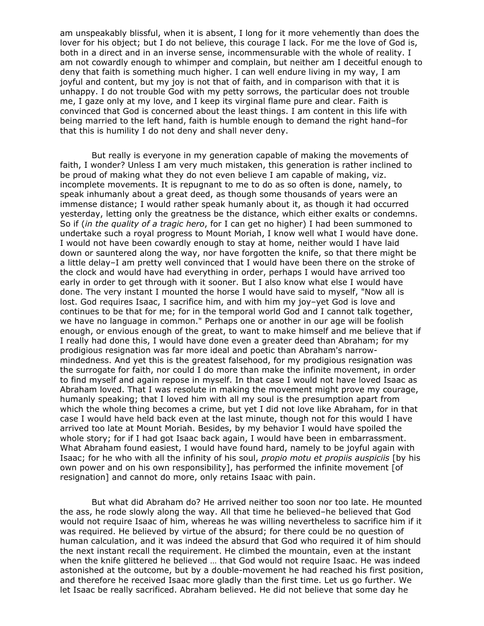am unspeakably blissful, when it is absent, I long for it more vehemently than does the lover for his object; but I do not believe, this courage I lack. For me the love of God is, both in a direct and in an inverse sense, incommensurable with the whole of reality. I am not cowardly enough to whimper and complain, but neither am I deceitful enough to deny that faith is something much higher. I can well endure living in my way, I am joyful and content, but my joy is not that of faith, and in comparison with that it is unhappy. I do not trouble God with my petty sorrows, the particular does not trouble me, I gaze only at my love, and I keep its virginal flame pure and clear. Faith is convinced that God is concerned about the least things. I am content in this life with being married to the left hand, faith is humble enough to demand the right hand–for that this is humility I do not deny and shall never deny.

But really is everyone in my generation capable of making the movements of faith, I wonder? Unless I am very much mistaken, this generation is rather inclined to be proud of making what they do not even believe I am capable of making, viz. incomplete movements. It is repugnant to me to do as so often is done, namely, to speak inhumanly about a great deed, as though some thousands of years were an immense distance; I would rather speak humanly about it, as though it had occurred yesterday, letting only the greatness be the distance, which either exalts or condemns. So if (*in the quality of a tragic hero*, for I can get no higher) I had been summoned to undertake such a royal progress to Mount Moriah, I know well what I would have done. I would not have been cowardly enough to stay at home, neither would I have laid down or sauntered along the way, nor have forgotten the knife, so that there might be a little delay–I am pretty well convinced that I would have been there on the stroke of the clock and would have had everything in order, perhaps I would have arrived too early in order to get through with it sooner. But I also know what else I would have done. The very instant I mounted the horse I would have said to myself, "Now all is lost. God requires Isaac, I sacrifice him, and with him my joy–yet God is love and continues to be that for me; for in the temporal world God and I cannot talk together, we have no language in common." Perhaps one or another in our age will be foolish enough, or envious enough of the great, to want to make himself and me believe that if I really had done this, I would have done even a greater deed than Abraham; for my prodigious resignation was far more ideal and poetic than Abraham's narrowmindedness. And yet this is the greatest falsehood, for my prodigious resignation was the surrogate for faith, nor could I do more than make the infinite movement, in order to find myself and again repose in myself. In that case I would not have loved Isaac as Abraham loved. That I was resolute in making the movement might prove my courage, humanly speaking; that I loved him with all my soul is the presumption apart from which the whole thing becomes a crime, but yet I did not love like Abraham, for in that case I would have held back even at the last minute, though not for this would I have arrived too late at Mount Moriah. Besides, by my behavior I would have spoiled the whole story; for if I had got Isaac back again, I would have been in embarrassment. What Abraham found easiest, I would have found hard, namely to be joyful again with Isaac; for he who with all the infinity of his soul, *propio motu et propiis auspiciis* [by his own power and on his own responsibility], has performed the infinite movement [of resignation] and cannot do more, only retains Isaac with pain.

But what did Abraham do? He arrived neither too soon nor too late. He mounted the ass, he rode slowly along the way. All that time he believed–he believed that God would not require Isaac of him, whereas he was willing nevertheless to sacrifice him if it was required. He believed by virtue of the absurd; for there could be no question of human calculation, and it was indeed the absurd that God who required it of him should the next instant recall the requirement. He climbed the mountain, even at the instant when the knife glittered he believed … that God would not require Isaac. He was indeed astonished at the outcome, but by a double-movement he had reached his first position, and therefore he received Isaac more gladly than the first time. Let us go further. We let Isaac be really sacrificed. Abraham believed. He did not believe that some day he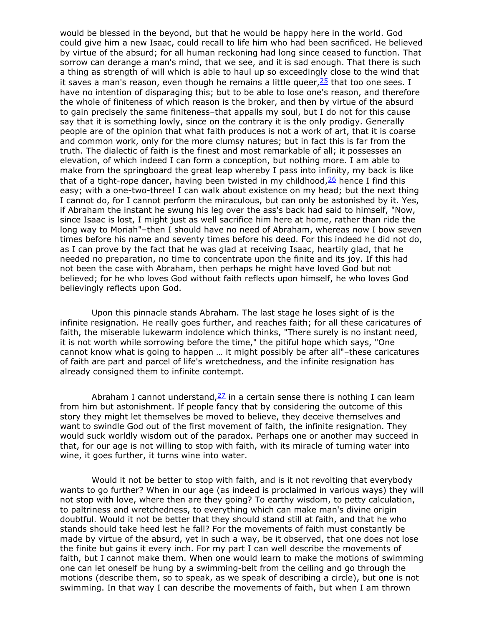would be blessed in the beyond, but that he would be happy here in the world. God could give him a new Isaac, could recall to life him who had been sacrificed. He believed by virtue of the absurd; for all human reckoning had long since ceased to function. That sorrow can derange a man's mind, that we see, and it is sad enough. That there is such a thing as strength of will which is able to haul up so exceedingly close to the wind that it saves a man's reason, even though he remains a little queer, $25$  that too one sees. I have no intention of disparaging this; but to be able to lose one's reason, and therefore the whole of finiteness of which reason is the broker, and then by virtue of the absurd to gain precisely the same finiteness–that appalls my soul, but I do not for this cause say that it is something lowly, since on the contrary it is the only prodigy. Generally people are of the opinion that what faith produces is not a work of art, that it is coarse and common work, only for the more clumsy natures; but in fact this is far from the truth. The dialectic of faith is the finest and most remarkable of all; it possesses an elevation, of which indeed I can form a conception, but nothing more. I am able to make from the springboard the great leap whereby I pass into infinity, my back is like that of a tight-rope dancer, having been twisted in my childhood,  $26$  hence I find this easy; with a one-two-three! I can walk about existence on my head; but the next thing I cannot do, for I cannot perform the miraculous, but can only be astonished by it. Yes, if Abraham the instant he swung his leg over the ass's back had said to himself, "Now, since Isaac is lost, I might just as well sacrifice him here at home, rather than ride the long way to Moriah"–then I should have no need of Abraham, whereas now I bow seven times before his name and seventy times before his deed. For this indeed he did not do, as I can prove by the fact that he was glad at receiving Isaac, heartily glad, that he needed no preparation, no time to concentrate upon the finite and its joy. If this had not been the case with Abraham, then perhaps he might have loved God but not believed; for he who loves God without faith reflects upon himself, he who loves God believingly reflects upon God.

Upon this pinnacle stands Abraham. The last stage he loses sight of is the infinite resignation. He really goes further, and reaches faith; for all these caricatures of faith, the miserable lukewarm indolence which thinks, "There surely is no instant need, it is not worth while sorrowing before the time," the pitiful hope which says, "One cannot know what is going to happen … it might possibly be after all"–these caricatures of faith are part and parcel of life's wretchedness, and the infinite resignation has already consigned them to infinite contempt.

Abraham I cannot understand, $\frac{27}{2}$  $\frac{27}{2}$  $\frac{27}{2}$  in a certain sense there is nothing I can learn from him but astonishment. If people fancy that by considering the outcome of this story they might let themselves be moved to believe, they deceive themselves and want to swindle God out of the first movement of faith, the infinite resignation. They would suck worldly wisdom out of the paradox. Perhaps one or another may succeed in that, for our age is not willing to stop with faith, with its miracle of turning water into wine, it goes further, it turns wine into water.

Would it not be better to stop with faith, and is it not revolting that everybody wants to go further? When in our age (as indeed is proclaimed in various ways) they will not stop with love, where then are they going? To earthy wisdom, to petty calculation, to paltriness and wretchedness, to everything which can make man's divine origin doubtful. Would it not be better that they should stand still at faith, and that he who stands should take heed lest he fall? For the movements of faith must constantly be made by virtue of the absurd, yet in such a way, be it observed, that one does not lose the finite but gains it every inch. For my part I can well describe the movements of faith, but I cannot make them. When one would learn to make the motions of swimming one can let oneself be hung by a swimming-belt from the ceiling and go through the motions (describe them, so to speak, as we speak of describing a circle), but one is not swimming. In that way I can describe the movements of faith, but when I am thrown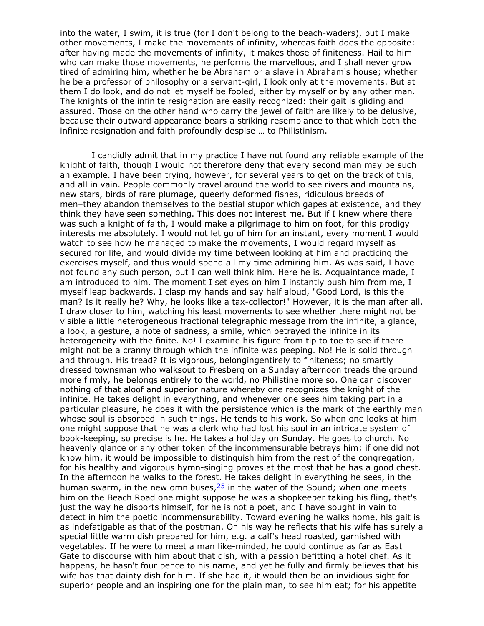into the water, I swim, it is true (for I don't belong to the beach-waders), but I make other movements, I make the movements of infinity, whereas faith does the opposite: after having made the movements of infinity, it makes those of finiteness. Hail to him who can make those movements, he performs the marvellous, and I shall never grow tired of admiring him, whether he be Abraham or a slave in Abraham's house; whether he be a professor of philosophy or a servant-girl, I look only at the movements. But at them I do look, and do not let myself be fooled, either by myself or by any other man. The knights of the infinite resignation are easily recognized: their gait is gliding and assured. Those on the other hand who carry the jewel of faith are likely to be delusive, because their outward appearance bears a striking resemblance to that which both the infinite resignation and faith profoundly despise … to Philistinism.

I candidly admit that in my practice I have not found any reliable example of the knight of faith, though I would not therefore deny that every second man may be such an example. I have been trying, however, for several years to get on the track of this, and all in vain. People commonly travel around the world to see rivers and mountains, new stars, birds of rare plumage, queerly deformed fishes, ridiculous breeds of men–they abandon themselves to the bestial stupor which gapes at existence, and they think they have seen something. This does not interest me. But if I knew where there was such a knight of faith, I would make a pilgrimage to him on foot, for this prodigy interests me absolutely. I would not let go of him for an instant, every moment I would watch to see how he managed to make the movements, I would regard myself as secured for life, and would divide my time between looking at him and practicing the exercises myself, and thus would spend all my time admiring him. As was said, I have not found any such person, but I can well think him. Here he is. Acquaintance made, I am introduced to him. The moment I set eyes on him I instantly push him from me, I myself leap backwards, I clasp my hands and say half aloud, "Good Lord, is this the man? Is it really he? Why, he looks like a tax-collector!" However, it is the man after all. I draw closer to him, watching his least movements to see whether there might not be visible a little heterogeneous fractional telegraphic message from the infinite, a glance, a look, a gesture, a note of sadness, a smile, which betrayed the infinite in its heterogeneity with the finite. No! I examine his figure from tip to toe to see if there might not be a cranny through which the infinite was peeping. No! He is solid through and through. His tread? It is vigorous, belongingentirely to finiteness; no smartly dressed townsman who walksout to Fresberg on a Sunday afternoon treads the ground more firmly, he belongs entirely to the world, no Philistine more so. One can discover nothing of that aloof and superior nature whereby one recognizes the knight of the infinite. He takes delight in everything, and whenever one sees him taking part in a particular pleasure, he does it with the persistence which is the mark of the earthly man whose soul is absorbed in such things. He tends to his work. So when one looks at him one might suppose that he was a clerk who had lost his soul in an intricate system of book-keeping, so precise is he. He takes a holiday on Sunday. He goes to church. No heavenly glance or any other token of the incommensurable betrays him; if one did not know him, it would be impossible to distinguish him from the rest of the congregation, for his healthy and vigorous hymn-singing proves at the most that he has a good chest. In the afternoon he walks to the forest. He takes delight in everything he sees, in the human swarm, in the new omnibuses, $25$  in the water of the Sound; when one meets him on the Beach Road one might suppose he was a shopkeeper taking his fling, that's just the way he disports himself, for he is not a poet, and I have sought in vain to detect in him the poetic incommensurability. Toward evening he walks home, his gait is as indefatigable as that of the postman. On his way he reflects that his wife has surely a special little warm dish prepared for him, e.g. a calf's head roasted, garnished with vegetables. If he were to meet a man like-minded, he could continue as far as East Gate to discourse with him about that dish, with a passion befitting a hotel chef. As it happens, he hasn't four pence to his name, and yet he fully and firmly believes that his wife has that dainty dish for him. If she had it, it would then be an invidious sight for superior people and an inspiring one for the plain man, to see him eat; for his appetite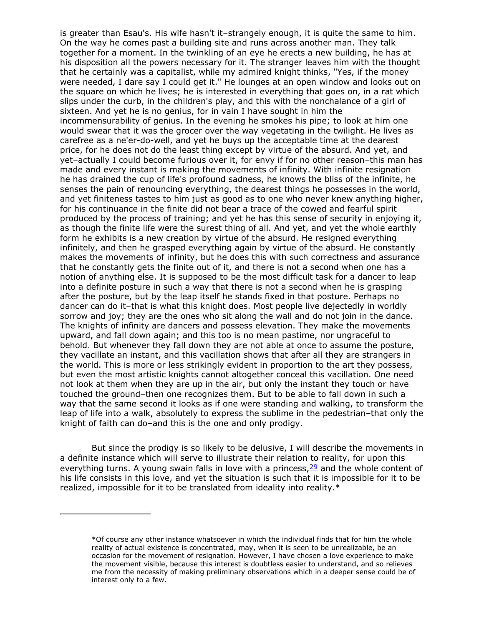is greater than Esau's. His wife hasn't it–strangely enough, it is quite the same to him. On the way he comes past a building site and runs across another man. They talk together for a moment. In the twinkling of an eye he erects a new building, he has at his disposition all the powers necessary for it. The stranger leaves him with the thought that he certainly was a capitalist, while my admired knight thinks, "Yes, if the money were needed, I dare say I could get it." He lounges at an open window and looks out on the square on which he lives; he is interested in everything that goes on, in a rat which slips under the curb, in the children's play, and this with the nonchalance of a girl of sixteen. And yet he is no genius, for in vain I have sought in him the incommensurability of genius. In the evening he smokes his pipe; to look at him one would swear that it was the grocer over the way vegetating in the twilight. He lives as carefree as a ne'er-do-well, and yet he buys up the acceptable time at the dearest price, for he does not do the least thing except by virtue of the absurd. And yet, and yet–actually I could become furious over it, for envy if for no other reason–this man has made and every instant is making the movements of infinity. With infinite resignation he has drained the cup of life's profound sadness, he knows the bliss of the infinite, he senses the pain of renouncing everything, the dearest things he possesses in the world, and yet finiteness tastes to him just as good as to one who never knew anything higher, for his continuance in the finite did not bear a trace of the cowed and fearful spirit produced by the process of training; and yet he has this sense of security in enjoying it, as though the finite life were the surest thing of all. And yet, and yet the whole earthly form he exhibits is a new creation by virtue of the absurd. He resigned everything infinitely, and then he grasped everything again by virtue of the absurd. He constantly makes the movements of infinity, but he does this with such correctness and assurance that he constantly gets the finite out of it, and there is not a second when one has a notion of anything else. It is supposed to be the most difficult task for a dancer to leap into a definite posture in such a way that there is not a second when he is grasping after the posture, but by the leap itself he stands fixed in that posture. Perhaps no dancer can do it–that is what this knight does. Most people live dejectedly in worldly sorrow and joy; they are the ones who sit along the wall and do not join in the dance. The knights of infinity are dancers and possess elevation. They make the movements upward, and fall down again; and this too is no mean pastime, nor ungraceful to behold. But whenever they fall down they are not able at once to assume the posture, they vacillate an instant, and this vacillation shows that after all they are strangers in the world. This is more or less strikingly evident in proportion to the art they possess, but even the most artistic knights cannot altogether conceal this vacillation. One need not look at them when they are up in the air, but only the instant they touch or have touched the ground–then one recognizes them. But to be able to fall down in such a way that the same second it looks as if one were standing and walking, to transform the leap of life into a walk, absolutely to express the sublime in the pedestrian–that only the knight of faith can do–and this is the one and only prodigy.

But since the prodigy is so likely to be delusive, I will describe the movements in a definite instance which will serve to illustrate their relation to reality, for upon this everything turns. A young swain falls in love with a princess,  $29$  and the whole content of his life consists in this love, and yet the situation is such that it is impossible for it to be realized, impossible for it to be translated from ideality into reality.\*

<sup>\*</sup>Of course any other instance whatsoever in which the individual finds that for him the whole reality of actual existence is concentrated, may, when it is seen to be unrealizable, be an occasion for the movement of resignation. However, I have chosen a love experience to make the movement visible, because this interest is doubtless easier to understand, and so relieves me from the necessity of making preliminary observations which in a deeper sense could be of interest only to a few.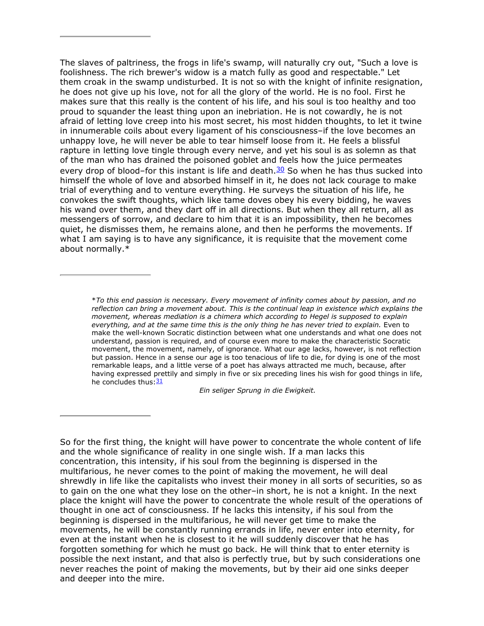The slaves of paltriness, the frogs in life's swamp, will naturally cry out, "Such a love is foolishness. The rich brewer's widow is a match fully as good and respectable." Let them croak in the swamp undisturbed. It is not so with the knight of infinite resignation, he does not give up his love, not for all the glory of the world. He is no fool. First he makes sure that this really is the content of his life, and his soul is too healthy and too proud to squander the least thing upon an inebriation. He is not cowardly, he is not afraid of letting love creep into his most secret, his most hidden thoughts, to let it twine in innumerable coils about every ligament of his consciousness–if the love becomes an unhappy love, he will never be able to tear himself loose from it. He feels a blissful rapture in letting love tingle through every nerve, and yet his soul is as solemn as that of the man who has drained the poisoned goblet and feels how the juice permeates every drop of blood–for this instant is life and death. $\frac{30}{20}$  $\frac{30}{20}$  $\frac{30}{20}$  So when he has thus sucked into himself the whole of love and absorbed himself in it, he does not lack courage to make trial of everything and to venture everything. He surveys the situation of his life, he convokes the swift thoughts, which like tame doves obey his every bidding, he waves his wand over them, and they dart off in all directions. But when they all return, all as messengers of sorrow, and declare to him that it is an impossibility, then he becomes quiet, he dismisses them, he remains alone, and then he performs the movements. If what I am saying is to have any significance, it is requisite that the movement come about normally.\*

\**To this end passion is necessary. Every movement of infinity comes about by passion, and no reflection can bring a movement about. This is the continual leap in existence which explains the movement, whereas mediation is a chimera which according to Hegel is supposed to explain everything, and at the same time this is the only thing he has never tried to explain.* Even to make the well-known Socratic distinction between what one understands and what one does not understand, passion is required, and of course even more to make the characteristic Socratic movement, the movement, namely, of ignorance. What our age lacks, however, is not reflection but passion. Hence in a sense our age is too tenacious of life to die, for dying is one of the most remarkable leaps, and a little verse of a poet has always attracted me much, because, after having expressed prettily and simply in five or six preceding lines his wish for good things in life, he concludes thus:  $31$ 

*Ein seliger Sprung in die Ewigkeit.*

So for the first thing, the knight will have power to concentrate the whole content of life and the whole significance of reality in one single wish. If a man lacks this concentration, this intensity, if his soul from the beginning is dispersed in the multifarious, he never comes to the point of making the movement, he will deal shrewdly in life like the capitalists who invest their money in all sorts of securities, so as to gain on the one what they lose on the other–in short, he is not a knight. In the next place the knight will have the power to concentrate the whole result of the operations of thought in one act of consciousness. If he lacks this intensity, if his soul from the beginning is dispersed in the multifarious, he will never get time to make the movements, he will be constantly running errands in life, never enter into eternity, for even at the instant when he is closest to it he will suddenly discover that he has forgotten something for which he must go back. He will think that to enter eternity is possible the next instant, and that also is perfectly true, but by such considerations one never reaches the point of making the movements, but by their aid one sinks deeper and deeper into the mire.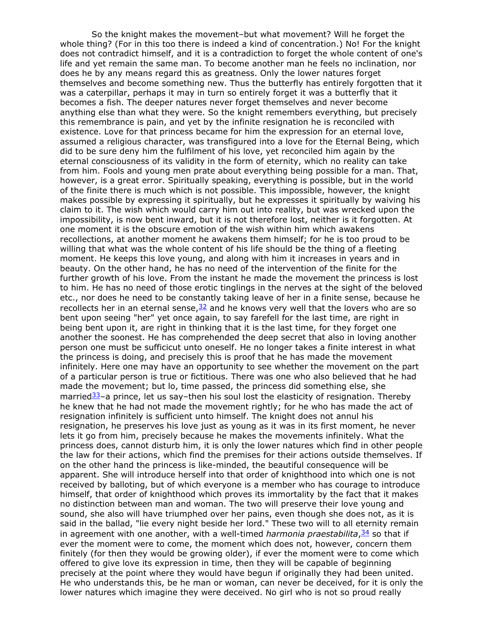So the knight makes the movement–but what movement? Will he forget the whole thing? (For in this too there is indeed a kind of concentration.) No! For the knight does not contradict himself, and it is a contradiction to forget the whole content of one's life and yet remain the same man. To become another man he feels no inclination, nor does he by any means regard this as greatness. Only the lower natures forget themselves and become something new. Thus the butterfly has entirely forgotten that it was a caterpillar, perhaps it may in turn so entirely forget it was a butterfly that it becomes a fish. The deeper natures never forget themselves and never become anything else than what they were. So the knight remembers everything, but precisely this remembrance is pain, and yet by the infinite resignation he is reconciled with existence. Love for that princess became for him the expression for an eternal love, assumed a religious character, was transfigured into a love for the Eternal Being, which did to be sure deny him the fulfilment of his love, yet reconciled him again by the eternal consciousness of its validity in the form of eternity, which no reality can take from him. Fools and young men prate about everything being possible for a man. That, however, is a great error. Spiritually speaking, everything is possible, but in the world of the finite there is much which is not possible. This impossible, however, the knight makes possible by expressing it spiritually, but he expresses it spiritually by waiving his claim to it. The wish which would carry him out into reality, but was wrecked upon the impossibility, is now bent inward, but it is not therefore lost, neither is it forgotten. At one moment it is the obscure emotion of the wish within him which awakens recollections, at another moment he awakens them himself; for he is too proud to be willing that what was the whole content of his life should be the thing of a fleeting moment. He keeps this love young, and along with him it increases in years and in beauty. On the other hand, he has no need of the intervention of the finite for the further growth of his love. From the instant he made the movement the princess is lost to him. He has no need of those erotic tinglings in the nerves at the sight of the beloved etc., nor does he need to be constantly taking leave of her in a finite sense, because he recollects her in an eternal sense,  $32$  and he knows very well that the lovers who are so bent upon seeing "her" yet once again, to say farefell for the last time, are right in being bent upon it, are right in thinking that it is the last time, for they forget one another the soonest. He has comprehended the deep secret that also in loving another person one must be sufficicut unto oneself. He no longer takes a finite interest in what the princess is doing, and precisely this is proof that he has made the movement infinitely. Here one may have an opportunity to see whether the movement on the part of a particular person is true or fictitious. There was one who also believed that he had made the movement; but lo, time passed, the princess did something else, she married $33$ –a prince, let us say–then his soul lost the elasticity of resignation. Thereby he knew that he had not made the movement rightly; for he who has made the act of resignation infinitely is sufficient unto himself. The knight does not annul his resignation, he preserves his love just as young as it was in its first moment, he never lets it go from him, precisely because he makes the movements infinitely. What the princess does, cannot disturb him, it is only the lower natures which find in other people the law for their actions, which find the premises for their actions outside themselves. If on the other hand the princess is like-minded, the beautiful consequence will be apparent. She will introduce herself into that order of knighthood into which one is not received by balloting, but of which everyone is a member who has courage to introduce himself, that order of knighthood which proves its immortality by the fact that it makes no distinction between man and woman. The two will preserve their love young and sound, she also will have triumphed over her pains, even though she does not, as it is said in the ballad, "lie every night beside her lord." These two will to all eternity remain in agreement with one another, with a well-timed *harmonia praestabilita*, [34](#page-63-10) so that if ever the moment were to come, the moment which does not, however, concern them finitely (for then they would be growing older), if ever the moment were to come which offered to give love its expression in time, then they will be capable of beginning precisely at the point where they would have begun if originally they had been united. He who understands this, be he man or woman, can never be deceived, for it is only the lower natures which imagine they were deceived. No girl who is not so proud really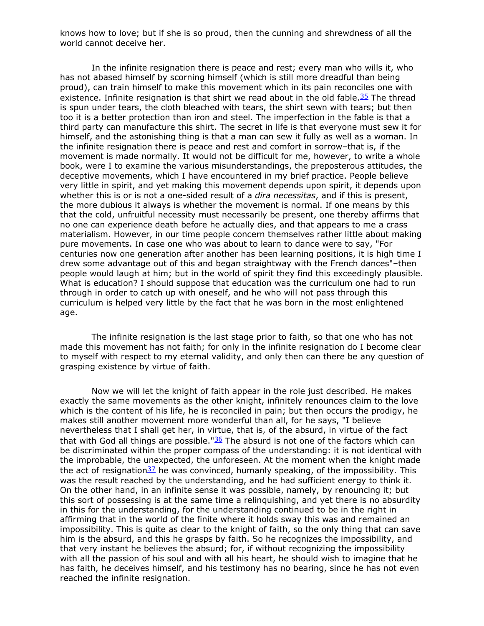knows how to love; but if she is so proud, then the cunning and shrewdness of all the world cannot deceive her.

In the infinite resignation there is peace and rest; every man who wills it, who has not abased himself by scorning himself (which is still more dreadful than being proud), can train himself to make this movement which in its pain reconciles one with existence. Infinite resignation is that shirt we read about in the old fable.<sup>[35](#page-63-11)</sup> The thread is spun under tears, the cloth bleached with tears, the shirt sewn with tears; but then too it is a better protection than iron and steel. The imperfection in the fable is that a third party can manufacture this shirt. The secret in life is that everyone must sew it for himself, and the astonishing thing is that a man can sew it fully as well as a woman. In the infinite resignation there is peace and rest and comfort in sorrow–that is, if the movement is made normally. It would not be difficult for me, however, to write a whole book, were I to examine the various misunderstandings, the preposterous attitudes, the deceptive movements, which I have encountered in my brief practice. People believe very little in spirit, and yet making this movement depends upon spirit, it depends upon whether this is or is not a one-sided result of a *dira necessitas*, and if this is present, the more dubious it always is whether the movement is normal. If one means by this that the cold, unfruitful necessity must necessarily be present, one thereby affirms that no one can experience death before he actually dies, and that appears to me a crass materialism. However, in our time people concern themselves rather little about making pure movements. In case one who was about to learn to dance were to say, "For centuries now one generation after another has been learning positions, it is high time I drew some advantage out of this and began straightway with the French dances"–then people would laugh at him; but in the world of spirit they find this exceedingly plausible. What is education? I should suppose that education was the curriculum one had to run through in order to catch up with oneself, and he who will not pass through this curriculum is helped very little by the fact that he was born in the most enlightened age.

The infinite resignation is the last stage prior to faith, so that one who has not made this movement has not faith; for only in the infinite resignation do I become clear to myself with respect to my eternal validity, and only then can there be any question of grasping existence by virtue of faith.

Now we will let the knight of faith appear in the role just described. He makes exactly the same movements as the other knight, infinitely renounces claim to the love which is the content of his life, he is reconciled in pain; but then occurs the prodigy, he makes still another movement more wonderful than all, for he says, "I believe nevertheless that I shall get her, in virtue, that is, of the absurd, in virtue of the fact that with God all things are possible." $36$  The absurd is not one of the factors which can be discriminated within the proper compass of the understanding: it is not identical with the improbable, the unexpected, the unforeseen. At the moment when the knight made the act of resignation  $37$  he was convinced, humanly speaking, of the impossibility. This was the result reached by the understanding, and he had sufficient energy to think it. On the other hand, in an infinite sense it was possible, namely, by renouncing it; but this sort of possessing is at the same time a relinquishing, and yet there is no absurdity in this for the understanding, for the understanding continued to be in the right in affirming that in the world of the finite where it holds sway this was and remained an impossibility. This is quite as clear to the knight of faith, so the only thing that can save him is the absurd, and this he grasps by faith. So he recognizes the impossibility, and that very instant he believes the absurd; for, if without recognizing the impossibility with all the passion of his soul and with all his heart, he should wish to imagine that he has faith, he deceives himself, and his testimony has no bearing, since he has not even reached the infinite resignation.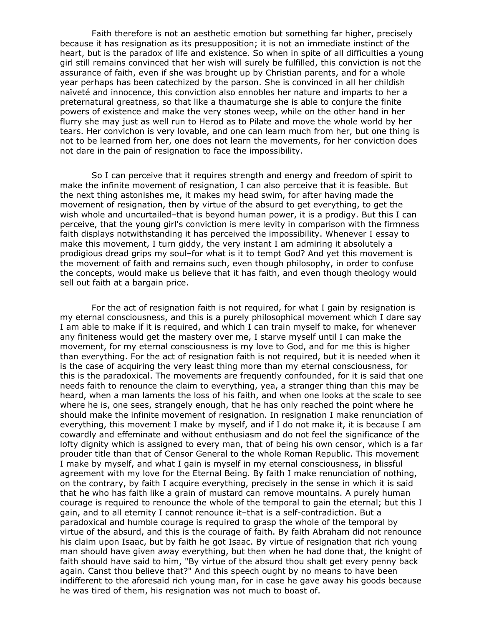Faith therefore is not an aesthetic emotion but something far higher, precisely because it has resignation as its presupposition; it is not an immediate instinct of the heart, but is the paradox of life and existence. So when in spite of all difficulties a young girl still remains convinced that her wish will surely be fulfilled, this conviction is not the assurance of faith, even if she was brought up by Christian parents, and for a whole year perhaps has been catechized by the parson. She is convinced in all her childish naïveté and innocence, this conviction also ennobles her nature and imparts to her a preternatural greatness, so that like a thaumaturge she is able to conjure the finite powers of existence and make the very stones weep, while on the other hand in her flurry she may just as well run to Herod as to Pilate and move the whole world by her tears. Her convichon is very lovable, and one can learn much from her, but one thing is not to be learned from her, one does not learn the movements, for her conviction does not dare in the pain of resignation to face the impossibility.

So I can perceive that it requires strength and energy and freedom of spirit to make the infinite movement of resignation, I can also perceive that it is feasible. But the next thing astonishes me, it makes my head swim, for after having made the movement of resignation, then by virtue of the absurd to get everything, to get the wish whole and uncurtailed–that is beyond human power, it is a prodigy. But this I can perceive, that the young girl's conviction is mere levity in comparison with the firmness faith displays notwithstanding it has perceived the impossibility. Whenever I essay to make this movement, I turn giddy, the very instant I am admiring it absolutely a prodigious dread grips my soul–for what is it to tempt God? And yet this movement is the movement of faith and remains such, even though philosophy, in order to confuse the concepts, would make us believe that it has faith, and even though theology would sell out faith at a bargain price.

For the act of resignation faith is not required, for what I gain by resignation is my eternal consciousness, and this is a purely philosophical movement which I dare say I am able to make if it is required, and which I can train myself to make, for whenever any finiteness would get the mastery over me, I starve myself until I can make the movement, for my eternal consciousness is my love to God, and for me this is higher than everything. For the act of resignation faith is not required, but it is needed when it is the case of acquiring the very least thing more than my eternal consciousness, for this is the paradoxical. The movements are frequently confounded, for it is said that one needs faith to renounce the claim to everything, yea, a stranger thing than this may be heard, when a man laments the loss of his faith, and when one looks at the scale to see where he is, one sees, strangely enough, that he has only reached the point where he should make the infinite movement of resignation. In resignation I make renunciation of everything, this movement I make by myself, and if I do not make it, it is because I am cowardly and effeminate and without enthusiasm and do not feel the significance of the lofty dignity which is assigned to every man, that of being his own censor, which is a far prouder title than that of Censor General to the whole Roman Republic. This movement I make by myself, and what I gain is myself in my eternal consciousness, in blissful agreement with my love for the Eternal Being. By faith I make renunciation of nothing, on the contrary, by faith I acquire everything, precisely in the sense in which it is said that he who has faith like a grain of mustard can remove mountains. A purely human courage is required to renounce the whole of the temporal to gain the eternal; but this I gain, and to all eternity I cannot renounce it–that is a self-contradiction. But a paradoxical and humble courage is required to grasp the whole of the temporal by virtue of the absurd, and this is the courage of faith. By faith Abraham did not renounce his claim upon Isaac, but by faith he got Isaac. By virtue of resignation that rich young man should have given away everything, but then when he had done that, the knight of faith should have said to him, "By virtue of the absurd thou shalt get every penny back again. Canst thou believe that?" And this speech ought by no means to have been indifferent to the aforesaid rich young man, for in case he gave away his goods because he was tired of them, his resignation was not much to boast of.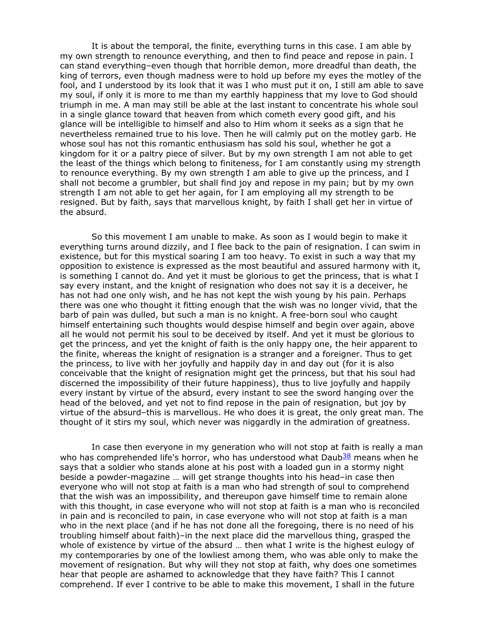It is about the temporal, the finite, everything turns in this case. I am able by my own strength to renounce everything, and then to find peace and repose in pain. I can stand everything–even though that horrible demon, more dreadful than death, the king of terrors, even though madness were to hold up before my eyes the motley of the fool, and I understood by its look that it was I who must put it on, I still am able to save my soul, if only it is more to me than my earthly happiness that my love to God should triumph in me. A man may still be able at the last instant to concentrate his whole soul in a single glance toward that heaven from which cometh every good gift, and his glance will be intelligible to himself and also to Him whom it seeks as a sign that he nevertheless remained true to his love. Then he will calmly put on the motley garb. He whose soul has not this romantic enthusiasm has sold his soul, whether he got a kingdom for it or a paltry piece of silver. But by my own strength I am not able to get the least of the things which belong to finiteness, for I am constantly using my strength to renounce everything. By my own strength I am able to give up the princess, and I shall not become a grumbler, but shall find joy and repose in my pain; but by my own strength I am not able to get her again, for I am employing all my strength to be resigned. But by faith, says that marvellous knight, by faith I shall get her in virtue of the absurd.

So this movement I am unable to make. As soon as I would begin to make it everything turns around dizzily, and I flee back to the pain of resignation. I can swim in existence, but for this mystical soaring I am too heavy. To exist in such a way that my opposition to existence is expressed as the most beautiful and assured harmony with it, is something I cannot do. And yet it must be glorious to get the princess, that is what I say every instant, and the knight of resignation who does not say it is a deceiver, he has not had one only wish, and he has not kept the wish young by his pain. Perhaps there was one who thought it fitting enough that the wish was no longer vivid, that the barb of pain was dulled, but such a man is no knight. A free-born soul who caught himself entertaining such thoughts would despise himself and begin over again, above all he would not permit his soul to be deceived by itself. And yet it must be glorious to get the princess, and yet the knight of faith is the only happy one, the heir apparent to the finite, whereas the knight of resignation is a stranger and a foreigner. Thus to get the princess, to live with her joyfully and happily day in and day out (for it is also conceivable that the knight of resignation might get the princess, but that his soul had discerned the impossibility of their future happiness), thus to live joyfully and happily every instant by virtue of the absurd, every instant to see the sword hanging over the head of the beloved, and yet not to find repose in the pain of resignation, but joy by virtue of the absurd–this is marvellous. He who does it is great, the only great man. The thought of it stirs my soul, which never was niggardly in the admiration of greatness.

In case then everyone in my generation who will not stop at faith is really a man who has comprehended life's horror, who has understood what Daub $38$  means when he says that a soldier who stands alone at his post with a loaded gun in a stormy night beside a powder-magazine … will get strange thoughts into his head–in case then everyone who will not stop at faith is a man who had strength of soul to comprehend that the wish was an impossibility, and thereupon gave himself time to remain alone with this thought, in case everyone who will not stop at faith is a man who is reconciled in pain and is reconciled to pain, in case everyone who will not stop at faith is a man who in the next place (and if he has not done all the foregoing, there is no need of his troubling himself about faith)–in the next place did the marvellous thing, grasped the whole of existence by virtue of the absurd … then what I write is the highest eulogy of my contemporaries by one of the lowliest among them, who was able only to make the movement of resignation. But why will they not stop at faith, why does one sometimes hear that people are ashamed to acknowledge that they have faith? This I cannot comprehend. If ever I contrive to be able to make this movement, I shall in the future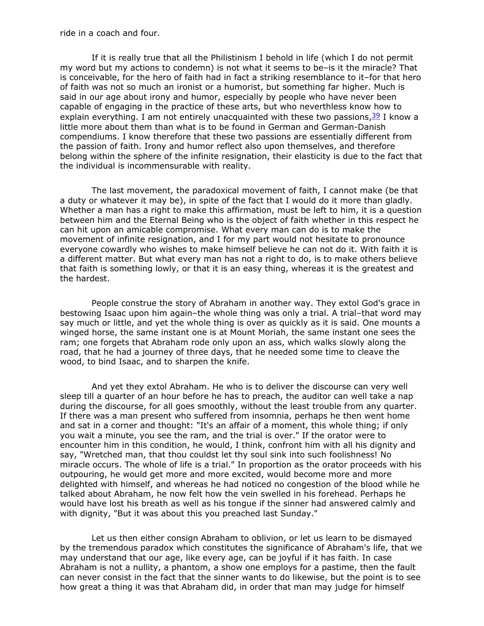If it is really true that all the Philistinism I behold in life (which I do not permit my word but my actions to condemn) is not what it seems to be–is it the miracle? That is conceivable, for the hero of faith had in fact a striking resemblance to it–for that hero of faith was not so much an ironist or a humorist, but something far higher. Much is said in our age about irony and humor, especially by people who have never been capable of engaging in the practice of these arts, but who neverthless know how to explain everything. I am not entirely unacquainted with these two passions,  $\frac{39}{15}$  $\frac{39}{15}$  $\frac{39}{15}$  I know a little more about them than what is to be found in German and German-Danish compendiums. I know therefore that these two passions are essentially different from the passion of faith. Irony and humor reflect also upon themselves, and therefore belong within the sphere of the infinite resignation, their elasticity is due to the fact that the individual is incommensurable with reality.

The last movement, the paradoxical movement of faith, I cannot make (be that a duty or whatever it may be), in spite of the fact that I would do it more than gladly. Whether a man has a right to make this affirmation, must be left to him, it is a question between him and the Eternal Being who is the object of faith whether in this respect he can hit upon an amicable compromise. What every man can do is to make the movement of infinite resignation, and I for my part would not hesitate to pronounce everyone cowardly who wishes to make himself believe he can not do it. With faith it is a different matter. But what every man has not a right to do, is to make others believe that faith is something lowly, or that it is an easy thing, whereas it is the greatest and the hardest.

People construe the story of Abraham in another way. They extol God's grace in bestowing Isaac upon him again–the whole thing was only a trial. A trial–that word may say much or little, and yet the whole thing is over as quickly as it is said. One mounts a winged horse, the same instant one is at Mount Moriah, the same instant one sees the ram; one forgets that Abraham rode only upon an ass, which walks slowly along the road, that he had a journey of three days, that he needed some time to cleave the wood, to bind Isaac, and to sharpen the knife.

And yet they extol Abraham. He who is to deliver the discourse can very well sleep till a quarter of an hour before he has to preach, the auditor can well take a nap during the discourse, for all goes smoothly, without the least trouble from any quarter. If there was a man present who suffered from insomnia, perhaps he then went home and sat in a corner and thought: "It's an affair of a moment, this whole thing; if only you wait a minute, you see the ram, and the trial is over." If the orator were to encounter him in this condition, he would, I think, confront him with all his dignity and say, "Wretched man, that thou couldst let thy soul sink into such foolishness! No miracle occurs. The whole of life is a trial." In proportion as the orator proceeds with his outpouring, he would get more and more excited, would become more and more delighted with himself, and whereas he had noticed no congestion of the blood while he talked about Abraham, he now felt how the vein swelled in his forehead. Perhaps he would have lost his breath as well as his tongue if the sinner had answered calmly and with dignity, "But it was about this you preached last Sunday."

Let us then either consign Abraham to oblivion, or let us learn to be dismayed by the tremendous paradox which constitutes the significance of Abraham's life, that we may understand that our age, like every age, can be joyful if it has faith. In case Abraham is not a nullity, a phantom, a show one employs for a pastime, then the fault can never consist in the fact that the sinner wants to do likewise, but the point is to see how great a thing it was that Abraham did, in order that man may judge for himself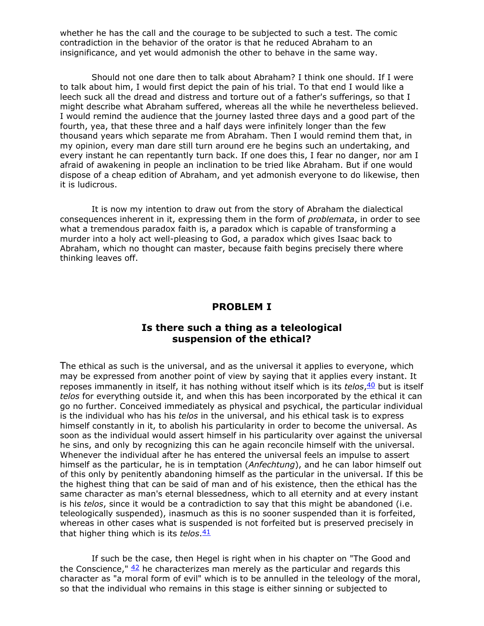whether he has the call and the courage to be subjected to such a test. The comic contradiction in the behavior of the orator is that he reduced Abraham to an insignificance, and yet would admonish the other to behave in the same way.

Should not one dare then to talk about Abraham? I think one should. If I were to talk about him, I would first depict the pain of his trial. To that end I would like a leech suck all the dread and distress and torture out of a father's sufferings, so that I might describe what Abraham suffered, whereas all the while he nevertheless believed. I would remind the audience that the journey lasted three days and a good part of the fourth, yea, that these three and a half days were infinitely longer than the few thousand years which separate me from Abraham. Then I would remind them that, in my opinion, every man dare still turn around ere he begins such an undertaking, and every instant he can repentantly turn back. If one does this, I fear no danger, nor am I afraid of awakening in people an inclination to be tried like Abraham. But if one would dispose of a cheap edition of Abraham, and yet admonish everyone to do likewise, then it is ludicrous.

<span id="page-23-0"></span>It is now my intention to draw out from the story of Abraham the dialectical consequences inherent in it, expressing them in the form of *problemata*, in order to see what a tremendous paradox faith is, a paradox which is capable of transforming a murder into a holy act well-pleasing to God, a paradox which gives Isaac back to Abraham, which no thought can master, because faith begins precisely there where thinking leaves off.

#### **PROBLEM I**

#### **Is there such a thing as a teleological suspension of the ethical?**

The ethical as such is the universal, and as the universal it applies to everyone, which may be expressed from another point of view by saying that it applies every instant. It reposes immanently in itself, it has nothing without itself which is its *telos*[,40](#page-64-4) but is itself *telos* for everything outside it, and when this has been incorporated by the ethical it can go no further. Conceived immediately as physical and psychical, the particular individual is the individual who has his *telos* in the universal, and his ethical task is to express himself constantly in it, to abolish his particularity in order to become the universal. As soon as the individual would assert himself in his particularity over against the universal he sins, and only by recognizing this can he again reconcile himself with the universal. Whenever the individual after he has entered the universal feels an impulse to assert himself as the particular, he is in temptation (*Anfechtung*), and he can labor himself out of this only by penitently abandoning himself as the particular in the universal. If this be the highest thing that can be said of man and of his existence, then the ethical has the same character as man's eternal blessedness, which to all eternity and at every instant is his *telos*, since it would be a contradiction to say that this might be abandoned (i.e. teleologically suspended), inasmuch as this is no sooner suspended than it is forfeited, whereas in other cases what is suspended is not forfeited but is preserved precisely in that higher thing which is its *telos*.[41](#page-64-5)

If such be the case, then Hegel is right when in his chapter on "The Good and the Conscience,"  $42$  he characterizes man merely as the particular and regards this character as "a moral form of evil" which is to be annulled in the teleology of the moral, so that the individual who remains in this stage is either sinning or subjected to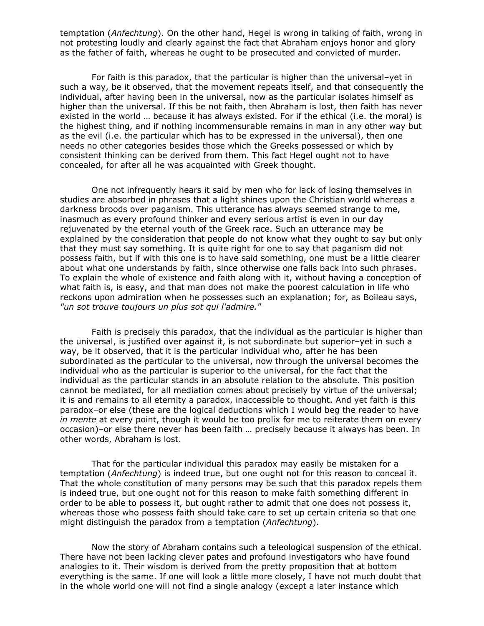temptation (*Anfechtung*). On the other hand, Hegel is wrong in talking of faith, wrong in not protesting loudly and clearly against the fact that Abraham enjoys honor and glory as the father of faith, whereas he ought to be prosecuted and convicted of murder.

For faith is this paradox, that the particular is higher than the universal–yet in such a way, be it observed, that the movement repeats itself, and that consequently the individual, after having been in the universal, now as the particular isolates himself as higher than the universal. If this be not faith, then Abraham is lost, then faith has never existed in the world … because it has always existed. For if the ethical (i.e. the moral) is the highest thing, and if nothing incommensurable remains in man in any other way but as the evil (i.e. the particular which has to be expressed in the universal), then one needs no other categories besides those which the Greeks possessed or which by consistent thinking can be derived from them. This fact Hegel ought not to have concealed, for after all he was acquainted with Greek thought.

One not infrequently hears it said by men who for lack of losing themselves in studies are absorbed in phrases that a light shines upon the Christian world whereas a darkness broods over paganism. This utterance has always seemed strange to me, inasmuch as every profound thinker and every serious artist is even in our day rejuvenated by the eternal youth of the Greek race. Such an utterance may be explained by the consideration that people do not know what they ought to say but only that they must say something. It is quite right for one to say that paganism did not possess faith, but if with this one is to have said something, one must be a little clearer about what one understands by faith, since otherwise one falls back into such phrases. To explain the whole of existence and faith along with it, without having a conception of what faith is, is easy, and that man does not make the poorest calculation in life who reckons upon admiration when he possesses such an explanation; for, as Boileau says, *"un sot trouve toujours un plus sot qui l'admire."*

Faith is precisely this paradox, that the individual as the particular is higher than the universal, is justified over against it, is not subordinate but superior–yet in such a way, be it observed, that it is the particular individual who, after he has been subordinated as the particular to the universal, now through the universal becomes the individual who as the particular is superior to the universal, for the fact that the individual as the particular stands in an absolute relation to the absolute. This position cannot be mediated, for all mediation comes about precisely by virtue of the universal; it is and remains to all eternity a paradox, inaccessible to thought. And yet faith is this paradox–or else (these are the logical deductions which I would beg the reader to have *in mente* at every point, though it would be too prolix for me to reiterate them on every occasion)–or else there never has been faith … precisely because it always has been. In other words, Abraham is lost.

That for the particular individual this paradox may easily be mistaken for a temptation (*Anfechtung*) is indeed true, but one ought not for this reason to conceal it. That the whole constitution of many persons may be such that this paradox repels them is indeed true, but one ought not for this reason to make faith something different in order to be able to possess it, but ought rather to admit that one does not possess it, whereas those who possess faith should take care to set up certain criteria so that one might distinguish the paradox from a temptation (*Anfechtung*).

Now the story of Abraham contains such a teleological suspension of the ethical. There have not been lacking clever pates and profound investigators who have found analogies to it. Their wisdom is derived from the pretty proposition that at bottom everything is the same. If one will look a little more closely, I have not much doubt that in the whole world one will not find a single analogy (except a later instance which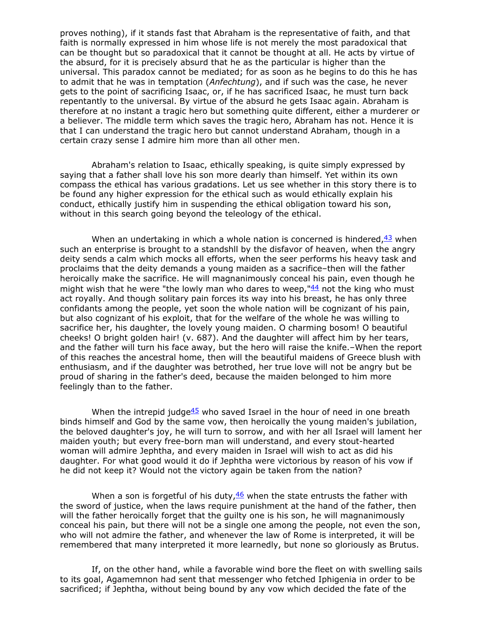proves nothing), if it stands fast that Abraham is the representative of faith, and that faith is normally expressed in him whose life is not merely the most paradoxical that can be thought but so paradoxical that it cannot be thought at all. He acts by virtue of the absurd, for it is precisely absurd that he as the particular is higher than the universal. This paradox cannot be mediated; for as soon as he begins to do this he has to admit that he was in temptation (*Anfechtung*), and if such was the case, he never gets to the point of sacrificing Isaac, or, if he has sacrificed Isaac, he must turn back repentantly to the universal. By virtue of the absurd he gets Isaac again. Abraham is therefore at no instant a tragic hero but something quite different, either a murderer or a believer. The middle term which saves the tragic hero, Abraham has not. Hence it is that I can understand the tragic hero but cannot understand Abraham, though in a certain crazy sense I admire him more than all other men.

Abraham's relation to Isaac, ethically speaking, is quite simply expressed by saying that a father shall love his son more dearly than himself. Yet within its own compass the ethical has various gradations. Let us see whether in this story there is to be found any higher expression for the ethical such as would ethically explain his conduct, ethically justify him in suspending the ethical obligation toward his son, without in this search going beyond the teleology of the ethical.

When an undertaking in which a whole nation is concerned is hindered,  $43$  when such an enterprise is brought to a standshll by the disfavor of heaven, when the angry deity sends a calm which mocks all efforts, when the seer performs his heavy task and proclaims that the deity demands a young maiden as a sacrifice–then will the father heroically make the sacrifice. He will magnanimously conceal his pain, even though he might wish that he were "the lowly man who dares to weep," $44$  not the king who must act royally. And though solitary pain forces its way into his breast, he has only three confidants among the people, yet soon the whole nation will be cognizant of his pain, but also cognizant of his exploit, that for the welfare of the whole he was willing to sacrifice her, his daughter, the lovely young maiden. O charming bosom! O beautiful cheeks! O bright golden hair! (v. 687). And the daughter will affect him by her tears, and the father will turn his face away, but the hero will raise the knife.–When the report of this reaches the ancestral home, then will the beautiful maidens of Greece blush with enthusiasm, and if the daughter was betrothed, her true love will not be angry but be proud of sharing in the father's deed, because the maiden belonged to him more feelingly than to the father.

When the intrepid judge $45$  who saved Israel in the hour of need in one breath binds himself and God by the same vow, then heroically the young maiden's jubilation, the beloved daughter's joy, he will turn to sorrow, and with her all Israel will lament her maiden youth; but every free-born man will understand, and every stout-hearted woman will admire Jephtha, and every maiden in Israel will wish to act as did his daughter. For what good would it do if Jephtha were victorious by reason of his vow if he did not keep it? Would not the victory again be taken from the nation?

When a son is forgetful of his duty,  $46$  when the state entrusts the father with the sword of justice, when the laws require punishment at the hand of the father, then will the father heroically forget that the guilty one is his son, he will magnanimously conceal his pain, but there will not be a single one among the people, not even the son, who will not admire the father, and whenever the law of Rome is interpreted, it will be remembered that many interpreted it more learnedly, but none so gloriously as Brutus.

If, on the other hand, while a favorable wind bore the fleet on with swelling sails to its goal, Agamemnon had sent that messenger who fetched Iphigenia in order to be sacrificed; if Jephtha, without being bound by any vow which decided the fate of the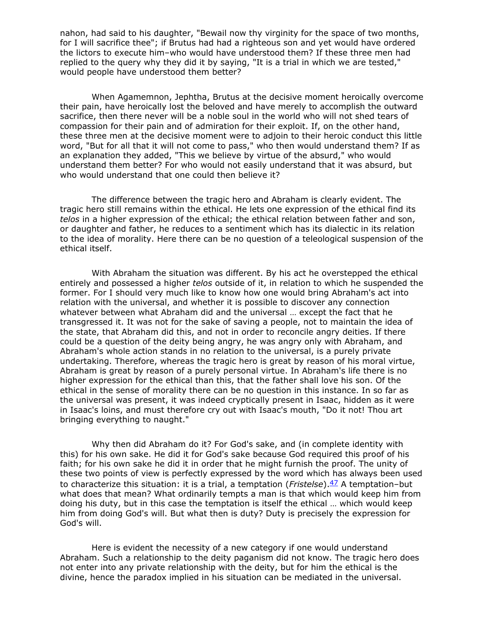nahon, had said to his daughter, "Bewail now thy virginity for the space of two months, for I will sacrifice thee"; if Brutus had had a righteous son and yet would have ordered the lictors to execute him–who would have understood them? If these three men had replied to the query why they did it by saying, "It is a trial in which we are tested," would people have understood them better?

When Agamemnon, Jephtha, Brutus at the decisive moment heroically overcome their pain, have heroically lost the beloved and have merely to accomplish the outward sacrifice, then there never will be a noble soul in the world who will not shed tears of compassion for their pain and of admiration for their exploit. If, on the other hand, these three men at the decisive moment were to adjoin to their heroic conduct this little word, "But for all that it will not come to pass," who then would understand them? If as an explanation they added, "This we believe by virtue of the absurd," who would understand them better? For who would not easily understand that it was absurd, but who would understand that one could then believe it?

The difference between the tragic hero and Abraham is clearly evident. The tragic hero still remains within the ethical. He lets one expression of the ethical find its *telos* in a higher expression of the ethical; the ethical relation between father and son, or daughter and father, he reduces to a sentiment which has its dialectic in its relation to the idea of morality. Here there can be no question of a teleological suspension of the ethical itself.

With Abraham the situation was different. By his act he overstepped the ethical entirely and possessed a higher *telos* outside of it, in relation to which he suspended the former. For I should very much like to know how one would bring Abraham's act into relation with the universal, and whether it is possible to discover any connection whatever between what Abraham did and the universal … except the fact that he transgressed it. It was not for the sake of saving a people, not to maintain the idea of the state, that Abraham did this, and not in order to reconcile angry deities. If there could be a question of the deity being angry, he was angry only with Abraham, and Abraham's whole action stands in no relation to the universal, is a purely private undertaking. Therefore, whereas the tragic hero is great by reason of his moral virtue, Abraham is great by reason of a purely personal virtue. In Abraham's life there is no higher expression for the ethical than this, that the father shall love his son. Of the ethical in the sense of morality there can be no question in this instance. In so far as the universal was present, it was indeed cryptically present in Isaac, hidden as it were in Isaac's loins, and must therefore cry out with Isaac's mouth, "Do it not! Thou art bringing everything to naught."

Why then did Abraham do it? For God's sake, and (in complete identity with this) for his own sake. He did it for God's sake because God required this proof of his faith; for his own sake he did it in order that he might furnish the proof. The unity of these two points of view is perfectly expressed by the word which has always been used to characterize this situation: it is a trial, a temptation (*Fristelse*).<sup>47</sup> A temptation-but what does that mean? What ordinarily tempts a man is that which would keep him from doing his duty, but in this case the temptation is itself the ethical … which would keep him from doing God's will. But what then is duty? Duty is precisely the expression for God's will.

Here is evident the necessity of a new category if one would understand Abraham. Such a relationship to the deity paganism did not know. The tragic hero does not enter into any private relationship with the deity, but for him the ethical is the divine, hence the paradox implied in his situation can be mediated in the universal.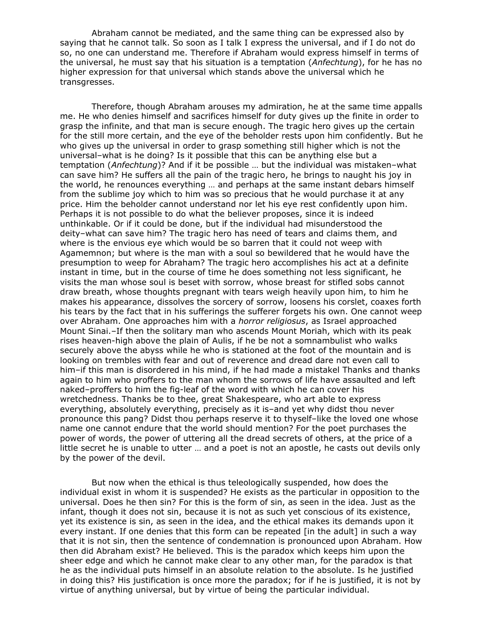Abraham cannot be mediated, and the same thing can be expressed also by saying that he cannot talk. So soon as I talk I express the universal, and if I do not do so, no one can understand me. Therefore if Abraham would express himself in terms of the universal, he must say that his situation is a temptation (*Anfechtung*), for he has no higher expression for that universal which stands above the universal which he transgresses.

Therefore, though Abraham arouses my admiration, he at the same time appalls me. He who denies himself and sacrifices himself for duty gives up the finite in order to grasp the infinite, and that man is secure enough. The tragic hero gives up the certain for the still more certain, and the eye of the beholder rests upon him confidently. But he who gives up the universal in order to grasp something still higher which is not the universal–what is he doing? Is it possible that this can be anything else but a temptation (*Anfechtung*)? And if it be possible … but the individual was mistaken–what can save him? He suffers all the pain of the tragic hero, he brings to naught his joy in the world, he renounces everything … and perhaps at the same instant debars himself from the sublime joy which to him was so precious that he would purchase it at any price. Him the beholder cannot understand nor let his eye rest confidently upon him. Perhaps it is not possible to do what the believer proposes, since it is indeed unthinkable. Or if it could be done, but if the individual had misunderstood the deity–what can save him? The tragic hero has need of tears and claims them, and where is the envious eye which would be so barren that it could not weep with Agamemnon; but where is the man with a soul so bewildered that he would have the presumption to weep for Abraham? The tragic hero accomplishes his act at a definite instant in time, but in the course of time he does something not less significant, he visits the man whose soul is beset with sorrow, whose breast for stifled sobs cannot draw breath, whose thoughts pregnant with tears weigh heavily upon him, to him he makes his appearance, dissolves the sorcery of sorrow, loosens his corslet, coaxes forth his tears by the fact that in his sufferings the sufferer forgets his own. One cannot weep over Abraham. One approaches him with a *horror religiosus*, as Israel approached Mount Sinai.–If then the solitary man who ascends Mount Moriah, which with its peak rises heaven-high above the plain of Aulis, if he be not a somnambulist who walks securely above the abyss while he who is stationed at the foot of the mountain and is looking on trembles with fear and out of reverence and dread dare not even call to him–if this man is disordered in his mind, if he had made a mistakel Thanks and thanks again to him who proffers to the man whom the sorrows of life have assaulted and left naked–proffers to him the fig-leaf of the word with which he can cover his wretchedness. Thanks be to thee, great Shakespeare, who art able to express everything, absolutely everything, precisely as it is–and yet why didst thou never pronounce this pang? Didst thou perhaps reserve it to thyself–like the loved one whose name one cannot endure that the world should mention? For the poet purchases the power of words, the power of uttering all the dread secrets of others, at the price of a little secret he is unable to utter … and a poet is not an apostle, he casts out devils only by the power of the devil.

But now when the ethical is thus teleologically suspended, how does the individual exist in whom it is suspended? He exists as the particular in opposition to the universal. Does he then sin? For this is the form of sin, as seen in the idea. Just as the infant, though it does not sin, because it is not as such yet conscious of its existence, yet its existence is sin, as seen in the idea, and the ethical makes its demands upon it every instant. If one denies that this form can be repeated [in the adult] in such a way that it is not sin, then the sentence of condemnation is pronounced upon Abraham. How then did Abraham exist? He believed. This is the paradox which keeps him upon the sheer edge and which he cannot make clear to any other man, for the paradox is that he as the individual puts himself in an absolute relation to the absolute. Is he justified in doing this? His justification is once more the paradox; for if he is justified, it is not by virtue of anything universal, but by virtue of being the particular individual.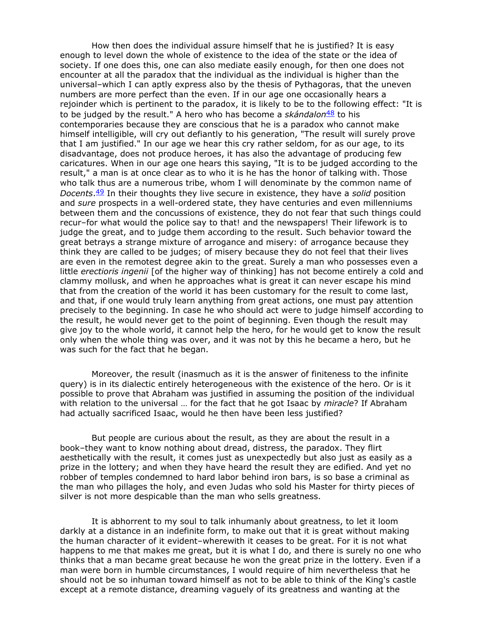How then does the individual assure himself that he is justified? It is easy enough to level down the whole of existence to the idea of the state or the idea of society. If one does this, one can also mediate easily enough, for then one does not encounter at all the paradox that the individual as the individual is higher than the universal–which I can aptly express also by the thesis of Pythagoras, that the uneven numbers are more perfect than the even. If in our age one occasionally hears a rejoinder which is pertinent to the paradox, it is likely to be to the following effect: "It is to be judged by the result." A hero who has become a *skándalon*[48](#page-65-0) to his contemporaries because they are conscious that he is a paradox who cannot make himself intelligible, will cry out defiantly to his generation, "The result will surely prove that I am justified." In our age we hear this cry rather seldom, for as our age, to its disadvantage, does not produce heroes, it has also the advantage of producing few caricatures. When in our age one hears this saying, "It is to be judged according to the result," a man is at once clear as to who it is he has the honor of talking with. Those who talk thus are a numerous tribe, whom I will denominate by the common name of *Docents*[.49](#page-65-1) In their thoughts they live secure in existence, they have a *solid* position and *sure* prospects in a well-ordered state, they have centuries and even millenniums between them and the concussions of existence, they do not fear that such things could recur–for what would the police say to that! and the newspapers! Their lifework is to judge the great, and to judge them according to the result. Such behavior toward the great betrays a strange mixture of arrogance and misery: of arrogance because they think they are called to be judges; of misery because they do not feel that their lives are even in the remotest degree akin to the great. Surely a man who possesses even a little *erectioris ingenii* [of the higher way of thinking] has not become entirely a cold and clammy mollusk, and when he approaches what is great it can never escape his mind that from the creation of the world it has been customary for the result to come last, and that, if one would truly learn anything from great actions, one must pay attention precisely to the beginning. In case he who should act were to judge himself according to the result, he would never get to the point of beginning. Even though the result may give joy to the whole world, it cannot help the hero, for he would get to know the result only when the whole thing was over, and it was not by this he became a hero, but he was such for the fact that he began.

Moreover, the result (inasmuch as it is the answer of finiteness to the infinite query) is in its dialectic entirely heterogeneous with the existence of the hero. Or is it possible to prove that Abraham was justified in assuming the position of the individual with relation to the universal … for the fact that he got Isaac by *miracle*? If Abraham had actually sacrificed Isaac, would he then have been less justified?

But people are curious about the result, as they are about the result in a book–they want to know nothing about dread, distress, the paradox. They flirt aesthetically with the result, it comes just as unexpectedly but also just as easily as a prize in the lottery; and when they have heard the result they are edified. And yet no robber of temples condemned to hard labor behind iron bars, is so base a criminal as the man who pillages the holy, and even Judas who sold his Master for thirty pieces of silver is not more despicable than the man who sells greatness.

It is abhorrent to my soul to talk inhumanly about greatness, to let it loom darkly at a distance in an indefinite form, to make out that it is great without making the human character of it evident–wherewith it ceases to be great. For it is not what happens to me that makes me great, but it is what I do, and there is surely no one who thinks that a man became great because he won the great prize in the lottery. Even if a man were born in humble circumstances, I would require of him nevertheless that he should not be so inhuman toward himself as not to be able to think of the King's castle except at a remote distance, dreaming vaguely of its greatness and wanting at the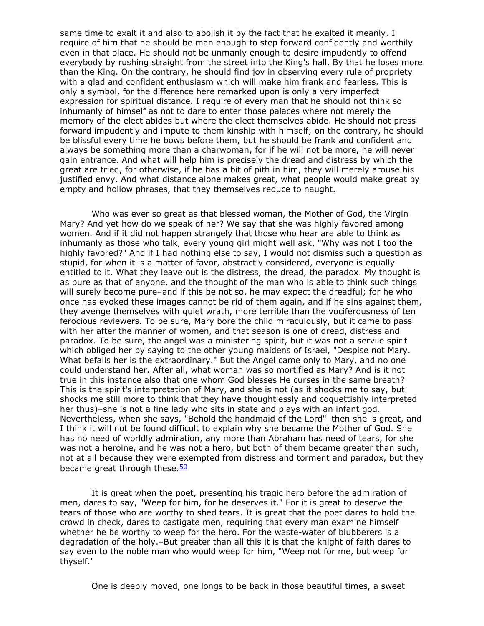same time to exalt it and also to abolish it by the fact that he exalted it meanly. I require of him that he should be man enough to step forward confidently and worthily even in that place. He should not be unmanly enough to desire impudently to offend everybody by rushing straight from the street into the King's hall. By that he loses more than the King. On the contrary, he should find joy in observing every rule of propriety with a glad and confident enthusiasm which will make him frank and fearless. This is only a symbol, for the difference here remarked upon is only a very imperfect expression for spiritual distance. I require of every man that he should not think so inhumanly of himself as not to dare to enter those palaces where not merely the memory of the elect abides but where the elect themselves abide. He should not press forward impudently and impute to them kinship with himself; on the contrary, he should be blissful every time he bows before them, but he should be frank and confident and always be something more than a charwoman, for if he will not be more, he will never gain entrance. And what will help him is precisely the dread and distress by which the great are tried, for otherwise, if he has a bit of pith in him, they will merely arouse his justified envy. And what distance alone makes great, what people would make great by empty and hollow phrases, that they themselves reduce to naught.

Who was ever so great as that blessed woman, the Mother of God, the Virgin Mary? And yet how do we speak of her? We say that she was highly favored among women. And if it did not happen strangely that those who hear are able to think as inhumanly as those who talk, every young girl might well ask, "Why was not I too the highly favored?" And if I had nothing else to say, I would not dismiss such a question as stupid, for when it is a matter of favor, abstractly considered, everyone is equally entitled to it. What they leave out is the distress, the dread, the paradox. My thought is as pure as that of anyone, and the thought of the man who is able to think such things will surely become pure–and if this be not so, he may expect the dreadful; for he who once has evoked these images cannot be rid of them again, and if he sins against them, they avenge themselves with quiet wrath, more terrible than the vociferousness of ten ferocious reviewers. To be sure, Mary bore the child miraculously, but it came to pass with her after the manner of women, and that season is one of dread, distress and paradox. To be sure, the angel was a ministering spirit, but it was not a servile spirit which obliged her by saying to the other young maidens of Israel, "Despise not Mary. What befalls her is the extraordinary." But the Angel came only to Mary, and no one could understand her. After all, what woman was so mortified as Mary? And is it not true in this instance also that one whom God blesses He curses in the same breath? This is the spirit's interpretation of Mary, and she is not (as it shocks me to say, but shocks me still more to think that they have thoughtlessly and coquettishly interpreted her thus)–she is not a fine lady who sits in state and plays with an infant god. Nevertheless, when she says, "Behold the handmaid of the Lord"–then she is great, and I think it will not be found difficult to explain why she became the Mother of God. She has no need of worldly admiration, any more than Abraham has need of tears, for she was not a heroine, and he was not a hero, but both of them became greater than such, not at all because they were exempted from distress and torment and paradox, but they became great through these.<sup>[50](#page-65-2)</sup>

It is great when the poet, presenting his tragic hero before the admiration of men, dares to say, "Weep for him, for he deserves it." For it is great to deserve the tears of those who are worthy to shed tears. It is great that the poet dares to hold the crowd in check, dares to castigate men, requiring that every man examine himself whether he be worthy to weep for the hero. For the waste-water of blubberers is a degradation of the holy.–But greater than all this it is that the knight of faith dares to say even to the noble man who would weep for him, "Weep not for me, but weep for thyself."

One is deeply moved, one longs to be back in those beautiful times, a sweet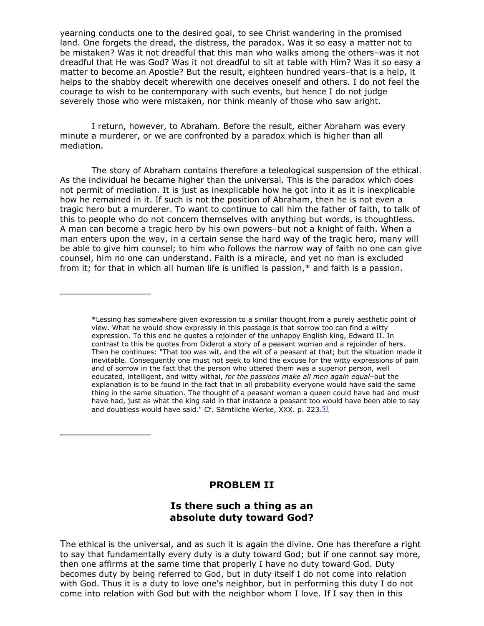yearning conducts one to the desired goal, to see Christ wandering in the promised land. One forgets the dread, the distress, the paradox. Was it so easy a matter not to be mistaken? Was it not dreadful that this man who walks among the others–was it not dreadful that He was God? Was it not dreadful to sit at table with Him? Was it so easy a matter to become an Apostle? But the result, eighteen hundred years–that is a help, it helps to the shabby deceit wherewith one deceives oneself and others. I do not feel the courage to wish to be contemporary with such events, but hence I do not judge severely those who were mistaken, nor think meanly of those who saw aright.

I return, however, to Abraham. Before the result, either Abraham was every minute a murderer, or we are confronted by a paradox which is higher than all mediation.

The story of Abraham contains therefore a teleological suspension of the ethical. As the individual he became higher than the universal. This is the paradox which does not permit of mediation. It is just as inexplicable how he got into it as it is inexplicable how he remained in it. If such is not the position of Abraham, then he is not even a tragic hero but a murderer. To want to continue to call him the father of faith, to talk of this to people who do not concem themselves with anything but words, is thoughtless. A man can become a tragic hero by his own powers–but not a knight of faith. When a man enters upon the way, in a certain sense the hard way of the tragic hero, many will be able to give him counsel; to him who follows the narrow way of faith no one can give counsel, him no one can understand. Faith is a miracle, and yet no man is excluded from it; for that in which all human life is unified is passion,\* and faith is a passion.

\*Lessing has somewhere given expression to a similar thought from a purely aesthetic point of view. What he would show expressly in this passage is that sorrow too can find a witty expression. To this end he quotes a rejoinder of the unhappy English king, Edward II. In contrast to this he quotes from Diderot a story of a peasant woman and a rejoinder of hers. Then he continues: "That too was wit, and the wit of a peasant at that; but the situation made it inevitable. Consequently one must not seek to kind the excuse for the witty expressions of pain and of sorrow in the fact that the person who uttered them was a superior person, well educated, intelligent, and witty withal, *for the passions make all men again equal*–but the explanation is to be found in the fact that in all probability everyone would have said the same thing in the same situation. The thought of a peasant woman a queen could have had and must have had, just as what the king said in that instance a peasant too would have been able to say and doubtless would have said." Cf. Sämtliche Werke, XXX. p. 223[.51](#page-65-3)

#### **PROBLEM II**

#### **Is there such a thing as an absolute duty toward God?**

<span id="page-30-0"></span>The ethical is the universal, and as such it is again the divine. One has therefore a right to say that fundamentally every duty is a duty toward God; but if one cannot say more, then one affirms at the same time that properly I have no duty toward God. Duty becomes duty by being referred to God, but in duty itself I do not come into relation with God. Thus it is a duty to love one's neighbor, but in performing this duty I do not come into relation with God but with the neighbor whom I love. If I say then in this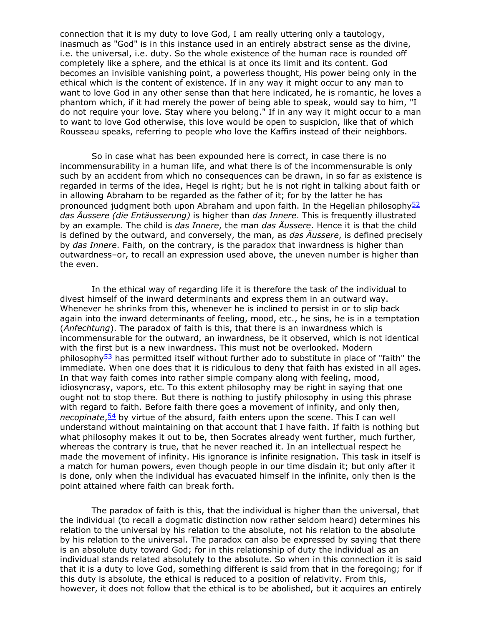connection that it is my duty to love God, I am really uttering only a tautology, inasmuch as "God" is in this instance used in an entirely abstract sense as the divine, i.e. the universal, i.e. duty. So the whole existence of the human race is rounded off completely like a sphere, and the ethical is at once its limit and its content. God becomes an invisible vanishing point, a powerless thought, His power being only in the ethical which is the content of existence. If in any way it might occur to any man to want to love God in any other sense than that here indicated, he is romantic, he loves a phantom which, if it had merely the power of being able to speak, would say to him, "I do not require your love. Stay where you belong." If in any way it might occur to a man to want to love God otherwise, this love would be open to suspicion, like that of which Rousseau speaks, referring to people who love the Kaffirs instead of their neighbors.

So in case what has been expounded here is correct, in case there is no incommensurability in a human life, and what there is of the incommensurable is only such by an accident from which no consequences can be drawn, in so far as existence is regarded in terms of the idea, Hegel is right; but he is not right in talking about faith or in allowing Abraham to be regarded as the father of it; for by the latter he has pronounced judgment both upon Abraham and upon faith. In the Hegelian philosophy $52$ *das Äussere (die Entäusserung)* is higher than *das Innere*. This is frequently illustrated by an example. The child is *das Innere*, the man *das Äussere*. Hence it is that the child is defined by the outward, and conversely, the man, as *das Äussere*, is defined precisely by *das Innere*. Faith, on the contrary, is the paradox that inwardness is higher than outwardness–or, to recall an expression used above, the uneven number is higher than the even.

In the ethical way of regarding life it is therefore the task of the individual to divest himself of the inward determinants and express them in an outward way. Whenever he shrinks from this, whenever he is inclined to persist in or to slip back again into the inward determinants of feeling, mood, etc., he sins, he is in a temptation (*Anfechtung*). The paradox of faith is this, that there is an inwardness which is incommensurable for the outward, an inwardness, be it observed, which is not identical with the first but is a new inwardness. This must not be overlooked. Modern philosophy $\frac{53}{3}$  has permitted itself without further ado to substitute in place of "faith" the immediate. When one does that it is ridiculous to deny that faith has existed in all ages. In that way faith comes into rather simple company along with feeling, mood, idiosyncrasy, vapors, etc. To this extent philosophy may be right in saying that one ought not to stop there. But there is nothing to justify philosophy in using this phrase with regard to faith. Before faith there goes a movement of infinity, and only then, *necopinate*, <sup>54</sup> by virtue of the absurd, faith enters upon the scene. This I can well understand without maintaining on that account that I have faith. If faith is nothing but what philosophy makes it out to be, then Socrates already went further, much further, whereas the contrary is true, that he never reached it. In an intellectual respect he made the movement of infinity. His ignorance is infinite resignation. This task in itself is a match for human powers, even though people in our time disdain it; but only after it is done, only when the individual has evacuated himself in the infinite, only then is the point attained where faith can break forth.

The paradox of faith is this, that the individual is higher than the universal, that the individual (to recall a dogmatic distinction now rather seldom heard) determines his relation to the universal by his relation to the absolute, not his relation to the absolute by his relation to the universal. The paradox can also be expressed by saying that there is an absolute duty toward God; for in this relationship of duty the individual as an individual stands related absolutely to the absolute. So when in this connection it is said that it is a duty to love God, something different is said from that in the foregoing; for if this duty is absolute, the ethical is reduced to a position of relativity. From this, however, it does not follow that the ethical is to be abolished, but it acquires an entirely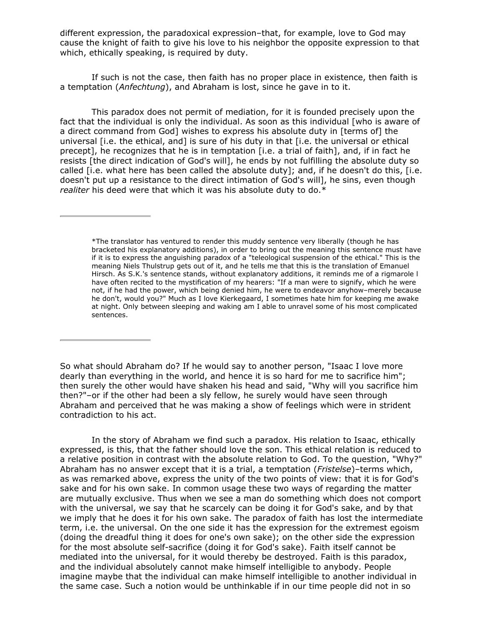different expression, the paradoxical expression–that, for example, love to God may cause the knight of faith to give his love to his neighbor the opposite expression to that which, ethically speaking, is required by duty.

If such is not the case, then faith has no proper place in existence, then faith is a temptation (*Anfechtung*), and Abraham is lost, since he gave in to it.

This paradox does not permit of mediation, for it is founded precisely upon the fact that the individual is only the individual. As soon as this individual [who is aware of a direct command from God] wishes to express his absolute duty in [terms of] the universal [i.e. the ethical, and] is sure of his duty in that [i.e. the universal or ethical precept], he recognizes that he is in temptation [i.e. a trial of faith], and, if in fact he resists [the direct indication of God's will], he ends by not fulfilling the absolute duty so called [i.e. what here has been called the absolute duty]; and, if he doesn't do this, [i.e. doesn't put up a resistance to the direct intimation of God's will], he sins, even though *realiter* his deed were that which it was his absolute duty to do.\*

\*The translator has ventured to render this muddy sentence very liberally (though he has bracketed his explanatory additions), in order to bring out the meaning this sentence must have if it is to express the anguishing paradox of a "teleological suspension of the ethical." This is the meaning Niels Thulstrup gets out of it, and he tells me that this is the translation of Emanuel Hirsch. As S.K.'s sentence stands, without explanatory additions, it reminds me of a rigmarole l have often recited to the mystification of my hearers: "If a man were to signify, which he were not, if he had the power, which being denied him, he were to endeavor anyhow–merely because he don't, would you?" Much as I love Kierkegaard, I sometimes hate him for keeping me awake at night. Only between sleeping and waking am I able to unravel some of his most complicated sentences.

So what should Abraham do? If he would say to another person, "Isaac I love more dearly than everything in the world, and hence it is so hard for me to sacrifice him"; then surely the other would have shaken his head and said, "Why will you sacrifice him then?"–or if the other had been a sly fellow, he surely would have seen through Abraham and perceived that he was making a show of feelings which were in strident contradiction to his act.

In the story of Abraham we find such a paradox. His relation to Isaac, ethically expressed, is this, that the father should love the son. This ethical relation is reduced to a relative position in contrast with the absolute relation to God. To the question, "Why?" Abraham has no answer except that it is a trial, a temptation (*Fristelse*)–terms which, as was remarked above, express the unity of the two points of view: that it is for God's sake and for his own sake. In common usage these two ways of regarding the matter are mutually exclusive. Thus when we see a man do something which does not comport with the universal, we say that he scarcely can be doing it for God's sake, and by that we imply that he does it for his own sake. The paradox of faith has lost the intermediate term, i.e. the universal. On the one side it has the expression for the extremest egoism (doing the dreadful thing it does for one's own sake); on the other side the expression for the most absolute self-sacrifice (doing it for God's sake). Faith itself cannot be mediated into the universal, for it would thereby be destroyed. Faith is this paradox, and the individual absolutely cannot make himself intelligible to anybody. People imagine maybe that the individual can make himself intelligible to another individual in the same case. Such a notion would be unthinkable if in our time people did not in so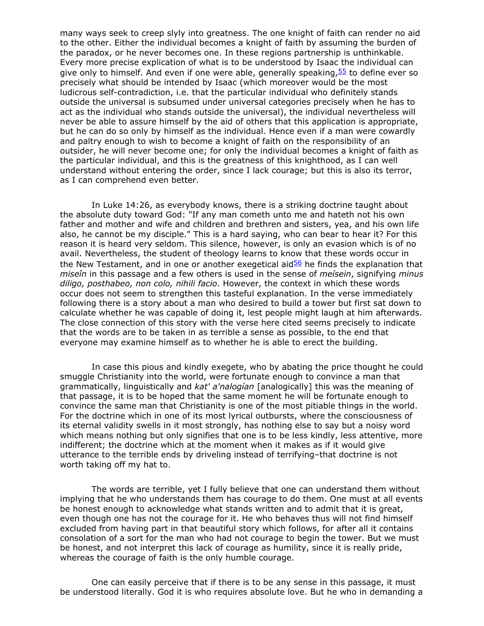many ways seek to creep slyly into greatness. The one knight of faith can render no aid to the other. Either the individual becomes a knight of faith by assuming the burden of the paradox, or he never becomes one. In these regions partnership is unthinkable. Every more precise explication of what is to be understood by Isaac the individual can give only to himself. And even if one were able, generally speaking,  $55$  to define ever so precisely what should be intended by Isaac (which moreover would be the most ludicrous self-contradiction, i.e. that the particular individual who definitely stands outside the universal is subsumed under universal categories precisely when he has to act as the individual who stands outside the universal), the individual nevertheless will never be able to assure himself by the aid of others that this application is appropriate, but he can do so only by himself as the individual. Hence even if a man were cowardly and paltry enough to wish to become a knight of faith on the responsibility of an outsider, he will never become one; for only the individual becomes a knight of faith as the particular individual, and this is the greatness of this knighthood, as I can well understand without entering the order, since I lack courage; but this is also its terror, as I can comprehend even better.

In Luke 14:26, as everybody knows, there is a striking doctrine taught about the absolute duty toward God: "If any man cometh unto me and hateth not his own father and mother and wife and children and brethren and sisters, yea, and his own life also, he cannot be my disciple." This is a hard saying, who can bear to hear it? For this reason it is heard very seldom. This silence, however, is only an evasion which is of no avail. Nevertheless, the student of theology learns to know that these words occur in the New Testament, and in one or another exegetical aid $\frac{56}{5}$  he finds the explanation that *miseîn* in this passage and a few others is used in the sense of *meísein*, signifying *minus diligo, posthabeo, non colo, nihili facio*. However, the context in which these words occur does not seem to strengthen this tasteful explanation. In the verse immediately following there is a story about a man who desired to build a tower but first sat down to calculate whether he was capable of doing it, lest people might laugh at him afterwards. The close connection of this story with the verse here cited seems precisely to indicate that the words are to be taken in as terrible a sense as possible, to the end that everyone may examine himself as to whether he is able to erect the building.

In case this pious and kindly exegete, who by abating the price thought he could smuggle Christianity into the world, were fortunate enough to convince a man that grammatically, linguistically and *kat' a'nalogían* [analogically] this was the meaning of that passage, it is to be hoped that the same moment he will be fortunate enough to convince the same man that Christianity is one of the most pitiable things in the world. For the doctrine which in one of its most lyrical outbursts, where the consciousness of its eternal validity swells in it most strongly, has nothing else to say but a noisy word which means nothing but only signifies that one is to be less kindly, less attentive, more indifferent; the doctrine which at the moment when it makes as if it would give utterance to the terrible ends by driveling instead of terrifying–that doctrine is not worth taking off my hat to.

The words are terrible, yet I fully believe that one can understand them without implying that he who understands them has courage to do them. One must at all events be honest enough to acknowledge what stands written and to admit that it is great, even though one has not the courage for it. He who behaves thus will not find himself excluded from having part in that beautiful story which follows, for after all it contains consolation of a sort for the man who had not courage to begin the tower. But we must be honest, and not interpret this lack of courage as humility, since it is really pride, whereas the courage of faith is the only humble courage.

One can easily perceive that if there is to be any sense in this passage, it must be understood literally. God it is who requires absolute love. But he who in demanding a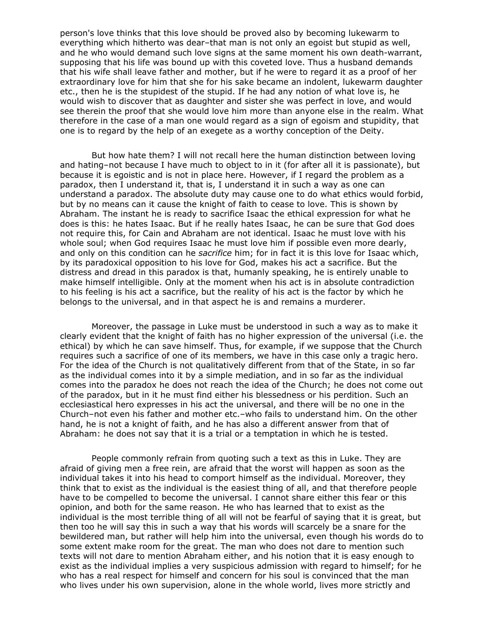person's love thinks that this love should be proved also by becoming lukewarm to everything which hitherto was dear–that man is not only an egoist but stupid as well, and he who would demand such love signs at the same moment his own death-warrant, supposing that his life was bound up with this coveted love. Thus a husband demands that his wife shall leave father and mother, but if he were to regard it as a proof of her extraordinary love for him that she for his sake became an indolent, lukewarm daughter etc., then he is the stupidest of the stupid. If he had any notion of what love is, he would wish to discover that as daughter and sister she was perfect in love, and would see therein the proof that she would love him more than anyone else in the realm. What therefore in the case of a man one would regard as a sign of egoism and stupidity, that one is to regard by the help of an exegete as a worthy conception of the Deity.

But how hate them? I will not recall here the human distinction between loving and hating–not because I have much to object to in it (for after all it is passionate), but because it is egoistic and is not in place here. However, if I regard the problem as a paradox, then I understand it, that is, I understand it in such a way as one can understand a paradox. The absolute duty may cause one to do what ethics would forbid, but by no means can it cause the knight of faith to cease to love. This is shown by Abraham. The instant he is ready to sacrifice Isaac the ethical expression for what he does is this: he hates Isaac. But if he really hates Isaac, he can be sure that God does not require this, for Cain and Abraham are not identical. Isaac he must love with his whole soul; when God requires Isaac he must love him if possible even more dearly, and only on this condition can he *sacrifice* him; for in fact it is this love for Isaac which, by its paradoxical opposition to his love for God, makes his act a sacrifice. But the distress and dread in this paradox is that, humanly speaking, he is entirely unable to make himself intelligible. Only at the moment when his act is in absolute contradiction to his feeling is his act a sacrifice, but the reality of his act is the factor by which he belongs to the universal, and in that aspect he is and remains a murderer.

Moreover, the passage in Luke must be understood in such a way as to make it clearly evident that the knight of faith has no higher expression of the universal (i.e. the ethical) by which he can save himself. Thus, for example, if we suppose that the Church requires such a sacrifice of one of its members, we have in this case only a tragic hero. For the idea of the Church is not qualitatively different from that of the State, in so far as the individual comes into it by a simple mediation, and in so far as the individual comes into the paradox he does not reach the idea of the Church; he does not come out of the paradox, but in it he must find either his blessedness or his perdition. Such an ecclesiastical hero expresses in his act the universal, and there will be no one in the Church–not even his father and mother etc.–who fails to understand him. On the other hand, he is not a knight of faith, and he has also a different answer from that of Abraham: he does not say that it is a trial or a temptation in which he is tested.

People commonly refrain from quoting such a text as this in Luke. They are afraid of giving men a free rein, are afraid that the worst will happen as soon as the individual takes it into his head to comport himself as the individual. Moreover, they think that to exist as the individual is the easiest thing of all, and that therefore people have to be compelled to become the universal. I cannot share either this fear or this opinion, and both for the same reason. He who has learned that to exist as the individual is the most terrible thing of all will not be fearful of saying that it is great, but then too he will say this in such a way that his words will scarcely be a snare for the bewildered man, but rather will help him into the universal, even though his words do to some extent make room for the great. The man who does not dare to mention such texts will not dare to mention Abraham either, and his notion that it is easy enough to exist as the individual implies a very suspicious admission with regard to himself; for he who has a real respect for himself and concern for his soul is convinced that the man who lives under his own supervision, alone in the whole world, lives more strictly and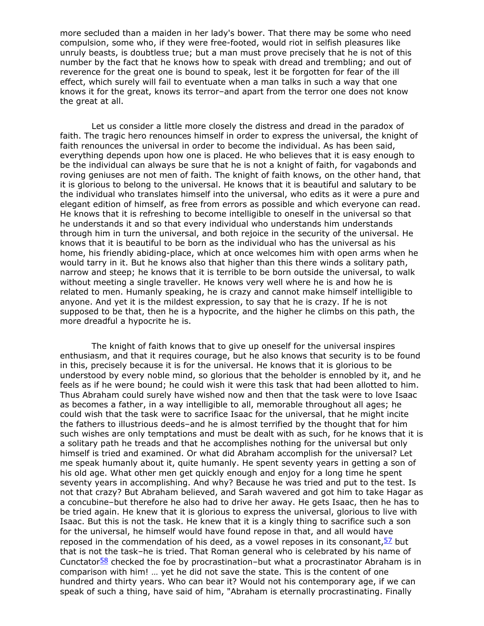more secluded than a maiden in her lady's bower. That there may be some who need compulsion, some who, if they were free-footed, would riot in selfish pleasures like unruly beasts, is doubtless true; but a man must prove precisely that he is not of this number by the fact that he knows how to speak with dread and trembling; and out of reverence for the great one is bound to speak, lest it be forgotten for fear of the ill effect, which surely will fail to eventuate when a man talks in such a way that one knows it for the great, knows its terror–and apart from the terror one does not know the great at all.

Let us consider a little more closely the distress and dread in the paradox of faith. The tragic hero renounces himself in order to express the universal, the knight of faith renounces the universal in order to become the individual. As has been said, everything depends upon how one is placed. He who believes that it is easy enough to be the individual can always be sure that he is not a knight of faith, for vagabonds and roving geniuses are not men of faith. The knight of faith knows, on the other hand, that it is glorious to belong to the universal. He knows that it is beautiful and salutary to be the individual who translates himself into the universal, who edits as it were a pure and elegant edition of himself, as free from errors as possible and which everyone can read. He knows that it is refreshing to become intelligible to oneself in the universal so that he understands it and so that every individual who understands him understands through him in turn the universal, and both rejoice in the security of the universal. He knows that it is beautiful to be born as the individual who has the universal as his home, his friendly abiding-place, which at once welcomes him with open arms when he would tarry in it. But he knows also that higher than this there winds a solitary path, narrow and steep; he knows that it is terrible to be born outside the universal, to walk without meeting a single traveller. He knows very well where he is and how he is related to men. Humanly speaking, he is crazy and cannot make himself intelligible to anyone. And yet it is the mildest expression, to say that he is crazy. If he is not supposed to be that, then he is a hypocrite, and the higher he climbs on this path, the more dreadful a hypocrite he is.

The knight of faith knows that to give up oneself for the universal inspires enthusiasm, and that it requires courage, but he also knows that security is to be found in this, precisely because it is for the universal. He knows that it is glorious to be understood by every noble mind, so glorious that the beholder is ennobled by it, and he feels as if he were bound; he could wish it were this task that had been allotted to him. Thus Abraham could surely have wished now and then that the task were to love Isaac as becomes a father, in a way intelligible to all, memorable throughout all ages; he could wish that the task were to sacrifice Isaac for the universal, that he might incite the fathers to illustrious deeds–and he is almost terrified by the thought that for him such wishes are only temptations and must be dealt with as such, for he knows that it is a solitary path he treads and that he accomplishes nothing for the universal but only himself is tried and examined. Or what did Abraham accomplish for the universal? Let me speak humanly about it, quite humanly. He spent seventy years in getting a son of his old age. What other men get quickly enough and enjoy for a long time he spent seventy years in accomplishing. And why? Because he was tried and put to the test. Is not that crazy? But Abraham believed, and Sarah wavered and got him to take Hagar as a concubine–but therefore he also had to drive her away. He gets Isaac, then he has to be tried again. He knew that it is glorious to express the universal, glorious to live with Isaac. But this is not the task. He knew that it is a kingly thing to sacrifice such a son for the universal, he himself would have found repose in that, and all would have reposed in the commendation of his deed, as a vowel reposes in its consonant,  $57$  but that is not the task–he is tried. That Roman general who is celebrated by his name of Cunctator $58$  checked the foe by procrastination–but what a procrastinator Abraham is in comparison with him! … yet he did not save the state. This is the content of one hundred and thirty years. Who can bear it? Would not his contemporary age, if we can speak of such a thing, have said of him, "Abraham is eternally procrastinating. Finally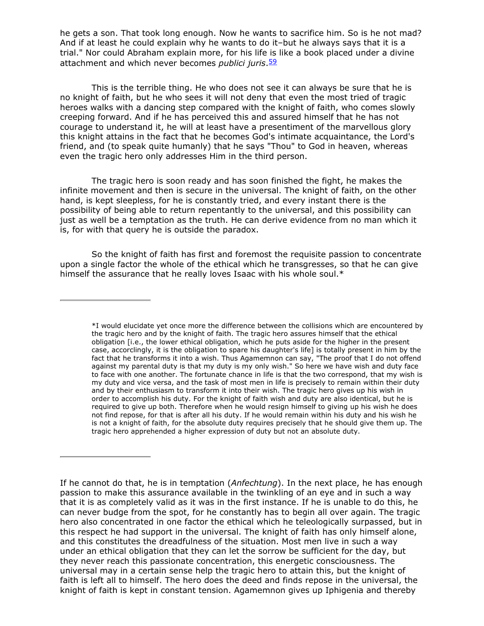he gets a son. That took long enough. Now he wants to sacrifice him. So is he not mad? And if at least he could explain why he wants to do it–but he always says that it is a trial." Nor could Abraham explain more, for his life is like a book placed under a divine attachment and which never becomes *publici juris*.[59](#page-65-11)

This is the terrible thing. He who does not see it can always be sure that he is no knight of faith, but he who sees it will not deny that even the most tried of tragic heroes walks with a dancing step compared with the knight of faith, who comes slowly creeping forward. And if he has perceived this and assured himself that he has not courage to understand it, he will at least have a presentiment of the marvellous glory this knight attains in the fact that he becomes God's intimate acquaintance, the Lord's friend, and (to speak quite humanly) that he says "Thou" to God in heaven, whereas even the tragic hero only addresses Him in the third person.

The tragic hero is soon ready and has soon finished the fight, he makes the infinite movement and then is secure in the universal. The knight of faith, on the other hand, is kept sleepless, for he is constantly tried, and every instant there is the possibility of being able to return repentantly to the universal, and this possibility can just as well be a temptation as the truth. He can derive evidence from no man which it is, for with that query he is outside the paradox.

So the knight of faith has first and foremost the requisite passion to concentrate upon a single factor the whole of the ethical which he transgresses, so that he can give himself the assurance that he really loves Isaac with his whole soul.\*

\*I would elucidate yet once more the difference between the collisions which are encountered by the tragic hero and by the knight of faith. The tragic hero assures himself that the ethical obligation [i.e., the lower ethical obligation, which he puts aside for the higher in the present case, accorclingly, it is the obligation to spare his daughter's life] is totally present in him by the fact that he transforms it into a wish. Thus Agamemnon can say, "The proof that I do not offend against my parental duty is that my duty is my only wish." So here we have wish and duty face to face with one another. The fortunate chance in life is that the two correspond, that my wish is my duty and vice versa, and the task of most men in life is precisely to remain within their duty and by their enthusiasm to transform it into their wish. The tragic hero gives up his wish in order to accomplish his duty. For the knight of faith wish and duty are also identical, but he is required to give up both. Therefore when he would resign himself to giving up his wish he does not find repose, for that is after all his duty. If he would remain within his duty and his wish he is not a knight of faith, for the absolute duty requires precisely that he should give them up. The tragic hero apprehended a higher expression of duty but not an absolute duty.

If he cannot do that, he is in temptation (*Anfechtung*). In the next place, he has enough passion to make this assurance available in the twinkling of an eye and in such a way that it is as completely valid as it was in the first instance. If he is unable to do this, he can never budge from the spot, for he constantly has to begin all over again. The tragic hero also concentrated in one factor the ethical which he teleologically surpassed, but in this respect he had support in the universal. The knight of faith has only himself alone, and this constitutes the dreadfulness of the situation. Most men live in such a way under an ethical obligation that they can let the sorrow be sufficient for the day, but they never reach this passionate concentration, this energetic consciousness. The universal may in a certain sense help the tragic hero to attain this, but the knight of faith is left all to himself. The hero does the deed and finds repose in the universal, the knight of faith is kept in constant tension. Agamemnon gives up Iphigenia and thereby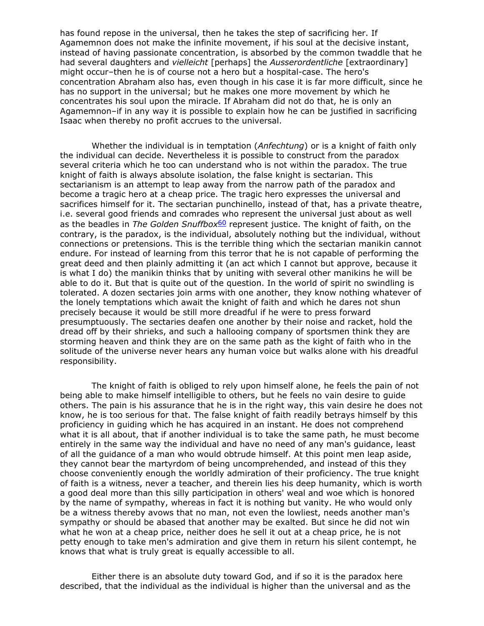has found repose in the universal, then he takes the step of sacrificing her. If Agamemnon does not make the infinite movement, if his soul at the decisive instant, instead of having passionate concentration, is absorbed by the common twaddle that he had several daughters and *vielleicht* [perhaps] the *Ausserordentliche* [extraordinary] might occur–then he is of course not a hero but a hospital-case. The hero's concentration Abraham also has, even though in his case it is far more difficult, since he has no support in the universal; but he makes one more movement by which he concentrates his soul upon the miracle. If Abraham did not do that, he is only an Agamemnon–if in any way it is possible to explain how he can be justified in sacrificing Isaac when thereby no profit accrues to the universal.

Whether the individual is in temptation (*Anfechtung*) or is a knight of faith only the individual can decide. Nevertheless it is possible to construct from the paradox several criteria which he too can understand who is not within the paradox. The true knight of faith is always absolute isolation, the false knight is sectarian. This sectarianism is an attempt to leap away from the narrow path of the paradox and become a tragic hero at a cheap price. The tragic hero expresses the universal and sacrifices himself for it. The sectarian punchinello, instead of that, has a private theatre, i.e. several good friends and comrades who represent the universal just about as well as the beadles in *The Golden Snuffbox*[60](#page-66-0) represent justice. The knight of faith, on the contrary, is the paradox, is the individual, absolutely nothing but the individual, without connections or pretensions. This is the terrible thing which the sectarian manikin cannot endure. For instead of learning from this terror that he is not capable of performing the great deed and then plainly admitting it (an act which I cannot but approve, because it is what I do) the manikin thinks that by uniting with several other manikins he will be able to do it. But that is quite out of the question. In the world of spirit no swindling is tolerated. A dozen sectaries join arms with one another, they know nothing whatever of the lonely temptations which await the knight of faith and which he dares not shun precisely because it would be still more dreadful if he were to press forward presumptuously. The sectaries deafen one another by their noise and racket, hold the dread off by their shrieks, and such a hallooing company of sportsmen think they are storming heaven and think they are on the same path as the kight of faith who in the solitude of the universe never hears any human voice but walks alone with his dreadful responsibility.

The knight of faith is obliged to rely upon himself alone, he feels the pain of not being able to make himself intelligible to others, but he feels no vain desire to guide others. The pain is his assurance that he is in the right way, this vain desire he does not know, he is too serious for that. The false knight of faith readily betrays himself by this proficiency in guiding which he has acquired in an instant. He does not comprehend what it is all about, that if another individual is to take the same path, he must become entirely in the same way the individual and have no need of any man's guidance, least of all the guidance of a man who would obtrude himself. At this point men leap aside, they cannot bear the martyrdom of being uncomprehended, and instead of this they choose conveniently enough the worldly admiration of their proficiency. The true knight of faith is a witness, never a teacher, and therein lies his deep humanity, which is worth a good deal more than this silly participation in others' weal and woe which is honored by the name of sympathy, whereas in fact it is nothing but vanity. He who would only be a witness thereby avows that no man, not even the lowliest, needs another man's sympathy or should be abased that another may be exalted. But since he did not win what he won at a cheap price, neither does he sell it out at a cheap price, he is not petty enough to take men's admiration and give them in return his silent contempt, he knows that what is truly great is equally accessible to all.

Either there is an absolute duty toward God, and if so it is the paradox here described, that the individual as the individual is higher than the universal and as the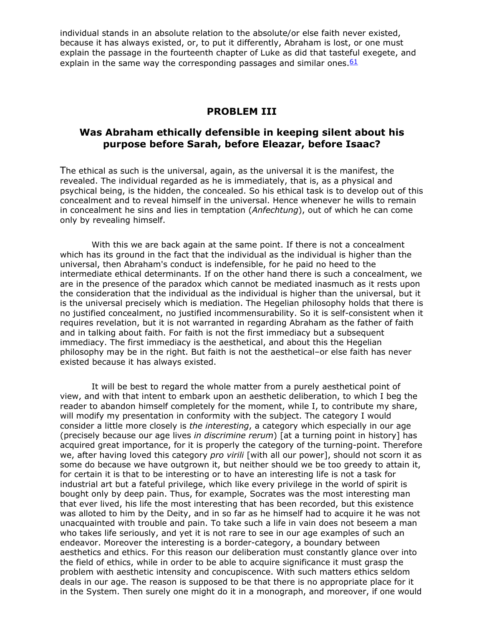<span id="page-38-0"></span>individual stands in an absolute relation to the absolute/or else faith never existed, because it has always existed, or, to put it differently, Abraham is lost, or one must explain the passage in the fourteenth chapter of Luke as did that tasteful exegete, and explain in the same way the corresponding passages and similar ones.  $61$ 

#### **PROBLEM III**

#### **Was Abraham ethically defensible in keeping silent about his purpose before Sarah, before Eleazar, before Isaac?**

The ethical as such is the universal, again, as the universal it is the manifest, the revealed. The individual regarded as he is immediately, that is, as a physical and psychical being, is the hidden, the concealed. So his ethical task is to develop out of this concealment and to reveal himself in the universal. Hence whenever he wills to remain in concealment he sins and lies in temptation (*Anfechtung*), out of which he can come only by revealing himself.

With this we are back again at the same point. If there is not a concealment which has its ground in the fact that the individual as the individual is higher than the universal, then Abraham's conduct is indefensible, for he paid no heed to the intermediate ethical determinants. If on the other hand there is such a concealment, we are in the presence of the paradox which cannot be mediated inasmuch as it rests upon the consideration that the individual as the individual is higher than the universal, but it is the universal precisely which is mediation. The Hegelian philosophy holds that there is no justified concealment, no justified incommensurability. So it is self-consistent when it requires revelation, but it is not warranted in regarding Abraham as the father of faith and in talking about faith. For faith is not the first immediacy but a subsequent immediacy. The first immediacy is the aesthetical, and about this the Hegelian philosophy may be in the right. But faith is not the aesthetical–or else faith has never existed because it has always existed.

It will be best to regard the whole matter from a purely aesthetical point of view, and with that intent to embark upon an aesthetic deliberation, to which I beg the reader to abandon himself completely for the moment, while I, to contribute my share, will modify my presentation in conformity with the subject. The category I would consider a little more closely is *the interesting*, a category which especially in our age (precisely because our age lives *in discrimine rerum*) [at a turning point in history] has acquired great importance, for it is properly the category of the turning-point. Therefore we, after having loved this category *pro virili* [with all our power], should not scorn it as some do because we have outgrown it, but neither should we be too greedy to attain it, for certain it is that to be interesting or to have an interesting life is not a task for industrial art but a fateful privilege, which like every privilege in the world of spirit is bought only by deep pain. Thus, for example, Socrates was the most interesting man that ever lived, his life the most interesting that has been recorded, but this existence was alloted to him by the Deity, and in so far as he himself had to acquire it he was not unacquainted with trouble and pain. To take such a life in vain does not beseem a man who takes life seriously, and yet it is not rare to see in our age examples of such an endeavor. Moreover the interesting is a border-category, a boundary between aesthetics and ethics. For this reason our deliberation must constantly glance over into the field of ethics, while in order to be able to acquire significance it must grasp the problem with aesthetic intensity and concupiscence. With such matters ethics seldom deals in our age. The reason is supposed to be that there is no appropriate place for it in the System. Then surely one might do it in a monograph, and moreover, if one would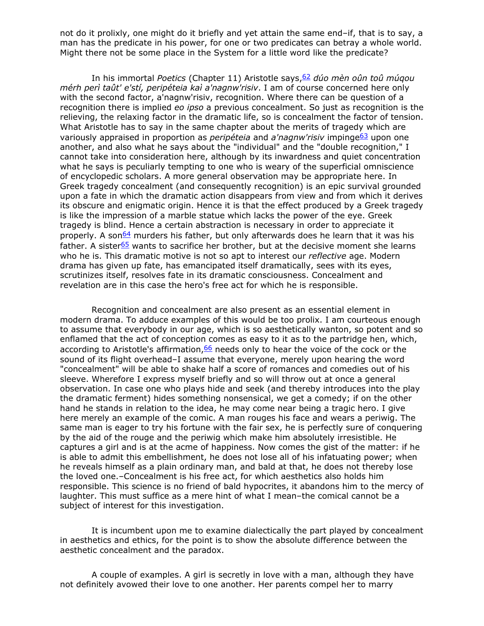not do it prolixly, one might do it briefly and yet attain the same end–if, that is to say, a man has the predicate in his power, for one or two predicates can betray a whole world. Might there not be some place in the System for a little word like the predicate?

In his immortal *Poetics* (Chapter 11) Aristotle says, <sup>62</sup> dúo mèn oûn toû múqou *mérh perì taût' e'stí, peripéteia kaì a'nagnw'risiv*. I am of course concerned here only with the second factor, a'nagnw'risiv, recognition. Where there can be question of a recognition there is implied *eo ipso* a previous concealment. So just as recognition is the relieving, the relaxing factor in the dramatic life, so is concealment the factor of tension. What Aristotle has to say in the same chapter about the merits of tragedy which are variously appraised in proportion as *peripéteia* and *a'nagnw'risiv* imping[e63](#page-66-3) upon one another, and also what he says about the "individual" and the "double recognition," I cannot take into consideration here, although by its inwardness and quiet concentration what he says is peculiarly tempting to one who is weary of the superficial omniscience of encyclopedic scholars. A more general observation may be appropriate here. In Greek tragedy concealment (and consequently recognition) is an epic survival grounded upon a fate in which the dramatic action disappears from view and from which it derives its obscure and enigmatic origin. Hence it is that the effect produced by a Greek tragedy is like the impression of a marble statue which lacks the power of the eye. Greek tragedy is blind. Hence a certain abstraction is necessary in order to appreciate it properly. A son $\frac{64}{1}$  murders his father, but only afterwards does he learn that it was his father. A sister $65$  wants to sacrifice her brother, but at the decisive moment she learns who he is. This dramatic motive is not so apt to interest our *reflective* age. Modern drama has given up fate, has emancipated itself dramatically, sees with its eyes, scrutinizes itself, resolves fate in its dramatic consciousness. Concealment and revelation are in this case the hero's free act for which he is responsible.

Recognition and concealment are also present as an essential element in modern drama. To adduce examples of this would be too prolix. I am courteous enough to assume that everybody in our age, which is so aesthetically wanton, so potent and so enflamed that the act of conception comes as easy to it as to the partridge hen, which, according to Aristotle's affirmation,  $66$  needs only to hear the voice of the cock or the sound of its flight overhead–I assume that everyone, merely upon hearing the word "concealment" will be able to shake half a score of romances and comedies out of his sleeve. Wherefore I express myself briefly and so will throw out at once a general observation. In case one who plays hide and seek (and thereby introduces into the play the dramatic ferment) hides something nonsensical, we get a comedy; if on the other hand he stands in relation to the idea, he may come near being a tragic hero. I give here merely an example of the comic. A man rouges his face and wears a periwig. The same man is eager to try his fortune with the fair sex, he is perfectly sure of conquering by the aid of the rouge and the periwig which make him absolutely irresistible. He captures a girl and is at the acme of happiness. Now comes the gist of the matter: if he is able to admit this embellishment, he does not lose all of his infatuating power; when he reveals himself as a plain ordinary man, and bald at that, he does not thereby lose the loved one.–Concealment is his free act, for which aesthetics also holds him responsible. This science is no friend of bald hypocrites, it abandons him to the mercy of laughter. This must suffice as a mere hint of what I mean–the comical cannot be a subject of interest for this investigation.

It is incumbent upon me to examine dialectically the part played by concealment in aesthetics and ethics, for the point is to show the absolute difference between the aesthetic concealment and the paradox.

A couple of examples. A girl is secretly in love with a man, although they have not definitely avowed their love to one another. Her parents compel her to marry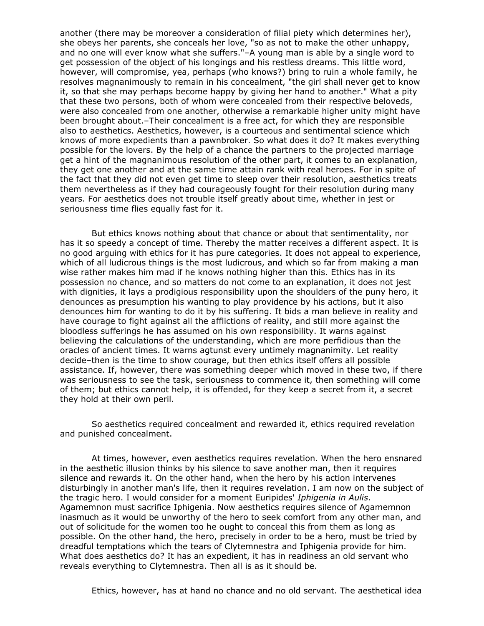another (there may be moreover a consideration of filial piety which determines her), she obeys her parents, she conceals her love, "so as not to make the other unhappy, and no one will ever know what she suffers."–A young man is able by a single word to get possession of the object of his longings and his restless dreams. This little word, however, will compromise, yea, perhaps (who knows?) bring to ruin a whole family, he resolves magnanimously to remain in his concealment, "the girl shall never get to know it, so that she may perhaps become happy by giving her hand to another." What a pity that these two persons, both of whom were concealed from their respective beloveds, were also concealed from one another, otherwise a remarkable higher unity might have been brought about.–Their concealment is a free act, for which they are responsible also to aesthetics. Aesthetics, however, is a courteous and sentimental science which knows of more expedients than a pawnbroker. So what does it do? It makes everything possible for the lovers. By the help of a chance the partners to the projected marriage get a hint of the magnanimous resolution of the other part, it comes to an explanation, they get one another and at the same time attain rank with real heroes. For in spite of the fact that they did not even get time to sleep over their resolution, aesthetics treats them nevertheless as if they had courageously fought for their resolution during many years. For aesthetics does not trouble itself greatly about time, whether in jest or seriousness time flies equally fast for it.

But ethics knows nothing about that chance or about that sentimentality, nor has it so speedy a concept of time. Thereby the matter receives a different aspect. It is no good arguing with ethics for it has pure categories. It does not appeal to experience, which of all ludicrous things is the most ludicrous, and which so far from making a man wise rather makes him mad if he knows nothing higher than this. Ethics has in its possession no chance, and so matters do not come to an explanation, it does not jest with dignities, it lays a prodigious responsibility upon the shoulders of the puny hero, it denounces as presumption his wanting to play providence by his actions, but it also denounces him for wanting to do it by his suffering. It bids a man believe in reality and have courage to fight against all the afflictions of reality, and still more against the bloodless sufferings he has assumed on his own responsibility. It warns against believing the calculations of the understanding, which are more perfidious than the oracles of ancient times. It warns agtunst every untimely magnanimity. Let reality decide–then is the time to show courage, but then ethics itself offers all possible assistance. If, however, there was something deeper which moved in these two, if there was seriousness to see the task, seriousness to commence it, then something will come of them; but ethics cannot help, it is offended, for they keep a secret from it, a secret they hold at their own peril.

So aesthetics required concealment and rewarded it, ethics required revelation and punished concealment.

At times, however, even aesthetics requires revelation. When the hero ensnared in the aesthetic illusion thinks by his silence to save another man, then it requires silence and rewards it. On the other hand, when the hero by his action intervenes disturbingly in another man's life, then it requires revelation. I am now on the subject of the tragic hero. I would consider for a moment Euripides' *Iphigenia in Aulis*. Agamemnon must sacrifice Iphigenia. Now aesthetics requires silence of Agamemnon inasmuch as it would be unworthy of the hero to seek comfort from any other man, and out of solicitude for the women too he ought to conceal this from them as long as possible. On the other hand, the hero, precisely in order to be a hero, must be tried by dreadful temptations which the tears of Clytemnestra and Iphigenia provide for him. What does aesthetics do? It has an expedient, it has in readiness an old servant who reveals everything to Clytemnestra. Then all is as it should be.

Ethics, however, has at hand no chance and no old servant. The aesthetical idea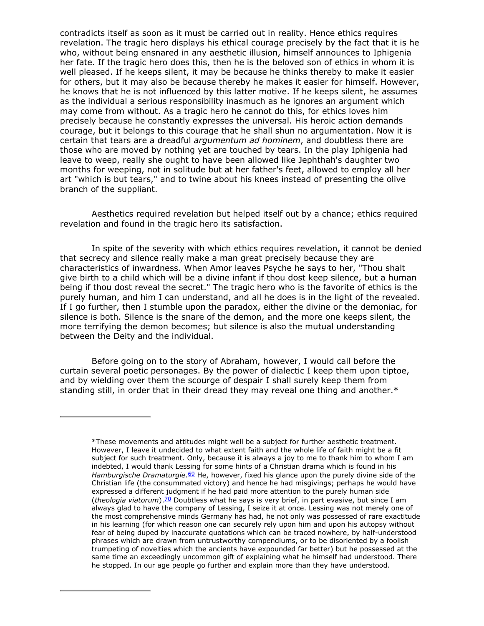contradicts itself as soon as it must be carried out in reality. Hence ethics requires revelation. The tragic hero displays his ethical courage precisely by the fact that it is he who, without being ensnared in any aesthetic illusion, himself announces to Iphigenia her fate. If the tragic hero does this, then he is the beloved son of ethics in whom it is well pleased. If he keeps silent, it may be because he thinks thereby to make it easier for others, but it may also be because thereby he makes it easier for himself. However, he knows that he is not influenced by this latter motive. If he keeps silent, he assumes as the individual a serious responsibility inasmuch as he ignores an argument which may come from without. As a tragic hero he cannot do this, for ethics loves him precisely because he constantly expresses the universal. His heroic action demands courage, but it belongs to this courage that he shall shun no argumentation. Now it is certain that tears are a dreadful *argumentum ad hominem*, and doubtless there are those who are moved by nothing yet are touched by tears. In the play Iphigenia had leave to weep, really she ought to have been allowed like Jephthah's daughter two months for weeping, not in solitude but at her father's feet, allowed to employ all her art "which is but tears," and to twine about his knees instead of presenting the olive branch of the suppliant.

Aesthetics required revelation but helped itself out by a chance; ethics required revelation and found in the tragic hero its satisfaction.

In spite of the severity with which ethics requires revelation, it cannot be denied that secrecy and silence really make a man great precisely because they are characteristics of inwardness. When Amor leaves Psyche he says to her, "Thou shalt give birth to a child which will be a divine infant if thou dost keep silence, but a human being if thou dost reveal the secret." The tragic hero who is the favorite of ethics is the purely human, and him I can understand, and all he does is in the light of the revealed. If I go further, then I stumble upon the paradox, either the divine or the demoniac, for silence is both. Silence is the snare of the demon, and the more one keeps silent, the more terrifying the demon becomes; but silence is also the mutual understanding between the Deity and the individual.

Before going on to the story of Abraham, however, I would call before the curtain several poetic personages. By the power of dialectic I keep them upon tiptoe, and by wielding over them the scourge of despair I shall surely keep them from standing still, in order that in their dread they may reveal one thing and another.\*

<sup>\*</sup>These movements and attitudes might well be a subject for further aesthetic treatment. However, I leave it undecided to what extent faith and the whole life of faith might be a fit subject for such treatment. Only, because it is always a joy to me to thank him to whom I am indebted, I would thank Lessing for some hints of a Christian drama which is found in his *Hamburgische Dramaturgie*.[69](#page-66-7) He, however, fixed his glance upon the purely divine side of the Christian life (the consummated victory) and hence he had misgivings; perhaps he would have expressed a different judgment if he had paid more attention to the purely human side (*theologia viatorum*).[70](#page-66-8) Doubtless what he says is very brief, in part evasive, but since I am always glad to have the company of Lessing, I seize it at once. Lessing was not merely one of the most comprehensive minds Germany has had, he not only was possessed of rare exactitude in his learning (for which reason one can securely rely upon him and upon his autopsy without fear of being duped by inaccurate quotations which can be traced nowhere, by half-understood phrases which are drawn from untrustworthy compendiums, or to be disoriented by a foolish trumpeting of novelties which the ancients have expounded far better) but he possessed at the same time an exceedingly uncommon gift of explaining what he himself had understood. There he stopped. In our age people go further and explain more than they have understood.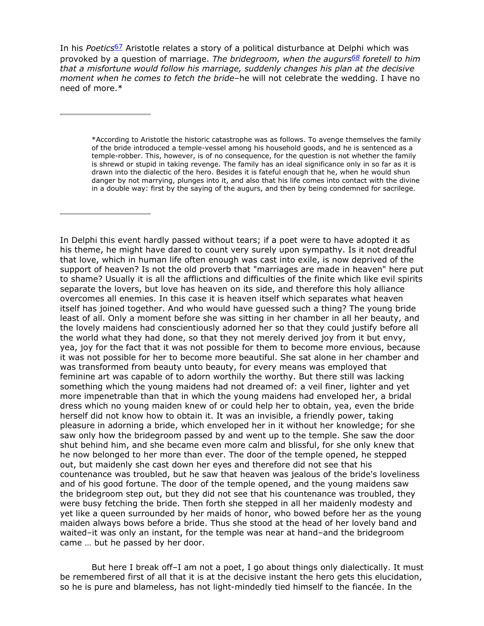In his *Poetics*[67](#page-66-9) Aristotle relates a story of a political disturbance at Delphi which was provoked by a question of marriage. *The bridegroom, when the augurs[68](#page-66-10) foretell to him that a misfortune would follow his marriage, suddenly changes his plan at the decisive moment when he comes to fetch the bride*–he will not celebrate the wedding. I have no need of more.\*

\*According to Aristotle the historic catastrophe was as follows. To avenge themselves the family of the bride introduced a temple-vessel among his household goods, and he is sentenced as a temple-robber. This, however, is of no consequence, for the question is not whether the family is shrewd or stupid in taking revenge. The family has an ideal significance only in so far as it is drawn into the dialectic of the hero. Besides it is fateful enough that he, when he would shun danger by not marrying, plunges into it, and also that his life comes into contact with the divine in a double way: first by the saying of the augurs, and then by being condemned for sacrilege.

In Delphi this event hardly passed without tears; if a poet were to have adopted it as his theme, he might have dared to count very surely upon sympathy. Is it not dreadful that love, which in human life often enough was cast into exile, is now deprived of the support of heaven? Is not the old proverb that "marriages are made in heaven" here put to shame? Usually it is all the afflictions and difficulties of the finite which like evil spirits separate the lovers, but love has heaven on its side, and therefore this holy alliance overcomes all enemies. In this case it is heaven itself which separates what heaven itself has joined together. And who would have guessed such a thing? The young bride least of all. Only a moment before she was sitting in her chamber in all her beauty, and the lovely maidens had conscientiously adorned her so that they could justify before all the world what they had done, so that they not merely derived joy from it but envy, yea, joy for the fact that it was not possible for them to become more envious, because it was not possible for her to become more beautiful. She sat alone in her chamber and was transformed from beauty unto beauty, for every means was employed that feminine art was capable of to adorn worthily the worthy. But there still was lacking something which the young maidens had not dreamed of: a veil finer, lighter and yet more impenetrable than that in which the young maidens had enveloped her, a bridal dress which no young maiden knew of or could help her to obtain, yea, even the bride herself did not know how to obtain it. It was an invisible, a friendly power, taking pleasure in adorning a bride, which enveloped her in it without her knowledge; for she saw only how the bridegroom passed by and went up to the temple. She saw the door shut behind him, and she became even more calm and blissful, for she only knew that he now belonged to her more than ever. The door of the temple opened, he stepped out, but maidenly she cast down her eyes and therefore did not see that his countenance was troubled, but he saw that heaven was jealous of the bride's loveliness and of his good fortune. The door of the temple opened, and the young maidens saw the bridegroom step out, but they did not see that his countenance was troubled, they were busy fetching the bride. Then forth she stepped in all her maidenly modesty and yet like a queen surrounded by her maids of honor, who bowed before her as the young maiden always bows before a bride. Thus she stood at the head of her lovely band and waited–it was only an instant, for the temple was near at hand–and the bridegroom came … but he passed by her door.

But here I break off–I am not a poet, I go about things only dialectically. It must be remembered first of all that it is at the decisive instant the hero gets this elucidation, so he is pure and blameless, has not light-mindedly tied himself to the fiancée. In the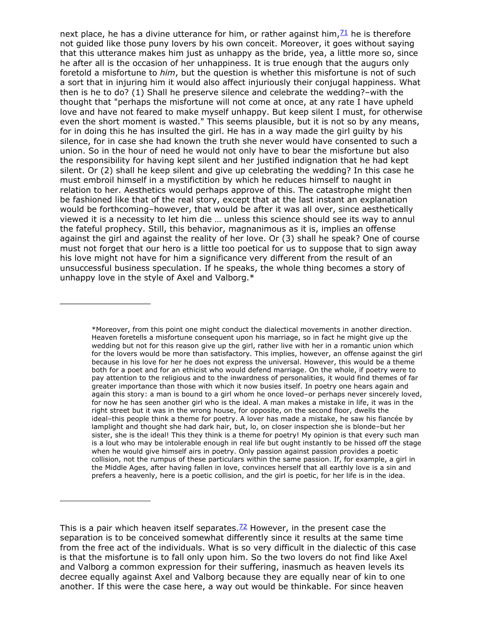next place, he has a divine utterance for him, or rather against him, $71$  he is therefore not guided like those puny lovers by his own conceit. Moreover, it goes without saying that this utterance makes him just as unhappy as the bride, yea, a little more so, since he after all is the occasion of her unhappiness. It is true enough that the augurs only foretold a misfortune to *him*, but the question is whether this misfortune is not of such a sort that in injuring him it would also affect injuriously their conjugal happiness. What then is he to do? (1) Shall he preserve silence and celebrate the wedding?–with the thought that "perhaps the misfortune will not come at once, at any rate I have upheld love and have not feared to make myself unhappy. But keep silent I must, for otherwise even the short moment is wasted." This seems plausible, but it is not so by any means, for in doing this he has insulted the girl. He has in a way made the girl guilty by his silence, for in case she had known the truth she never would have consented to such a union. So in the hour of need he would not only have to bear the misfortune but also the responsibility for having kept silent and her justified indignation that he had kept silent. Or (2) shall he keep silent and give up celebrating the wedding? In this case he must embroil himself in a mystifictition by which he reduces himself to naught in relation to her. Aesthetics would perhaps approve of this. The catastrophe might then be fashioned like that of the real story, except that at the last instant an explanation would be forthcoming–however, that would be after it was all over, since aesthetically viewed it is a necessity to let him die … unless this science should see its way to annul the fateful prophecy. Still, this behavior, magnanimous as it is, implies an offense against the girl and against the reality of her love. Or (3) shall he speak? One of course must not forget that our hero is a little too poetical for us to suppose that to sign away his love might not have for him a significance very different from the result of an unsuccessful business speculation. If he speaks, the whole thing becomes a story of unhappy love in the style of Axel and Valborg.\*

\*Moreover, from this point one might conduct the dialectical movements in another direction. Heaven foretells a misfortune consequent upon his marriage, so in fact he might give up the wedding but not for this reason give up the girl, rather live with her in a romantic union which for the lovers would be more than satisfactory. This implies, however, an offense against the girl because in his love for her he does not express the universal. However, this would be a theme both for a poet and for an ethicist who would defend marriage. On the whole, if poetry were to pay attention to the religious and to the inwardness of personalities, it would find themes of far greater importance than those with which it now busies itself. In poetry one hears again and again this story: a man is bound to a girl whom he once loved–or perhaps never sincerely loved, for now he has seen another girl who is the ideal. A man makes a mistake in life, it was in the right street but it was in the wrong house, for opposite, on the second floor, dwells the ideal–this people think a theme for poetry. A lover has made a mistake, he saw his fiancée by lamplight and thought she had dark hair, but, lo, on closer inspection she is blonde–but her sister, she is the ideal! This they think is a theme for poetry! My opinion is that every such man is a lout who may be intolerable enough in real life but ought instantly to be hissed off the stage when he would give himself airs in poetry. Only passion against passion provides a poetic collision, not the rumpus of these particulars within the same passion. If, for example, a girl in the Middle Ages, after having fallen in love, convinces herself that all earthly love is a sin and prefers a heavenly, here is a poetic collision, and the girl is poetic, for her life is in the idea.

This is a pair which heaven itself separates.<sup>72</sup> However, in the present case the separation is to be conceived somewhat differently since it results at the same time from the free act of the individuals. What is so very difficult in the dialectic of this case is that the misfortune is to fall only upon him. So the two lovers do not find like Axel and Valborg a common expression for their suffering, inasmuch as heaven levels its decree equally against Axel and Valborg because they are equally near of kin to one another. If this were the case here, a way out would be thinkable. For since heaven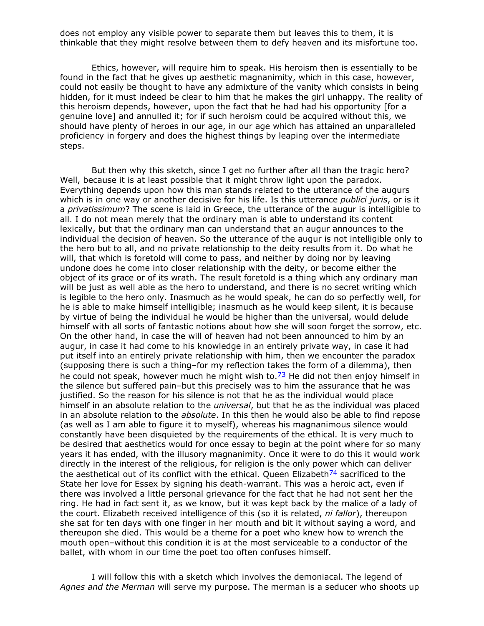does not employ any visible power to separate them but leaves this to them, it is thinkable that they might resolve between them to defy heaven and its misfortune too.

Ethics, however, will require him to speak. His heroism then is essentially to be found in the fact that he gives up aesthetic magnanimity, which in this case, however, could not easily be thought to have any admixture of the vanity which consists in being hidden, for it must indeed be clear to him that he makes the girl unhappy. The reality of this heroism depends, however, upon the fact that he had had his opportunity [for a genuine love] and annulled it; for if such heroism could be acquired without this, we should have plenty of heroes in our age, in our age which has attained an unparalleled proficiency in forgery and does the highest things by leaping over the intermediate steps.

But then why this sketch, since I get no further after all than the tragic hero? Well, because it is at least possible that it might throw light upon the paradox. Everything depends upon how this man stands related to the utterance of the augurs which is in one way or another decisive for his life. Is this utterance *publici juris*, or is it a *privatissimum*? The scene is laid in Greece, the utterance of the augur is intelligible to all. I do not mean merely that the ordinary man is able to understand its content lexically, but that the ordinary man can understand that an augur announces to the individual the decision of heaven. So the utterance of the augur is not intelligible only to the hero but to all, and no private relationship to the deity results from it. Do what he will, that which is foretold will come to pass, and neither by doing nor by leaving undone does he come into closer relationship with the deity, or become either the object of its grace or of its wrath. The result foretold is a thing which any ordinary man will be just as well able as the hero to understand, and there is no secret writing which is legible to the hero only. Inasmuch as he would speak, he can do so perfectly well, for he is able to make himself intelligible; inasmuch as he would keep silent, it is because by virtue of being the individual he would be higher than the universal, would delude himself with all sorts of fantastic notions about how she will soon forget the sorrow, etc. On the other hand, in case the will of heaven had not been announced to him by an augur, in case it had come to his knowledge in an entirely private way, in case it had put itself into an entirely private relationship with him, then we encounter the paradox (supposing there is such a thing–for my reflection takes the form of a dilemma), then he could not speak, however much he might wish to. $\frac{73}{1}$  He did not then enjoy himself in the silence but suffered pain–but this precisely was to him the assurance that he was justified. So the reason for his silence is not that he as the individual would place himself in an absolute relation to the *universal*, but that he as the individual was placed in an absolute relation to the *absolute*. In this then he would also be able to find repose (as well as I am able to figure it to myself), whereas his magnanimous silence would constantly have been disquieted by the requirements of the ethical. It is very much to be desired that aesthetics would for once essay to begin at the point where for so many years it has ended, with the illusory magnanimity. Once it were to do this it would work directly in the interest of the religious, for religion is the only power which can deliver the aesthetical out of its conflict with the ethical. Queen Elizabeth $^{74}$  sacrificed to the State her love for Essex by signing his death-warrant. This was a heroic act, even if there was involved a little personal grievance for the fact that he had not sent her the ring. He had in fact sent it, as we know, but it was kept back by the malice of a lady of the court. Elizabeth received intelligence of this (so it is related, *ni fallor*), thereupon she sat for ten days with one finger in her mouth and bit it without saying a word, and thereupon she died. This would be a theme for a poet who knew how to wrench the mouth open–without this condition it is at the most serviceable to a conductor of the ballet, with whom in our time the poet too often confuses himself.

I will follow this with a sketch which involves the demoniacal. The legend of *Agnes and the Merman* will serve my purpose. The merman is a seducer who shoots up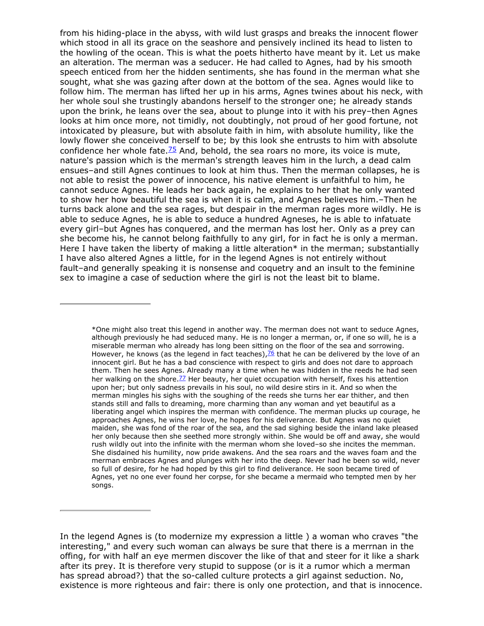from his hiding-place in the abyss, with wild lust grasps and breaks the innocent flower which stood in all its grace on the seashore and pensively inclined its head to listen to the howling of the ocean. This is what the poets hitherto have meant by it. Let us make an alteration. The merman was a seducer. He had called to Agnes, had by his smooth speech enticed from her the hidden sentiments, she has found in the merman what she sought, what she was gazing after down at the bottom of the sea. Agnes would like to follow him. The merman has lifted her up in his arms, Agnes twines about his neck, with her whole soul she trustingly abandons herself to the stronger one; he already stands upon the brink, he leans over the sea, about to plunge into it with his prey–then Agnes looks at him once more, not timidly, not doubtingly, not proud of her good fortune, not intoxicated by pleasure, but with absolute faith in him, with absolute humility, like the lowly flower she conceived herself to be; by this look she entrusts to him with absolute confidence her whole fate. $75$  And, behold, the sea roars no more, its voice is mute, nature's passion which is the merman's strength leaves him in the lurch, a dead calm ensues–and still Agnes continues to look at him thus. Then the merman collapses, he is not able to resist the power of innocence, his native element is unfaithful to him, he cannot seduce Agnes. He leads her back again, he explains to her that he only wanted to show her how beautiful the sea is when it is calm, and Agnes believes him.–Then he turns back alone and the sea rages, but despair in the merman rages more wildly. He is able to seduce Agnes, he is able to seduce a hundred Agneses, he is able to infatuate every girl–but Agnes has conquered, and the merman has lost her. Only as a prey can she become his, he cannot belong faithfully to any girl, for in fact he is only a merman. Here I have taken the liberty of making a little alteration<sup>\*</sup> in the merman; substantially I have also altered Agnes a little, for in the legend Agnes is not entirely without fault–and generally speaking it is nonsense and coquetry and an insult to the feminine sex to imagine a case of seduction where the girl is not the least bit to blame.

\*One might also treat this legend in another way. The merman does not want to seduce Agnes, although previously he had seduced many. He is no longer a merman, or, if one so will, he is a miserable merman who already has long been sitting on the floor of the sea and sorrowing. However, he knows (as the legend in fact teaches),  $\frac{76}{6}$  $\frac{76}{6}$  $\frac{76}{6}$  that he can be delivered by the love of an innocent girl. But he has a bad conscience with respect to girls and does not dare to approach them. Then he sees Agnes. Already many a time when he was hidden in the reeds he had seen her walking on the shore. $\frac{77}{2}$  Her beauty, her quiet occupation with herself, fixes his attention upon her; but only sadness prevails in his soul, no wild desire stirs in it. And so when the merman mingles his sighs with the soughing of the reeds she turns her ear thither, and then stands still and falls to dreaming, more charming than any woman and yet beautiful as a liberating angel which inspires the merman with confidence. The merman plucks up courage, he approaches Agnes, he wins her love, he hopes for his deliverance. But Agnes was no quiet maiden, she was fond of the roar of the sea, and the sad sighing beside the inland lake pleased her only because then she seethed more strongly within. She would be off and away, she would rush wildly out into the infinite with the merman whom she loved–so she incites the memman. She disdained his humility, now pride awakens. And the sea roars and the waves foam and the merman embraces Agnes and plunges with her into the deep. Never had he been so wild, never so full of desire, for he had hoped by this girl to find deliverance. He soon became tired of Agnes, yet no one ever found her corpse, for she became a mermaid who tempted men by her songs.

In the legend Agnes is (to modernize my expression a little ) a woman who craves "the interesting," and every such woman can always be sure that there is a merrnan in the offing, for with half an eye mermen discover the like of that and steer for it like a shark after its prey. It is therefore very stupid to suppose (or is it a rumor which a merman has spread abroad?) that the so-called culture protects a girl against seduction. No, existence is more righteous and fair: there is only one protection, and that is innocence.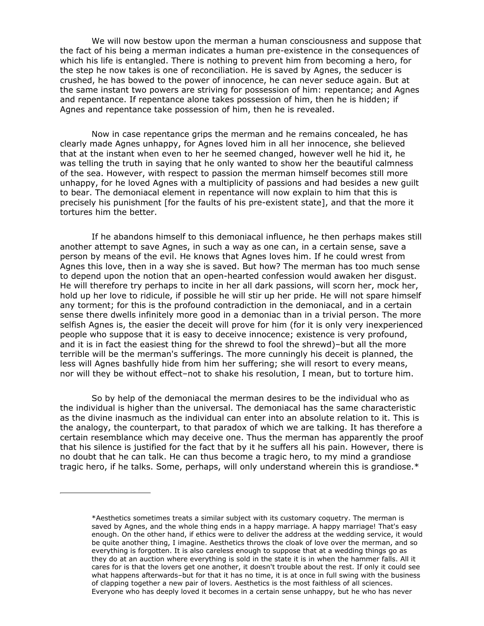We will now bestow upon the merman a human consciousness and suppose that the fact of his being a merman indicates a human pre-existence in the consequences of which his life is entangled. There is nothing to prevent him from becoming a hero, for the step he now takes is one of reconciliation. He is saved by Agnes, the seducer is crushed, he has bowed to the power of innocence, he can never seduce again. But at the same instant two powers are striving for possession of him: repentance; and Agnes and repentance. If repentance alone takes possession of him, then he is hidden; if Agnes and repentance take possession of him, then he is revealed.

Now in case repentance grips the merman and he remains concealed, he has clearly made Agnes unhappy, for Agnes loved him in all her innocence, she believed that at the instant when even to her he seemed changed, however well he hid it, he was telling the truth in saying that he only wanted to show her the beautiful calmness of the sea. However, with respect to passion the merman himself becomes still more unhappy, for he loved Agnes with a multiplicity of passions and had besides a new guilt to bear. The demoniacal element in repentance will now explain to him that this is precisely his punishment [for the faults of his pre-existent state], and that the more it tortures him the better.

If he abandons himself to this demoniacal influence, he then perhaps makes still another attempt to save Agnes, in such a way as one can, in a certain sense, save a person by means of the evil. He knows that Agnes loves him. If he could wrest from Agnes this love, then in a way she is saved. But how? The merman has too much sense to depend upon the notion that an open-hearted confession would awaken her disgust. He will therefore try perhaps to incite in her all dark passions, will scorn her, mock her, hold up her love to ridicule, if possible he will stir up her pride. He will not spare himself any torment; for this is the profound contradiction in the demoniacal, and in a certain sense there dwells infinitely more good in a demoniac than in a trivial person. The more selfish Agnes is, the easier the deceit will prove for him (for it is only very inexperienced people who suppose that it is easy to deceive innocence; existence is very profound, and it is in fact the easiest thing for the shrewd to fool the shrewd)–but all the more terrible will be the merman's sufferings. The more cunningly his deceit is planned, the less will Agnes bashfully hide from him her suffering; she will resort to every means, nor will they be without effect–not to shake his resolution, I mean, but to torture him.

So by help of the demoniacal the merman desires to be the individual who as the individual is higher than the universal. The demoniacal has the same characteristic as the divine inasmuch as the individual can enter into an absolute relation to it. This is the analogy, the counterpart, to that paradox of which we are talking. It has therefore a certain resemblance which may deceive one. Thus the merman has apparently the proof that his silence is justified for the fact that by it he suffers all his pain. However, there is no doubt that he can talk. He can thus become a tragic hero, to my mind a grandiose tragic hero, if he talks. Some, perhaps, will only understand wherein this is grandiose.\*

<sup>\*</sup>Aesthetics sometimes treats a similar subject with its customary coquetry. The merman is saved by Agnes, and the whole thing ends in a happy marriage. A happy marriage! That's easy enough. On the other hand, if ethics were to deliver the address at the wedding service, it would be quite another thing, I imagine. Aesthetics throws the cloak of love over the merman, and so everything is forgotten. It is also careless enough to suppose that at a wedding things go as they do at an auction where everything is sold in the state it is in when the hammer falls. All it cares for is that the lovers get one another, it doesn't trouble about the rest. If only it could see what happens afterwards–but for that it has no time, it is at once in full swing with the business of clapping together a new pair of lovers. Aesthetics is the most faithless of all sciences. Everyone who has deeply loved it becomes in a certain sense unhappy, but he who has never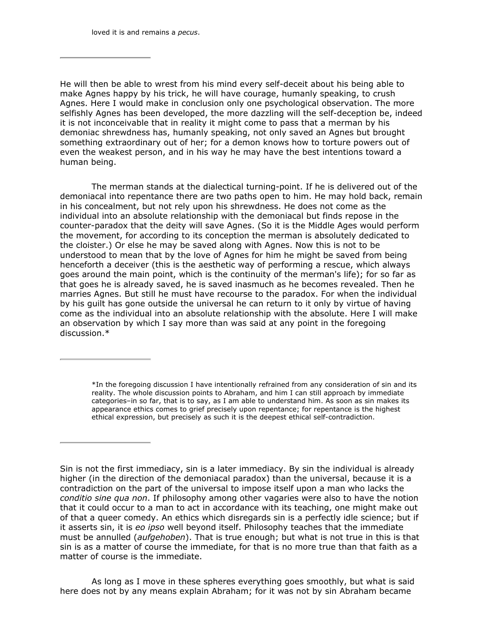He will then be able to wrest from his mind every self-deceit about his being able to make Agnes happy by his trick, he will have courage, humanly speaking, to crush Agnes. Here I would make in conclusion only one psychological observation. The more selfishly Agnes has been developed, the more dazzling will the self-deception be, indeed it is not inconceivable that in reality it might come to pass that a merman by his demoniac shrewdness has, humanly speaking, not only saved an Agnes but brought something extraordinary out of her; for a demon knows how to torture powers out of even the weakest person, and in his way he may have the best intentions toward a human being.

The merman stands at the dialectical turning-point. If he is delivered out of the demoniacal into repentance there are two paths open to him. He may hold back, remain in his concealment, but not rely upon his shrewdness. He does not come as the individual into an absolute relationship with the demoniacal but finds repose in the counter-paradox that the deity will save Agnes. (So it is the Middle Ages would perform the movement, for according to its conception the merman is absolutely dedicated to the cloister.) Or else he may be saved along with Agnes. Now this is not to be understood to mean that by the love of Agnes for him he might be saved from being henceforth a deceiver (this is the aesthetic way of performing a rescue, which always goes around the main point, which is the continuity of the merman's life); for so far as that goes he is already saved, he is saved inasmuch as he becomes revealed. Then he marries Agnes. But still he must have recourse to the paradox. For when the individual by his guilt has gone outside the universal he can return to it only by virtue of having come as the individual into an absolute relationship with the absolute. Here I will make an observation by which I say more than was said at any point in the foregoing discussion.\*

\*In the foregoing discussion I have intentionally refrained from any consideration of sin and its reality. The whole discussion points to Abraham, and him I can still approach by immediate categories–in so far, that is to say, as I am able to understand him. As soon as sin makes its appearance ethics comes to grief precisely upon repentance; for repentance is the highest ethical expression, but precisely as such it is the deepest ethical self-contradiction.

Sin is not the first immediacy, sin is a later immediacy. By sin the individual is already higher (in the direction of the demoniacal paradox) than the universal, because it is a contradiction on the part of the universal to impose itself upon a man who lacks the *conditio sine qua non*. If philosophy among other vagaries were also to have the notion that it could occur to a man to act in accordance with its teaching, one might make out of that a queer comedy. An ethics which disregards sin is a perfectly idle science; but if it asserts sin, it is *eo ipso* well beyond itself. Philosophy teaches that the immediate must be annulled (*aufgehoben*). That is true enough; but what is not true in this is that sin is as a matter of course the immediate, for that is no more true than that faith as a matter of course is the immediate.

As long as I move in these spheres everything goes smoothly, but what is said here does not by any means explain Abraham; for it was not by sin Abraham became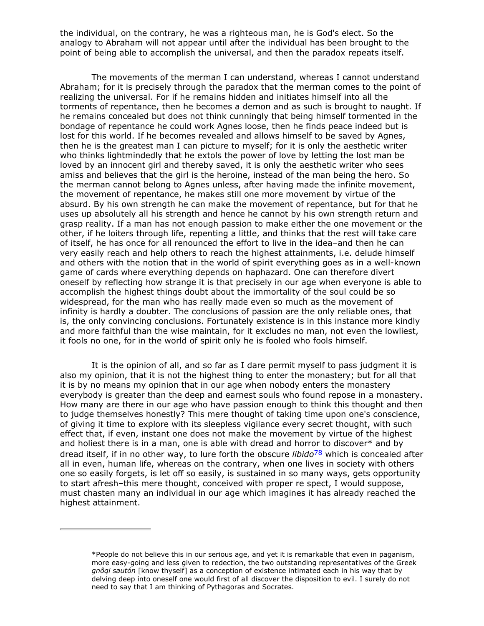the individual, on the contrary, he was a righteous man, he is God's elect. So the analogy to Abraham will not appear until after the individual has been brought to the point of being able to accomplish the universal, and then the paradox repeats itself.

The movements of the merman I can understand, whereas I cannot understand Abraham; for it is precisely through the paradox that the merman comes to the point of realizing the universal. For if he remains hidden and initiates himself into all the torments of repentance, then he becomes a demon and as such is brought to naught. If he remains concealed but does not think cunningly that being himself tormented in the bondage of repentance he could work Agnes loose, then he finds peace indeed but is lost for this world. If he becomes revealed and allows himself to be saved by Agnes, then he is the greatest man I can picture to myself; for it is only the aesthetic writer who thinks lightmindedly that he extols the power of love by letting the lost man be loved by an innocent girl and thereby saved, it is only the aesthetic writer who sees amiss and believes that the girl is the heroine, instead of the man being the hero. So the merman cannot belong to Agnes unless, after having made the infinite movement, the movement of repentance, he makes still one more movement by virtue of the absurd. By his own strength he can make the movement of repentance, but for that he uses up absolutely all his strength and hence he cannot by his own strength return and grasp reality. If a man has not enough passion to make either the one movement or the other, if he loiters through life, repenting a little, and thinks that the rest will take care of itself, he has once for all renounced the effort to live in the idea–and then he can very easily reach and help others to reach the highest attainments, i.e. delude himself and others with the notion that in the world of spirit everything goes as in a well-known game of cards where everything depends on haphazard. One can therefore divert oneself by reflecting how strange it is that precisely in our age when everyone is able to accomplish the highest things doubt about the immortality of the soul could be so widespread, for the man who has really made even so much as the movement of infinity is hardly a doubter. The conclusions of passion are the only reliable ones, that is, the only convincing conclusions. Fortunately existence is in this instance more kindly and more faithful than the wise maintain, for it excludes no man, not even the lowliest, it fools no one, for in the world of spirit only he is fooled who fools himself.

It is the opinion of all, and so far as I dare permit myself to pass judgment it is also my opinion, that it is not the highest thing to enter the monastery; but for all that it is by no means my opinion that in our age when nobody enters the monastery everybody is greater than the deep and earnest souls who found repose in a monastery. How many are there in our age who have passion enough to think this thought and then to judge themselves honestly? This mere thought of taking time upon one's conscience, of giving it time to explore with its sleepless vigilance every secret thought, with such effect that, if even, instant one does not make the movement by virtue of the highest and holiest there is in a man, one is able with dread and horror to discover\* and by dread itself, if in no other way, to lure forth the obscure *libido*[78](#page-67-2) which is concealed after all in even, human life, whereas on the contrary, when one lives in society with others one so easily forgets, is let off so easily, is sustained in so many ways, gets opportunity to start afresh–this mere thought, conceived with proper re spect, I would suppose, must chasten many an individual in our age which imagines it has already reached the highest attainment.

<sup>\*</sup>People do not believe this in our serious age, and yet it is remarkable that even in paganism, more easy-going and less given to redection, the two outstanding representatives of the Greek *gnôqi sautón* [know thyself] as a conception of existence intimated each in his way that by delving deep into oneself one would first of all discover the disposition to evil. I surely do not need to say that I am thinking of Pythagoras and Socrates.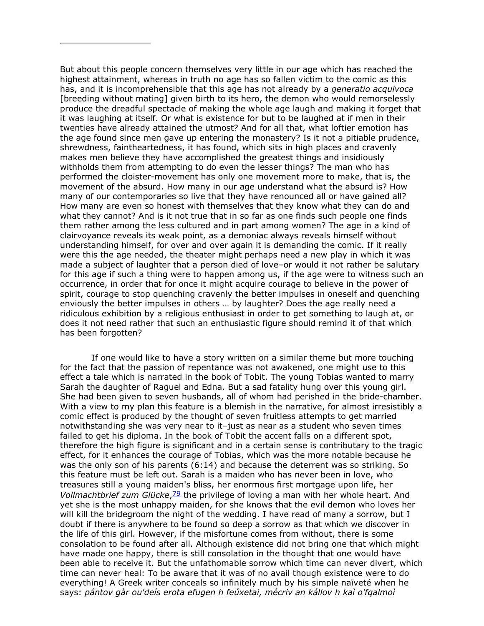But about this people concern themselves very little in our age which has reached the highest attainment, whereas in truth no age has so fallen victim to the comic as this has, and it is incomprehensible that this age has not already by a *generatio acquivoca* [breeding without mating] given birth to its hero, the demon who would remorselessly produce the dreadful spectacle of making the whole age laugh and making it forget that it was laughing at itself. Or what is existence for but to be laughed at if men in their twenties have already attained the utmost? And for all that, what loftier emotion has the age found since men gave up entering the monastery? Is it not a pitiable prudence, shrewdness, faintheartedness, it has found, which sits in high places and cravenly makes men believe they have accomplished the greatest things and insidiously withholds them from attempting to do even the lesser things? The man who has performed the cloister-movement has only one movement more to make, that is, the movement of the absurd. How many in our age understand what the absurd is? How many of our contemporaries so live that they have renounced all or have gained all? How many are even so honest with themselves that they know what they can do and what they cannot? And is it not true that in so far as one finds such people one finds them rather among the less cultured and in part among women? The age in a kind of clairvoyance reveals its weak point, as a demoniac always reveals himself without understanding himself, for over and over again it is demanding the comic. If it really were this the age needed, the theater might perhaps need a new play in which it was made a subject of laughter that a person died of love–or would it not rather be salutary for this age if such a thing were to happen among us, if the age were to witness such an occurrence, in order that for once it might acquire courage to believe in the power of spirit, courage to stop quenching cravenly the better impulses in oneself and quenching enviously the better impulses in others … by laughter? Does the age really need a ridiculous exhibition by a religious enthusiast in order to get something to laugh at, or does it not need rather that such an enthusiastic figure should remind it of that which has been forgotten?

If one would like to have a story written on a similar theme but more touching for the fact that the passion of repentance was not awakened, one might use to this effect a tale which is narrated in the book of Tobit. The young Tobias wanted to marry Sarah the daughter of Raguel and Edna. But a sad fatality hung over this young girl. She had been given to seven husbands, all of whom had perished in the bride-chamber. With a view to my plan this feature is a blemish in the narrative, for almost irresistibly a comic effect is produced by the thought of seven fruitless attempts to get married notwithstanding she was very near to it–just as near as a student who seven times failed to get his diploma. In the book of Tobit the accent falls on a different spot, therefore the high figure is significant and in a certain sense is contributary to the tragic effect, for it enhances the courage of Tobias, which was the more notable because he was the only son of his parents (6:14) and because the deterrent was so striking. So this feature must be left out. Sarah is a maiden who has never been in love, who treasures still a young maiden's bliss, her enormous first mortgage upon life, her *Vollmachtbrief zum Glücke*[,79](#page-67-3) the privilege of loving a man with her whole heart. And yet she is the most unhappy maiden, for she knows that the evil demon who loves her will kill the bridegroom the night of the wedding. I have read of many a sorrow, but I doubt if there is anywhere to be found so deep a sorrow as that which we discover in the life of this girl. However, if the misfortune comes from without, there is some consolation to be found after all. Although existence did not bring one that which might have made one happy, there is still consolation in the thought that one would have been able to receive it. But the unfathomable sorrow which time can never divert, which time can never heal: To be aware that it was of no avail though existence were to do everything! A Greek writer conceals so infinitely much by his simple naïveté when he says: *pántov gàr ou'deís erota efugen h feúxetai, mécriv an kállov h kaì o'fqalmoì*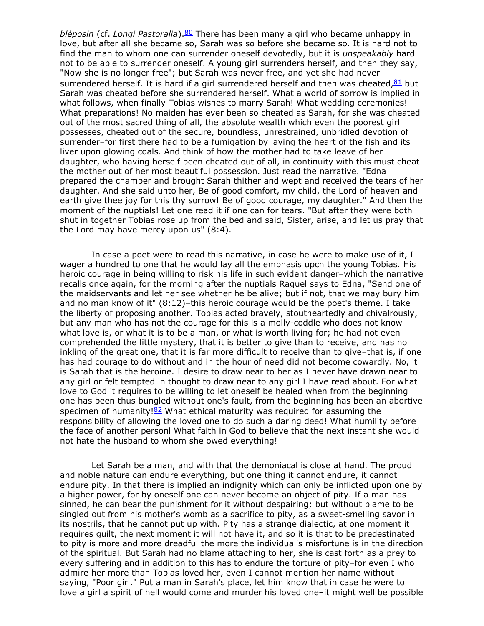*bléposin* (cf. *Longi Pastoralia*)[.80](#page-67-4) There has been many a girl who became unhappy in love, but after all she became so, Sarah was so before she became so. It is hard not to find the man to whom one can surrender oneself devotedly, but it is *unspeakably* hard not to be able to surrender oneself. A young girl surrenders herself, and then they say, "Now she is no longer free"; but Sarah was never free, and yet she had never surrendered herself. It is hard if a girl surrendered herself and then was cheated,  $81$  but Sarah was cheated before she surrendered herself. What a world of sorrow is implied in what follows, when finally Tobias wishes to marry Sarah! What wedding ceremonies! What preparations! No maiden has ever been so cheated as Sarah, for she was cheated out of the most sacred thing of all, the absolute wealth which even the poorest girl possesses, cheated out of the secure, boundless, unrestrained, unbridled devotion of surrender–for first there had to be a fumigation by laying the heart of the fish and its liver upon glowing coals. And think of how the mother had to take leave of her daughter, who having herself been cheated out of all, in continuity with this must cheat the mother out of her most beautiful possession. Just read the narrative. "Edna prepared the chamber and brought Sarah thither and wept and received the tears of her daughter. And she said unto her, Be of good comfort, my child, the Lord of heaven and earth give thee joy for this thy sorrow! Be of good courage, my daughter." And then the moment of the nuptials! Let one read it if one can for tears. "But after they were both shut in together Tobias rose up from the bed and said, Sister, arise, and let us pray that the Lord may have mercy upon us" (8:4).

In case a poet were to read this narrative, in case he were to make use of it, I wager a hundred to one that he would lay all the emphasis upcn the young Tobias. His heroic courage in being willing to risk his life in such evident danger–which the narrative recalls once again, for the morning after the nuptials Raguel says to Edna, "Send one of the maidservants and let her see whether he be alive; but if not, that we may bury him and no man know of it" (8:12)–this heroic courage would be the poet's theme. I take the liberty of proposing another. Tobias acted bravely, stoutheartedly and chivalrously, but any man who has not the courage for this is a molly-coddle who does not know what love is, or what it is to be a man, or what is worth living for; he had not even comprehended the little mystery, that it is better to give than to receive, and has no inkling of the great one, that it is far more difficult to receive than to give–that is, if one has had courage to do without and in the hour of need did not become cowardly. No, it is Sarah that is the heroine. I desire to draw near to her as I never have drawn near to any girl or felt tempted in thought to draw near to any girl I have read about. For what love to God it requires to be willing to let oneself be healed when from the beginning one has been thus bungled without one's fault, from the beginning has been an abortive specimen of humanity! $82$  What ethical maturity was required for assuming the responsibility of allowing the loved one to do such a daring deed! What humility before the face of another personl What faith in God to believe that the next instant she would not hate the husband to whom she owed everything!

Let Sarah be a man, and with that the demoniacal is close at hand. The proud and noble nature can endure everything, but one thing it cannot endure, it cannot endure pity. In that there is implied an indignity which can only be inflicted upon one by a higher power, for by oneself one can never become an object of pity. If a man has sinned, he can bear the punishment for it without despairing; but without blame to be singled out from his mother's womb as a sacrifice to pity, as a sweet-smelling savor in its nostrils, that he cannot put up with. Pity has a strange dialectic, at one moment it requires guilt, the next moment it will not have it, and so it is that to be predestinated to pity is more and more dreadful the more the individual's misfortune is in the direction of the spiritual. But Sarah had no blame attaching to her, she is cast forth as a prey to every suffering and in addition to this has to endure the torture of pity–for even I who admire her more than Tobias loved her, even I cannot mention her name without saying, "Poor girl." Put a man in Sarah's place, let him know that in case he were to love a girl a spirit of hell would come and murder his loved one–it might well be possible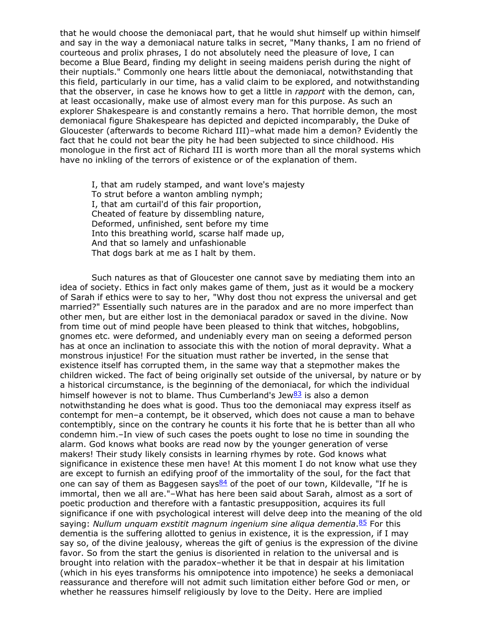that he would choose the demoniacal part, that he would shut himself up within himself and say in the way a demoniacal nature talks in secret, "Many thanks, I am no friend of courteous and prolix phrases, I do not absolutely need the pleasure of love, I can become a Blue Beard, finding my delight in seeing maidens perish during the night of their nuptials." Commonly one hears little about the demoniacal, notwithstanding that this field, particularly in our time, has a valid claim to be explored, and notwithstanding that the observer, in case he knows how to get a little in *rapport* with the demon, can, at least occasionally, make use of almost every man for this purpose. As such an explorer Shakespeare is and constantly remains a hero. That horrible demon, the most demoniacal figure Shakespeare has depicted and depicted incomparably, the Duke of Gloucester (afterwards to become Richard III)–what made him a demon? Evidently the fact that he could not bear the pity he had been subjected to since childhood. His monologue in the first act of Richard III is worth more than all the moral systems which have no inkling of the terrors of existence or of the explanation of them.

I, that am rudely stamped, and want love's majesty To strut before a wanton ambling nymph; I, that am curtail'd of this fair proportion, Cheated of feature by dissembling nature, Deformed, unfinished, sent before my time Into this breathing world, scarse half made up, And that so lamely and unfashionable That dogs bark at me as I halt by them.

Such natures as that of Gloucester one cannot save by mediating them into an idea of society. Ethics in fact only makes game of them, just as it would be a mockery of Sarah if ethics were to say to her, "Why dost thou not express the universal and get married?" Essentially such natures are in the paradox and are no more imperfect than other men, but are either lost in the demoniacal paradox or saved in the divine. Now from time out of mind people have been pleased to think that witches, hobgoblins, gnomes etc. were deformed, and undeniably every man on seeing a deformed person has at once an inclination to associate this with the notion of moral depravity. What a monstrous injustice! For the situation must rather be inverted, in the sense that existence itself has corrupted them, in the same way that a stepmother makes the children wicked. The fact of being originally set outside of the universal, by nature or by a historical circumstance, is the beginning of the demoniacal, for which the individual himself however is not to blame. Thus Cumberland's Jew $\frac{83}{3}$  is also a demon notwithstanding he does what is good. Thus too the demoniacal may express itself as contempt for men–a contempt, be it observed, which does not cause a man to behave contemptibly, since on the contrary he counts it his forte that he is better than all who condemn him.–In view of such cases the poets ought to lose no time in sounding the alarm. God knows what books are read now by the younger generation of verse makers! Their study likely consists in learning rhymes by rote. God knows what significance in existence these men have! At this moment I do not know what use they are except to furnish an edifying proof of the immortality of the soul, for the fact that one can say of them as Baggesen says $\frac{84}{9}$  of the poet of our town, Kildevalle, "If he is immortal, then we all are."–What has here been said about Sarah, almost as a sort of poetic production and therefore with a fantastic presupposition, acquires its full significance if one with psychological interest will delve deep into the meaning of the old saying: *Nullum unguam exstitit magnum ingenium sine aligua dementia*.<sup>[85](#page-67-9)</sup> For this dementia is the suffering allotted to genius in existence, it is the expression, if I may say so, of the divine jealousy, whereas the gift of genius is the expression of the divine favor. So from the start the genius is disoriented in relation to the universal and is brought into relation with the paradox–whether it be that in despair at his limitation (which in his eyes transforms his omnipotence into impotence) he seeks a demoniacal reassurance and therefore will not admit such limitation either before God or men, or whether he reassures himself religiously by love to the Deity. Here are implied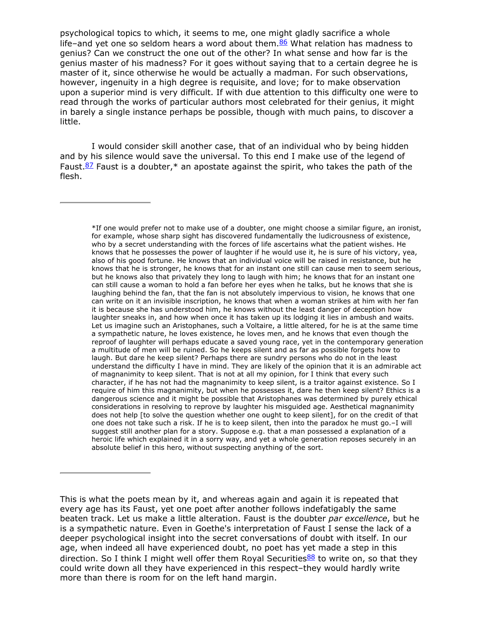psychological topics to which, it seems to me, one might gladly sacrifice a whole life–and yet one so seldom hears a word about them. $86$  What relation has madness to genius? Can we construct the one out of the other? In what sense and how far is the genius master of his madness? For it goes without saying that to a certain degree he is master of it, since otherwise he would be actually a madman. For such observations, however, ingenuity in a high degree is requisite, and love; for to make observation upon a superior mind is very difficult. If with due attention to this difficulty one were to read through the works of particular authors most celebrated for their genius, it might in barely a single instance perhaps be possible, though with much pains, to discover a little.

I would consider skill another case, that of an individual who by being hidden and by his silence would save the universal. To this end I make use of the legend of Faust. $87$  Faust is a doubter,\* an apostate against the spirit, who takes the path of the flesh.

\*If one would prefer not to make use of a doubter, one might choose a similar figure, an ironist, for example, whose sharp sight has discovered fundamentally the ludicrousness of existence, who by a secret understanding with the forces of life ascertains what the patient wishes. He knows that he possesses the power of laughter if he would use it, he is sure of his victory, yea, also of his good fortune. He knows that an individual voice will be raised in resistance, but he knows that he is stronger, he knows that for an instant one still can cause men to seem serious, but he knows also that privately they long to laugh with him; he knows that for an instant one can still cause a woman to hold a fan before her eyes when he talks, but he knows that she is laughing behind the fan, that the fan is not absolutely impervious to vision, he knows that one can write on it an invisible inscription, he knows that when a woman strikes at him with her fan it is because she has understood him, he knows without the least danger of deception how laughter sneaks in, and how when once it has taken up its lodging it lies in ambush and waits. Let us imagine such an Aristophanes, such a Voltaire, a little altered, for he is at the same time a sympathetic nature, he loves existence, he loves men, and he knows that even though the reproof of laughter will perhaps educate a saved young race, yet in the contemporary generation a multitude of men will be ruined. So he keeps silent and as far as possible forgets how to laugh. But dare he keep silent? Perhaps there are sundry persons who do not in the least understand the difficulty I have in mind. They are likely of the opinion that it is an admirable act of magnanimity to keep silent. That is not at all my opinion, for I think that every such character, if he has not had the magnanimity to keep silent, is a traitor against existence. So I require of him this magnanimity, but when he possesses it, dare he then keep silent? Ethics is a dangerous science and it might be possible that Aristophanes was determined by purely ethical considerations in resolving to reprove by laughter his misguided age. Aesthetical magnanimity does not help [to solve the question whether one ought to keep silent], for on the credit of that one does not take such a risk. If he is to keep silent, then into the paradox he must go.–I will suggest still another plan for a story. Suppose e.g. that a man possessed a explanation of a heroic life which explained it in a sorry way, and yet a whole generation reposes securely in an absolute belief in this hero, without suspecting anything of the sort.

This is what the poets mean by it, and whereas again and again it is repeated that every age has its Faust, yet one poet after another follows indefatigably the same beaten track. Let us make a little alteration. Faust is the doubter *par excellence*, but he is a sympathetic nature. Even in Goethe's interpretation of Faust I sense the lack of a deeper psychological insight into the secret conversations of doubt with itself. In our age, when indeed all have experienced doubt, no poet has yet made a step in this direction. So I think I might well offer them Royal Securities  $88$  to write on, so that they could write down all they have experienced in this respect–they would hardly write more than there is room for on the left hand margin.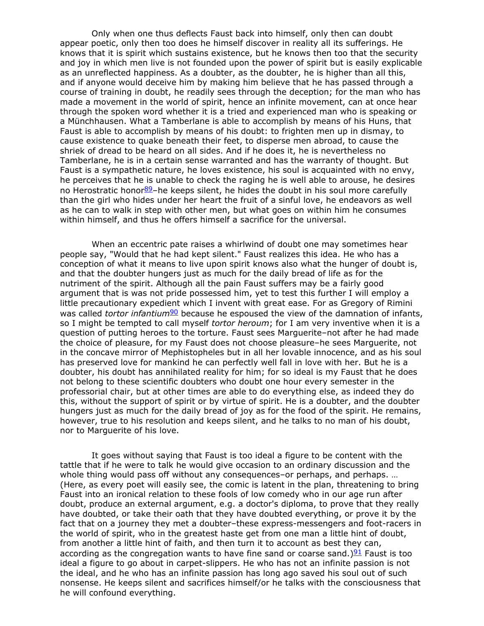Only when one thus deflects Faust back into himself, only then can doubt appear poetic, only then too does he himself discover in reality all its sufferings. He knows that it is spirit which sustains existence, but he knows then too that the security and joy in which men live is not founded upon the power of spirit but is easily explicable as an unreflected happiness. As a doubter, as the doubter, he is higher than all this, and if anyone would deceive him by making him believe that he has passed through a course of training in doubt, he readily sees through the deception; for the man who has made a movement in the world of spirit, hence an infinite movement, can at once hear through the spoken word whether it is a tried and experienced man who is speaking or a Münchhausen. What a Tamberlane is able to accomplish by means of his Huns, that Faust is able to accomplish by means of his doubt: to frighten men up in dismay, to cause existence to quake beneath their feet, to disperse men abroad, to cause the shriek of dread to be heard on all sides. And if he does it, he is nevertheless no Tamberlane, he is in a certain sense warranted and has the warranty of thought. But Faust is a sympathetic nature, he loves existence, his soul is acquainted with no envy, he perceives that he is unable to check the raging he is well able to arouse, he desires no Herostratic honor $89$ –he keeps silent, he hides the doubt in his soul more carefully than the girl who hides under her heart the fruit of a sinful love, he endeavors as well as he can to walk in step with other men, but what goes on within him he consumes within himself, and thus he offers himself a sacrifice for the universal.

When an eccentric pate raises a whirlwind of doubt one may sometimes hear people say, "Would that he had kept silent." Faust realizes this idea. He who has a conception of what it means to live upon spirit knows also what the hunger of doubt is, and that the doubter hungers just as much for the daily bread of life as for the nutriment of the spirit. Although all the pain Faust suffers may be a fairly good argument that is was not pride possessed him, yet to test this further I will employ a little precautionary expedient which I invent with great ease. For as Gregory of Rimini was called *tortor infantium*<sup>[90](#page-68-0)</sup> because he espoused the view of the damnation of infants, so I might be tempted to call myself *tortor heroum*; for I am very inventive when it is a question of putting heroes to the torture. Faust sees Marguerite–not after he had made the choice of pleasure, for my Faust does not choose pleasure–he sees Marguerite, not in the concave mirror of Mephistopheles but in all her lovable innocence, and as his soul has preserved love for mankind he can perfectly well fall in love with her. But he is a doubter, his doubt has annihilated reality for him; for so ideal is my Faust that he does not belong to these scientific doubters who doubt one hour every semester in the professorial chair, but at other times are able to do everything else, as indeed they do this, without the support of spirit or by virtue of spirit. He is a doubter, and the doubter hungers just as much for the daily bread of joy as for the food of the spirit. He remains, however, true to his resolution and keeps silent, and he talks to no man of his doubt, nor to Marguerite of his love.

It goes without saying that Faust is too ideal a figure to be content with the tattle that if he were to talk he would give occasion to an ordinary discussion and the whole thing would pass off without any consequences-or perhaps, and perhaps. ... (Here, as every poet will easily see, the comic is latent in the plan, threatening to bring Faust into an ironical relation to these fools of low comedy who in our age run after doubt, produce an external argument, e.g. a doctor's diploma, to prove that they really have doubted, or take their oath that they have doubted everything, or prove it by the fact that on a journey they met a doubter–these express-messengers and foot-racers in the world of spirit, who in the greatest haste get from one man a little hint of doubt, from another a little hint of faith, and then turn it to account as best they can, according as the congregation wants to have fine sand or coarse sand.) $91$  Faust is too ideal a figure to go about in carpet-slippers. He who has not an infinite passion is not the ideal, and he who has an infinite passion has long ago saved his soul out of such nonsense. He keeps silent and sacrifices himself/or he talks with the consciousness that he will confound everything.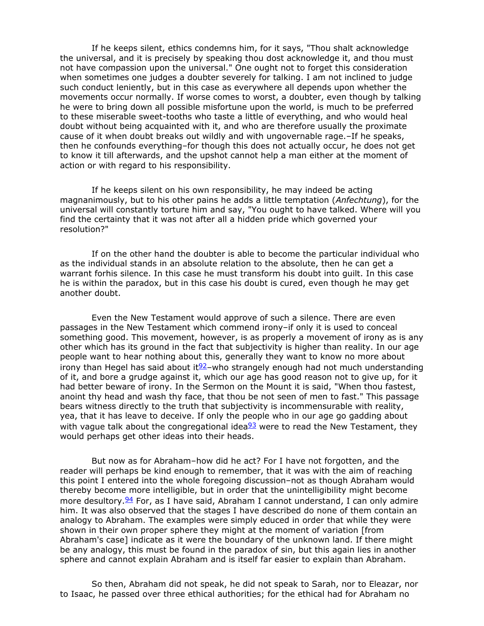If he keeps silent, ethics condemns him, for it says, "Thou shalt acknowledge the universal, and it is precisely by speaking thou dost acknowledge it, and thou must not have compassion upon the universal." One ought not to forget this consideration when sometimes one judges a doubter severely for talking. I am not inclined to judge such conduct leniently, but in this case as everywhere all depends upon whether the movements occur normally. If worse comes to worst, a doubter, even though by talking he were to bring down all possible misfortune upon the world, is much to be preferred to these miserable sweet-tooths who taste a little of everything, and who would heal doubt without being acquainted with it, and who are therefore usually the proximate cause of it when doubt breaks out wildly and with ungovernable rage.–If he speaks, then he confounds everything–for though this does not actually occur, he does not get to know it till afterwards, and the upshot cannot help a man either at the moment of action or with regard to his responsibility.

If he keeps silent on his own responsibility, he may indeed be acting magnanimously, but to his other pains he adds a little temptation (*Anfechtung*), for the universal will constantly torture him and say, "You ought to have talked. Where will you find the certainty that it was not after all a hidden pride which governed your resolution?"

If on the other hand the doubter is able to become the particular individual who as the individual stands in an absolute relation to the absolute, then he can get a warrant forhis silence. In this case he must transform his doubt into guilt. In this case he is within the paradox, but in this case his doubt is cured, even though he may get another doubt.

Even the New Testament would approve of such a silence. There are even passages in the New Testament which commend irony–if only it is used to conceal something good. This movement, however, is as properly a movement of irony as is any other which has its ground in the fact that subjectivity is higher than reality. In our age people want to hear nothing about this, generally they want to know no more about irony than Hegel has said about it $92$ –who strangely enough had not much understanding of it, and bore a grudge against it, which our age has good reason not to give up, for it had better beware of irony. In the Sermon on the Mount it is said, "When thou fastest, anoint thy head and wash thy face, that thou be not seen of men to fast." This passage bears witness directly to the truth that subjectivity is incommensurable with reality, yea, that it has leave to deceive. If only the people who in our age go gadding about with vague talk about the congregational idea $93$  were to read the New Testament, they would perhaps get other ideas into their heads.

But now as for Abraham–how did he act? For I have not forgotten, and the reader will perhaps be kind enough to remember, that it was with the aim of reaching this point I entered into the whole foregoing discussion–not as though Abraham would thereby become more intelligible, but in order that the unintelligibility might become more desultory.  $94$  For, as I have said, Abraham I cannot understand, I can only admire him. It was also observed that the stages I have described do none of them contain an analogy to Abraham. The examples were simply educed in order that while they were shown in their own proper sphere they might at the moment of variation [from Abraham's case] indicate as it were the boundary of the unknown land. If there might be any analogy, this must be found in the paradox of sin, but this again lies in another sphere and cannot explain Abraham and is itself far easier to explain than Abraham.

So then, Abraham did not speak, he did not speak to Sarah, nor to Eleazar, nor to Isaac, he passed over three ethical authorities; for the ethical had for Abraham no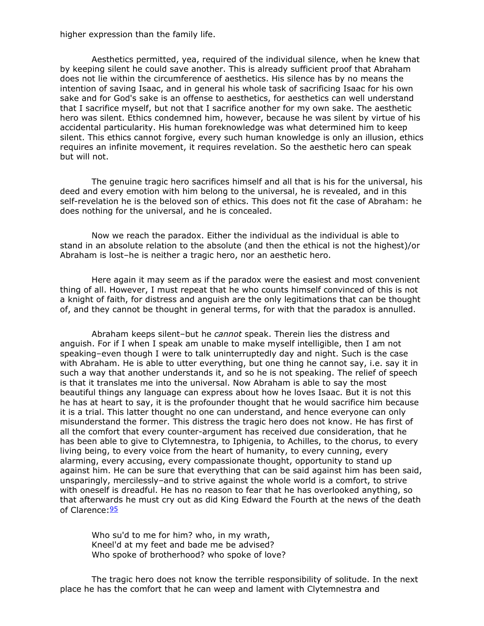higher expression than the family life.

Aesthetics permitted, yea, required of the individual silence, when he knew that by keeping silent he could save another. This is already sufficient proof that Abraham does not lie within the circumference of aesthetics. His silence has by no means the intention of saving Isaac, and in general his whole task of sacrificing Isaac for his own sake and for God's sake is an offense to aesthetics, for aesthetics can well understand that I sacrifice myself, but not that I sacrifice another for my own sake. The aesthetic hero was silent. Ethics condemned him, however, because he was silent by virtue of his accidental particularity. His human foreknowledge was what determined him to keep silent. This ethics cannot forgive, every such human knowledge is only an illusion, ethics requires an infinite movement, it requires revelation. So the aesthetic hero can speak but will not.

The genuine tragic hero sacrifices himself and all that is his for the universal, his deed and every emotion with him belong to the universal, he is revealed, and in this self-revelation he is the beloved son of ethics. This does not fit the case of Abraham: he does nothing for the universal, and he is concealed.

Now we reach the paradox. Either the individual as the individual is able to stand in an absolute relation to the absolute (and then the ethical is not the highest)/or Abraham is lost–he is neither a tragic hero, nor an aesthetic hero.

Here again it may seem as if the paradox were the easiest and most convenient thing of all. However, I must repeat that he who counts himself convinced of this is not a knight of faith, for distress and anguish are the only legitimations that can be thought of, and they cannot be thought in general terms, for with that the paradox is annulled.

Abraham keeps silent–but he *cannot* speak. Therein lies the distress and anguish. For if I when I speak am unable to make myself intelligible, then I am not speaking–even though I were to talk uninterruptedly day and night. Such is the case with Abraham. He is able to utter everything, but one thing he cannot say, i.e. say it in such a way that another understands it, and so he is not speaking. The relief of speech is that it translates me into the universal. Now Abraham is able to say the most beautiful things any language can express about how he loves Isaac. But it is not this he has at heart to say, it is the profounder thought that he would sacrifice him because it is a trial. This latter thought no one can understand, and hence everyone can only misunderstand the former. This distress the tragic hero does not know. He has first of all the comfort that every counter-argument has received due consideration, that he has been able to give to Clytemnestra, to Iphigenia, to Achilles, to the chorus, to every living being, to every voice from the heart of humanity, to every cunning, every alarming, every accusing, every compassionate thought, opportunity to stand up against him. He can be sure that everything that can be said against him has been said, unsparingly, mercilessly–and to strive against the whole world is a comfort, to strive with oneself is dreadful. He has no reason to fear that he has overlooked anything, so that afterwards he must cry out as did King Edward the Fourth at the news of the death of Clarence: [95](#page-68-5)

Who su'd to me for him? who, in my wrath, Kneel'd at my feet and bade me be advised? Who spoke of brotherhood? who spoke of love?

The tragic hero does not know the terrible responsibility of solitude. In the next place he has the comfort that he can weep and lament with Clytemnestra and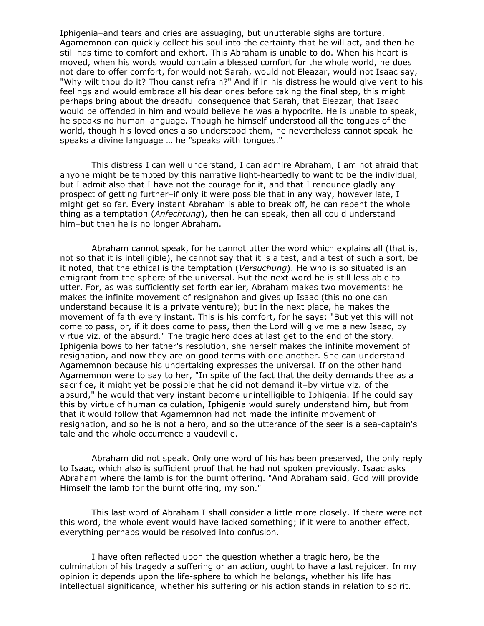Iphigenia–and tears and cries are assuaging, but unutterable sighs are torture. Agamemnon can quickly collect his soul into the certainty that he will act, and then he still has time to comfort and exhort. This Abraham is unable to do. When his heart is moved, when his words would contain a blessed comfort for the whole world, he does not dare to offer comfort, for would not Sarah, would not Eleazar, would not Isaac say, "Why wilt thou do it? Thou canst refrain?" And if in his distress he would give vent to his feelings and would embrace all his dear ones before taking the final step, this might perhaps bring about the dreadful consequence that Sarah, that Eleazar, that Isaac would be offended in him and would believe he was a hypocrite. He is unable to speak, he speaks no human language. Though he himself understood all the tongues of the world, though his loved ones also understood them, he nevertheless cannot speak–he speaks a divine language … he "speaks with tongues."

This distress I can well understand, I can admire Abraham, I am not afraid that anyone might be tempted by this narrative light-heartedly to want to be the individual, but I admit also that I have not the courage for it, and that I renounce gladly any prospect of getting further–if only it were possible that in any way, however late, I might get so far. Every instant Abraham is able to break off, he can repent the whole thing as a temptation (*Anfechtung*), then he can speak, then all could understand him–but then he is no longer Abraham.

Abraham cannot speak, for he cannot utter the word which explains all (that is, not so that it is intelligible), he cannot say that it is a test, and a test of such a sort, be it noted, that the ethical is the temptation (*Versuchung*). He who is so situated is an emigrant from the sphere of the universal. But the next word he is still less able to utter. For, as was sufficiently set forth earlier, Abraham makes two movements: he makes the infinite movement of resignahon and gives up Isaac (this no one can understand because it is a private venture); but in the next place, he makes the movement of faith every instant. This is his comfort, for he says: "But yet this will not come to pass, or, if it does come to pass, then the Lord will give me a new Isaac, by virtue viz. of the absurd." The tragic hero does at last get to the end of the story. Iphigenia bows to her father's resolution, she herself makes the infinite movement of resignation, and now they are on good terms with one another. She can understand Agamemnon because his undertaking expresses the universal. If on the other hand Agamemnon were to say to her, "In spite of the fact that the deity demands thee as a sacrifice, it might yet be possible that he did not demand it–by virtue viz. of the absurd," he would that very instant become unintelligible to Iphigenia. If he could say this by virtue of human calculation, Iphigenia would surely understand him, but from that it would follow that Agamemnon had not made the infinite movement of resignation, and so he is not a hero, and so the utterance of the seer is a sea-captain's tale and the whole occurrence a vaudeville.

Abraham did not speak. Only one word of his has been preserved, the only reply to Isaac, which also is sufficient proof that he had not spoken previously. Isaac asks Abraham where the lamb is for the burnt offering. "And Abraham said, God will provide Himself the lamb for the burnt offering, my son."

This last word of Abraham I shall consider a little more closely. If there were not this word, the whole event would have lacked something; if it were to another effect, everything perhaps would be resolved into confusion.

I have often reflected upon the question whether a tragic hero, be the culmination of his tragedy a suffering or an action, ought to have a last rejoicer. In my opinion it depends upon the life-sphere to which he belongs, whether his life has intellectual significance, whether his suffering or his action stands in relation to spirit.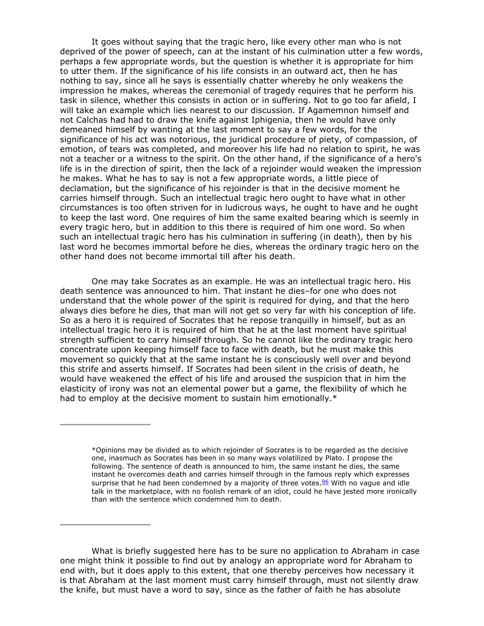It goes without saying that the tragic hero, like every other man who is not deprived of the power of speech, can at the instant of his culmination utter a few words, perhaps a few appropriate words, but the question is whether it is appropriate for him to utter them. If the significance of his life consists in an outward act, then he has nothing to say, since all he says is essentially chatter whereby he only weakens the impression he makes, whereas the ceremonial of tragedy requires that he perform his task in silence, whether this consists in action or in suffering. Not to go too far afield, I will take an example which lies nearest to our discussion. If Agamemnon himself and not Calchas had had to draw the knife against Iphigenia, then he would have only demeaned himself by wanting at the last moment to say a few words, for the significance of his act was notorious, the juridical procedure of piety, of compassion, of emotion, of tears was completed, and moreover his life had no relation to spirit, he was not a teacher or a witness to the spirit. On the other hand, if the significance of a hero's life is in the direction of spirit, then the lack of a rejoinder would weaken the impression he makes. What he has to say is not a few appropriate words, a little piece of declamation, but the significance of his rejoinder is that in the decisive moment he carries himself through. Such an intellectual tragic hero ought to have what in other circumstances is too often striven for in ludicrous ways, he ought to have and he ought to keep the last word. One requires of him the same exalted bearing which is seemly in every tragic hero, but in addition to this there is required of him one word. So when such an intellectual tragic hero has his culmination in suffering (in death), then by his last word he becomes immortal before he dies, whereas the ordinary tragic hero on the other hand does not become immortal till after his death.

One may take Socrates as an example. He was an intellectual tragic hero. His death sentence was announced to him. That instant he dies–for one who does not understand that the whole power of the spirit is required for dying, and that the hero always dies before he dies, that man will not get so very far with his conception of life. So as a hero it is required of Socrates that he repose tranquilly in himself, but as an intellectual tragic hero it is required of him that he at the last moment have spiritual strength sufficient to carry himself through. So he cannot like the ordinary tragic hero concentrate upon keeping himself face to face with death, but he must make this movement so quickly that at the same instant he is consciously well over and beyond this strife and asserts himself. If Socrates had been silent in the crisis of death, he would have weakened the effect of his life and aroused the suspicion that in him the elasticity of irony was not an elemental power but a game, the flexibility of which he had to employ at the decisive moment to sustain him emotionally.\*

<sup>\*</sup>Opinions may be divided as to which rejoinder of Socrates is to be regarded as the decisive one, inasmuch as Socrates has been in so many ways volatilized by Plato. I propose the following. The sentence of death is announced to him, the same instant he dies, the same instant he overcomes death and carries himself through in the famous reply which expresses surprise that he had been condemned by a majority of three votes.<sup>96</sup> With no vague and idle talk in the marketplace, with no foolish remark of an idiot, could he have jested more ironically than with the sentence which condemned him to death.

What is briefly suggested here has to be sure no application to Abraham in case one might think it possible to find out by analogy an appropriate word for Abraham to end with, but it does apply to this extent, that one thereby perceives how necessary it is that Abraham at the last moment must carry himself through, must not silently draw the knife, but must have a word to say, since as the father of faith he has absolute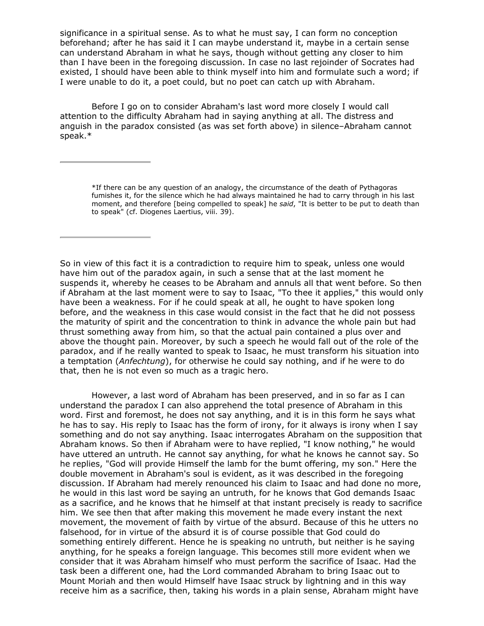significance in a spiritual sense. As to what he must say, I can form no conception beforehand; after he has said it I can maybe understand it, maybe in a certain sense can understand Abraham in what he says, though without getting any closer to him than I have been in the foregoing discussion. In case no last rejoinder of Socrates had existed, I should have been able to think myself into him and formulate such a word; if I were unable to do it, a poet could, but no poet can catch up with Abraham.

Before I go on to consider Abraham's last word more closely I would call attention to the difficulty Abraham had in saying anything at all. The distress and anguish in the paradox consisted (as was set forth above) in silence–Abraham cannot speak.\*

\*If there can be any question of an analogy, the circumstance of the death of Pythagoras fumishes it, for the silence which he had always maintained he had to carry through in his last moment, and therefore [being compelled to speak] he *said*, "It is better to be put to death than to speak" (cf. Diogenes Laertius, viii. 39).

So in view of this fact it is a contradiction to require him to speak, unless one would have him out of the paradox again, in such a sense that at the last moment he suspends it, whereby he ceases to be Abraham and annuls all that went before. So then if Abraham at the last moment were to say to Isaac, "To thee it applies," this would only have been a weakness. For if he could speak at all, he ought to have spoken long before, and the weakness in this case would consist in the fact that he did not possess the maturity of spirit and the concentration to think in advance the whole pain but had thrust something away from him, so that the actual pain contained a plus over and above the thought pain. Moreover, by such a speech he would fall out of the role of the paradox, and if he really wanted to speak to Isaac, he must transform his situation into a temptation (*Anfechtung*), for otherwise he could say nothing, and if he were to do that, then he is not even so much as a tragic hero.

However, a last word of Abraham has been preserved, and in so far as I can understand the paradox I can also apprehend the total presence of Abraham in this word. First and foremost, he does not say anything, and it is in this form he says what he has to say. His reply to Isaac has the form of irony, for it always is irony when I say something and do not say anything. Isaac interrogates Abraham on the supposition that Abraham knows. So then if Abraham were to have replied, "I know nothing," he would have uttered an untruth. He cannot say anything, for what he knows he cannot say. So he replies, "God will provide Himself the lamb for the bumt offering, my son." Here the double movement in Abraham's soul is evident, as it was described in the foregoing discussion. If Abraham had merely renounced his claim to Isaac and had done no more, he would in this last word be saying an untruth, for he knows that God demands Isaac as a sacrifice, and he knows that he himself at that instant precisely is ready to sacrifice him. We see then that after making this movement he made every instant the next movement, the movement of faith by virtue of the absurd. Because of this he utters no falsehood, for in virtue of the absurd it is of course possible that God could do something entirely different. Hence he is speaking no untruth, but neither is he saying anything, for he speaks a foreign language. This becomes still more evident when we consider that it was Abraham himself who must perform the sacrifice of Isaac. Had the task been a different one, had the Lord commanded Abraham to bring Isaac out to Mount Moriah and then would Himself have Isaac struck by lightning and in this way receive him as a sacrifice, then, taking his words in a plain sense, Abraham might have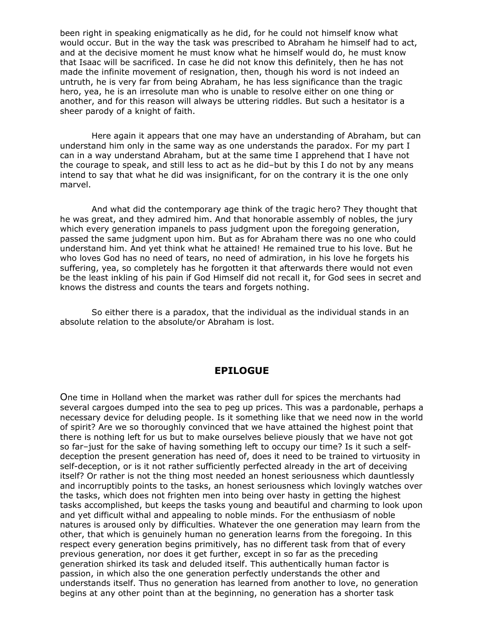been right in speaking enigmatically as he did, for he could not himself know what would occur. But in the way the task was prescribed to Abraham he himself had to act, and at the decisive moment he must know what he himself would do, he must know that Isaac will be sacrificed. In case he did not know this definitely, then he has not made the infinite movement of resignation, then, though his word is not indeed an untruth, he is very far from being Abraham, he has less significance than the tragic hero, yea, he is an irresolute man who is unable to resolve either on one thing or another, and for this reason will always be uttering riddles. But such a hesitator is a sheer parody of a knight of faith.

Here again it appears that one may have an understanding of Abraham, but can understand him only in the same way as one understands the paradox. For my part I can in a way understand Abraham, but at the same time I apprehend that I have not the courage to speak, and still less to act as he did–but by this I do not by any means intend to say that what he did was insignificant, for on the contrary it is the one only marvel.

And what did the contemporary age think of the tragic hero? They thought that he was great, and they admired him. And that honorable assembly of nobles, the jury which every generation impanels to pass judgment upon the foregoing generation, passed the same judgment upon him. But as for Abraham there was no one who could understand him. And yet think what he attained! He remained true to his love. But he who loves God has no need of tears, no need of admiration, in his love he forgets his suffering, yea, so completely has he forgotten it that afterwards there would not even be the least inkling of his pain if God Himself did not recall it, for God sees in secret and knows the distress and counts the tears and forgets nothing.

<span id="page-59-0"></span>So either there is a paradox, that the individual as the individual stands in an absolute relation to the absolute/or Abraham is lost.

#### **EPILOGUE**

One time in Holland when the market was rather dull for spices the merchants had several cargoes dumped into the sea to peg up prices. This was a pardonable, perhaps a necessary device for deluding people. Is it something like that we need now in the world of spirit? Are we so thoroughly convinced that we have attained the highest point that there is nothing left for us but to make ourselves believe piously that we have not got so far–just for the sake of having something left to occupy our time? Is it such a selfdeception the present generation has need of, does it need to be trained to virtuosity in self-deception, or is it not rather sufficiently perfected already in the art of deceiving itself? Or rather is not the thing most needed an honest seriousness which dauntlessly and incorruptibly points to the tasks, an honest seriousness which lovingly watches over the tasks, which does not frighten men into being over hasty in getting the highest tasks accomplished, but keeps the tasks young and beautiful and charming to look upon and yet difficult withal and appealing to noble minds. For the enthusiasm of noble natures is aroused only by difficulties. Whatever the one generation may learn from the other, that which is genuinely human no generation learns from the foregoing. In this respect every generation begins primitively, has no different task from that of every previous generation, nor does it get further, except in so far as the preceding generation shirked its task and deluded itself. This authentically human factor is passion, in which also the one generation perfectly understands the other and understands itself. Thus no generation has learned from another to love, no generation begins at any other point than at the beginning, no generation has a shorter task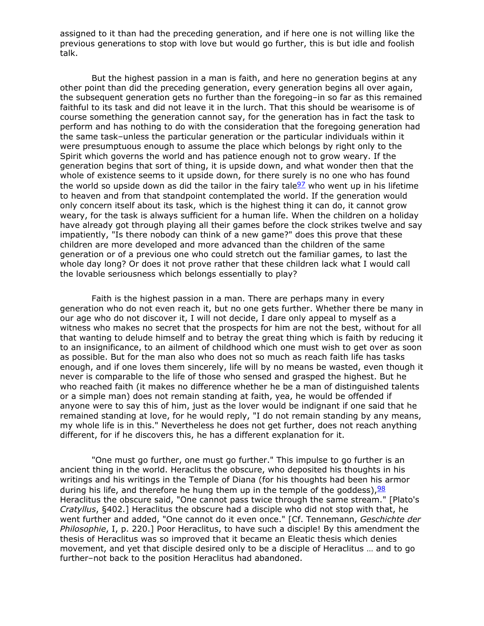assigned to it than had the preceding generation, and if here one is not willing like the previous generations to stop with love but would go further, this is but idle and foolish talk.

But the highest passion in a man is faith, and here no generation begins at any other point than did the preceding generation, every generation begins all over again, the subsequent generation gets no further than the foregoing–in so far as this remained faithful to its task and did not leave it in the lurch. That this should be wearisome is of course something the generation cannot say, for the generation has in fact the task to perform and has nothing to do with the consideration that the foregoing generation had the same task–unless the particular generation or the particular individuals within it were presumptuous enough to assume the place which belongs by right only to the Spirit which governs the world and has patience enough not to grow weary. If the generation begins that sort of thing, it is upside down, and what wonder then that the whole of existence seems to it upside down, for there surely is no one who has found the world so upside down as did the tailor in the fairy tale  $97$  who went up in his lifetime to heaven and from that standpoint contemplated the world. If the generation would only concern itself about its task, which is the highest thing it can do, it cannot grow weary, for the task is always sufficient for a human life. When the children on a holiday have already got through playing all their games before the clock strikes twelve and say impatiently, "Is there nobody can think of a new game?" does this prove that these children are more developed and more advanced than the children of the same generation or of a previous one who could stretch out the familiar games, to last the whole day long? Or does it not prove rather that these children lack what I would call the lovable seriousness which belongs essentially to play?

Faith is the highest passion in a man. There are perhaps many in every generation who do not even reach it, but no one gets further. Whether there be many in our age who do not discover it, I will not decide, I dare only appeal to myself as a witness who makes no secret that the prospects for him are not the best, without for all that wanting to delude himself and to betray the great thing which is faith by reducing it to an insignificance, to an ailment of childhood which one must wish to get over as soon as possible. But for the man also who does not so much as reach faith life has tasks enough, and if one loves them sincerely, life will by no means be wasted, even though it never is comparable to the life of those who sensed and grasped the highest. But he who reached faith (it makes no difference whether he be a man of distinguished talents or a simple man) does not remain standing at faith, yea, he would be offended if anyone were to say this of him, just as the lover would be indignant if one said that he remained standing at love, for he would reply, "I do not remain standing by any means, my whole life is in this." Nevertheless he does not get further, does not reach anything different, for if he discovers this, he has a different explanation for it.

"One must go further, one must go further." This impulse to go further is an ancient thing in the world. Heraclitus the obscure, who deposited his thoughts in his writings and his writings in the Temple of Diana (for his thoughts had been his armor during his life, and therefore he hung them up in the temple of the goddess),  $\frac{98}{9}$ Heraclitus the obscure said, "One cannot pass twice through the same stream." [Plato's *Cratyllus*, §402.] Heraclitus the obscure had a disciple who did not stop with that, he went further and added, "One cannot do it even once." [Cf. Tennemann, *Geschichte der Philosophie*, I, p. 220.] Poor Heraclitus, to have such a disciple! By this amendment the thesis of Heraclitus was so improved that it became an Eleatic thesis which denies movement, and yet that disciple desired only to be a disciple of Heraclitus … and to go further–not back to the position Heraclitus had abandoned.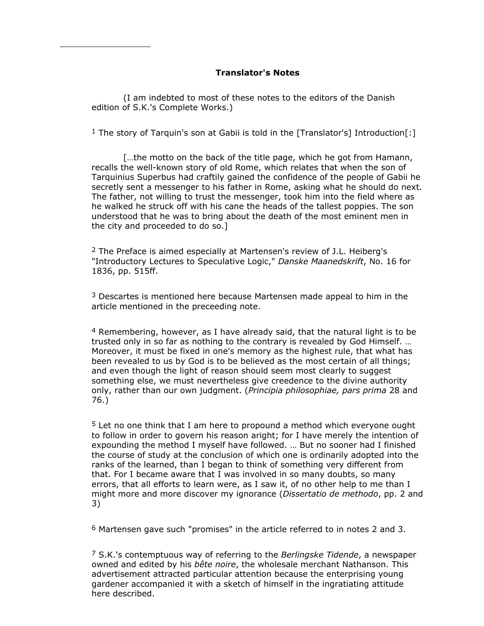#### **Translator's Notes**

(I am indebted to most of these notes to the editors of the Danish edition of S.K.'s Complete Works.)

<span id="page-61-0"></span><sup>1</sup> The story of Tarquin's son at Gabii is told in the [Translator's] Introduction[:]

[...the motto on the back of the title page, which he got from Hamann, recalls the well-known story of old Rome, which relates that when the son of Tarquinius Superbus had craftily gained the confidence of the people of Gabii he secretly sent a messenger to his father in Rome, asking what he should do next. The father, not willing to trust the messenger, took him into the field where as he walked he struck off with his cane the heads of the tallest poppies. The son understood that he was to bring about the death of the most eminent men in the city and proceeded to do so.]

<span id="page-61-1"></span>2 The Preface is aimed especially at Martensen's review of J.L. Heiberg's "Introductory Lectures to Speculative Logic," *Danske Maanedskrift*, No. 16 for 1836, pp. 515ff.

<span id="page-61-2"></span>3 Descartes is mentioned here because Martensen made appeal to him in the article mentioned in the preceeding note.

<span id="page-61-3"></span> $4$  Remembering, however, as I have already said, that the natural light is to be trusted only in so far as nothing to the contrary is revealed by God Himself. … Moreover, it must be fixed in one's memory as the highest rule, that what has been revealed to us by God is to be believed as the most certain of all things; and even though the light of reason should seem most clearly to suggest something else, we must nevertheless give creedence to the divine authority only, rather than our own judgment. (*Principia philosophiae, pars prima* 28 and 76.)

<span id="page-61-4"></span> $5$  Let no one think that I am here to propound a method which everyone ought to follow in order to govern his reason aright; for I have merely the intention of expounding the method I myself have followed. … But no sooner had I finished the course of study at the conclusion of which one is ordinarily adopted into the ranks of the learned, than I began to think of something very different from that. For I became aware that I was involved in so many doubts, so many errors, that all efforts to learn were, as I saw it, of no other help to me than I might more and more discover my ignorance (*Dissertatio de methodo*, pp. 2 and 3)

<span id="page-61-5"></span>6 Martensen gave such "promises" in the article referred to in notes 2 and 3.

<span id="page-61-6"></span>7 S.K.'s contemptuous way of referring to the *Berlingske Tidende*, a newspaper owned and edited by his *bête noire*, the wholesale merchant Nathanson. This advertisement attracted particular attention because the enterprising young gardener accompanied it with a sketch of himself in the ingratiating attitude here described.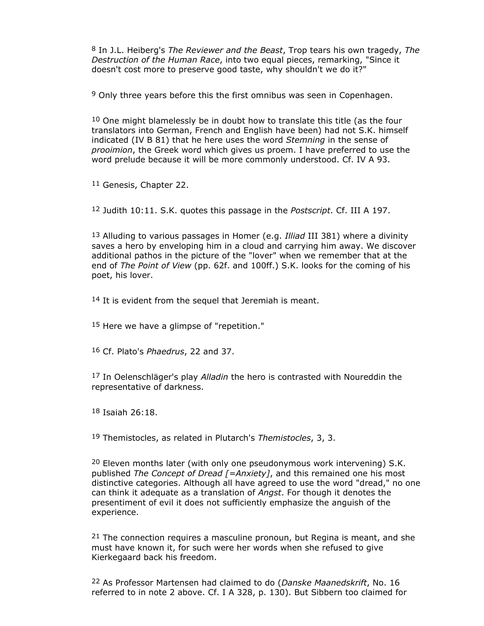<span id="page-62-0"></span>8 In J.L. Heiberg's *The Reviewer and the Beast*, Trop tears his own tragedy, *The Destruction of the Human Race*, into two equal pieces, remarking, "Since it doesn't cost more to preserve good taste, why shouldn't we do it?"

<span id="page-62-1"></span>9 Only three years before this the first omnibus was seen in Copenhagen.

10 One might blamelessly be in doubt how to translate this title (as the four translators into German, French and English have been) had not S.K. himself indicated (IV B 81) that he here uses the word *Stemning* in the sense of *prooimion*, the Greek word which gives us proem. I have preferred to use the word prelude because it will be more commonly understood. Cf. IV A 93.

<span id="page-62-2"></span>11 Genesis, Chapter 22.

<span id="page-62-3"></span>12 Judith 10:11. S.K. quotes this passage in the *Postscript*. Cf. III A 197.

<span id="page-62-4"></span>13 Alluding to various passages in Homer (e.g. *Illiad* III 381) where a divinity saves a hero by enveloping him in a cloud and carrying him away. We discover additional pathos in the picture of the "lover" when we remember that at the end of *The Point of View* (pp. 62f. and 100ff.) S.K. looks for the coming of his poet, his lover.

<span id="page-62-5"></span><sup>14</sup> It is evident from the sequel that Jeremiah is meant.

<span id="page-62-6"></span>15 Here we have a glimpse of "repetition."

<span id="page-62-7"></span>16 Cf. Plato's *Phaedrus*, 22 and 37.

<span id="page-62-8"></span>17 In Oelenschläger's play *Alladin* the hero is contrasted with Noureddin the representative of darkness.

<span id="page-62-9"></span>18 Isaiah 26:18.

<span id="page-62-10"></span>19 Themistocles, as related in Plutarch's *Themistocles*, 3, 3.

<span id="page-62-11"></span><sup>20</sup> Eleven months later (with only one pseudonymous work intervening) S.K. published *The Concept of Dread [=Anxiety]*, and this remained one his most distinctive categories. Although all have agreed to use the word "dread," no one can think it adequate as a translation of *Angst*. For though it denotes the presentiment of evil it does not sufficiently emphasize the anguish of the experience.

<span id="page-62-12"></span><sup>21</sup> The connection requires a masculine pronoun, but Regina is meant, and she must have known it, for such were her words when she refused to give Kierkegaard back his freedom.

<span id="page-62-13"></span>22 As Professor Martensen had claimed to do (*Danske Maanedskrift*, No. 16 referred to in note 2 above. Cf. I A 328, p. 130). But Sibbern too claimed for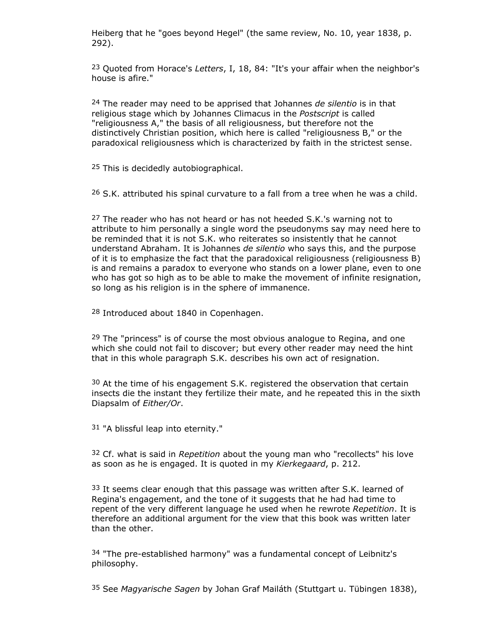Heiberg that he "goes beyond Hegel" (the same review, No. 10, year 1838, p. 292).

<span id="page-63-0"></span>23 Quoted from Horace's *Letters*, I, 18, 84: "It's your affair when the neighbor's house is afire."

<span id="page-63-1"></span>24 The reader may need to be apprised that Johannes *de silentio* is in that religious stage which by Johannes Climacus in the *Postscript* is called "religiousness A," the basis of all religiousness, but therefore not the distinctively Christian position, which here is called "religiousness B," or the paradoxical religiousness which is characterized by faith in the strictest sense.

<span id="page-63-2"></span>25 This is decidedly autobiographical.

<span id="page-63-3"></span> $26$  S.K. attributed his spinal curvature to a fall from a tree when he was a child.

<span id="page-63-4"></span><sup>27</sup> The reader who has not heard or has not heeded S.K.'s warning not to attribute to him personally a single word the pseudonyms say may need here to be reminded that it is not S.K. who reiterates so insistently that he cannot understand Abraham. It is Johannes *de silentio* who says this, and the purpose of it is to emphasize the fact that the paradoxical religiousness (religiousness B) is and remains a paradox to everyone who stands on a lower plane, even to one who has got so high as to be able to make the movement of infinite resignation, so long as his religion is in the sphere of immanence.

28 Introduced about 1840 in Copenhagen.

<span id="page-63-5"></span> $29$  The "princess" is of course the most obvious analogue to Regina, and one which she could not fail to discover; but every other reader may need the hint that in this whole paragraph S.K. describes his own act of resignation.

<span id="page-63-6"></span>30 At the time of his engagement S.K. registered the observation that certain insects die the instant they fertilize their mate, and he repeated this in the sixth Diapsalm of *Either/Or*.

<span id="page-63-7"></span>31 "A blissful leap into eternity."

<span id="page-63-8"></span>32 Cf. what is said in *Repetition* about the young man who "recollects" his love as soon as he is engaged. It is quoted in my *Kierkegaard*, p. 212.

<span id="page-63-9"></span><sup>33</sup> It seems clear enough that this passage was written after S.K. learned of Regina's engagement, and the tone of it suggests that he had had time to repent of the very different language he used when he rewrote *Repetition*. It is therefore an additional argument for the view that this book was written later than the other.

<span id="page-63-10"></span><sup>34</sup> "The pre-established harmony" was a fundamental concept of Leibnitz's philosophy.

<span id="page-63-11"></span>35 See *Magyarische Sagen* by Johan Graf Mailáth (Stuttgart u. Tübingen 1838),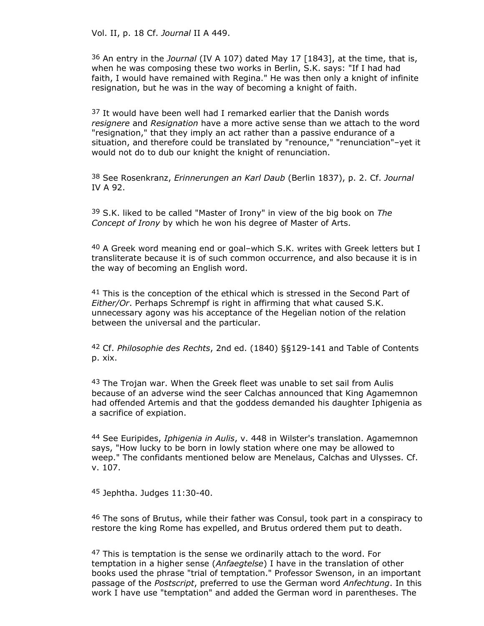Vol. II, p. 18 Cf. *Journal* II A 449.

<span id="page-64-0"></span>36 An entry in the *Journal* (IV A 107) dated May 17 [1843], at the time, that is, when he was composing these two works in Berlin, S.K. says: "If I had had faith, I would have remained with Regina." He was then only a knight of infinite resignation, but he was in the way of becoming a knight of faith.

<span id="page-64-1"></span> $37$  It would have been well had I remarked earlier that the Danish words *resignere* and *Resignation* have a more active sense than we attach to the word "resignation," that they imply an act rather than a passive endurance of a situation, and therefore could be translated by "renounce," "renunciation"–yet it would not do to dub our knight the knight of renunciation.

<span id="page-64-2"></span>38 See Rosenkranz, *Erinnerungen an Karl Daub* (Berlin 1837), p. 2. Cf. *Journal* IV A 92.

<span id="page-64-3"></span>39 S.K. liked to be called "Master of Irony" in view of the big book on *The Concept of Irony* by which he won his degree of Master of Arts.

<span id="page-64-4"></span>40 A Greek word meaning end or goal–which S.K. writes with Greek letters but I transliterate because it is of such common occurrence, and also because it is in the way of becoming an English word.

<span id="page-64-5"></span>41 This is the conception of the ethical which is stressed in the Second Part of *Either/Or*. Perhaps Schrempf is right in affirming that what caused S.K. unnecessary agony was his acceptance of the Hegelian notion of the relation between the universal and the particular.

<span id="page-64-6"></span>42 Cf. *Philosophie des Rechts*, 2nd ed. (1840) §§129-141 and Table of Contents p. xix.

<span id="page-64-7"></span>43 The Trojan war. When the Greek fleet was unable to set sail from Aulis because of an adverse wind the seer Calchas announced that King Agamemnon had offended Artemis and that the goddess demanded his daughter Iphigenia as a sacrifice of expiation.

<span id="page-64-8"></span>44 See Euripides, *Iphigenia in Aulis*, v. 448 in Wilster's translation. Agamemnon says, "How lucky to be born in lowly station where one may be allowed to weep." The confidants mentioned below are Menelaus, Calchas and Ulysses. Cf. v. 107.

<span id="page-64-9"></span>45 Jephtha. Judges 11:30-40.

<span id="page-64-10"></span>46 The sons of Brutus, while their father was Consul, took part in a conspiracy to restore the king Rome has expelled, and Brutus ordered them put to death.

<span id="page-64-11"></span><sup>47</sup> This is temptation is the sense we ordinarily attach to the word. For temptation in a higher sense (*Anfaegtelse*) I have in the translation of other books used the phrase "trial of temptation." Professor Swenson, in an important passage of the *Postscript*, preferred to use the German word *Anfechtung*. In this work I have use "temptation" and added the German word in parentheses. The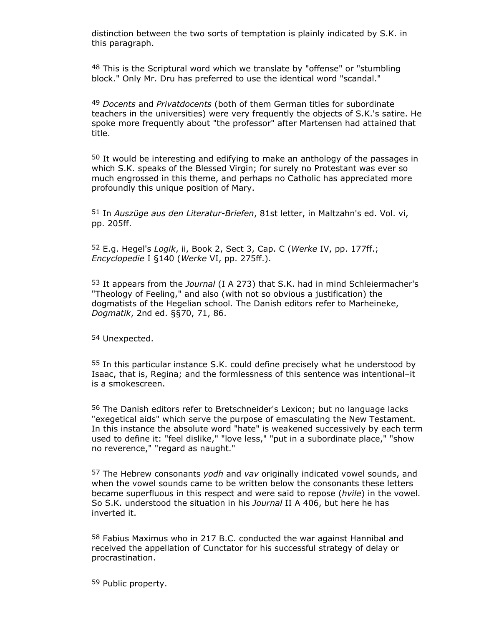distinction between the two sorts of temptation is plainly indicated by S.K. in this paragraph.

<span id="page-65-0"></span>48 This is the Scriptural word which we translate by "offense" or "stumbling block." Only Mr. Dru has preferred to use the identical word "scandal."

<span id="page-65-1"></span>49 *Docents* and *Privatdocents* (both of them German titles for subordinate teachers in the universities) were very frequently the objects of S.K.'s satire. He spoke more frequently about "the professor" after Martensen had attained that title.

<span id="page-65-2"></span>50 It would be interesting and edifying to make an anthology of the passages in which S.K. speaks of the Blessed Virgin; for surely no Protestant was ever so much engrossed in this theme, and perhaps no Catholic has appreciated more profoundly this unique position of Mary.

<span id="page-65-3"></span>51 In *Auszüge aus den Literatur-Briefen*, 81st letter, in Maltzahn's ed. Vol. vi, pp. 205ff.

<span id="page-65-4"></span>52 E.g. Hegel's *Logik*, ii, Book 2, Sect 3, Cap. C (*Werke* IV, pp. 177ff.; *Encyclopedie* I §140 (*Werke* VI, pp. 275ff.).

<span id="page-65-5"></span>53 It appears from the *Journal* (I A 273) that S.K. had in mind Schleiermacher's "Theology of Feeling," and also (with not so obvious a justification) the dogmatists of the Hegelian school. The Danish editors refer to Marheineke, *Dogmatik*, 2nd ed. §§70, 71, 86.

<span id="page-65-6"></span>54 Unexpected.

<span id="page-65-7"></span>55 In this particular instance S.K. could define precisely what he understood by Isaac, that is, Regina; and the formlessness of this sentence was intentional–it is a smokescreen.

<span id="page-65-8"></span>56 The Danish editors refer to Bretschneider's Lexicon; but no language lacks "exegetical aids" which serve the purpose of emasculating the New Testament. In this instance the absolute word "hate" is weakened successively by each term used to define it: "feel dislike," "love less," "put in a subordinate place," "show no reverence," "regard as naught."

<span id="page-65-9"></span>57 The Hebrew consonants *yodh* and *vav* originally indicated vowel sounds, and when the vowel sounds came to be written below the consonants these letters became superfluous in this respect and were said to repose (*hvile*) in the vowel. So S.K. understood the situation in his *Journal* II A 406, but here he has inverted it.

<span id="page-65-10"></span>58 Fabius Maximus who in 217 B.C. conducted the war against Hannibal and received the appellation of Cunctator for his successful strategy of delay or procrastination.

<span id="page-65-11"></span>59 Public property.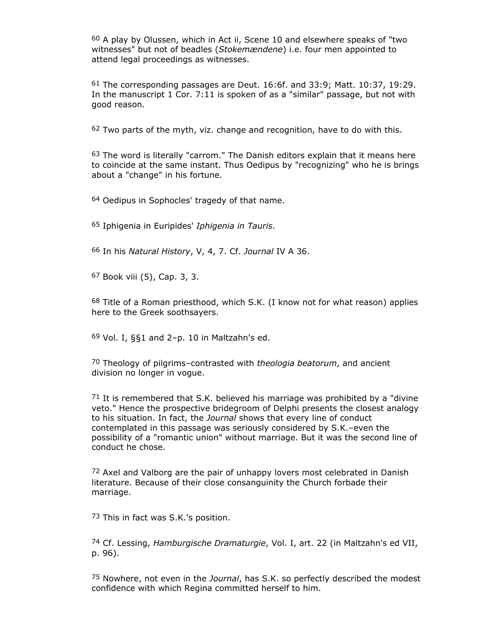<span id="page-66-0"></span>60 A play by Olussen, which in Act ii, Scene 10 and elsewhere speaks of "two witnesses" but not of beadles (*Stokemændene*) i.e. four men appointed to attend legal proceedings as witnesses.

<span id="page-66-1"></span> $61$  The corresponding passages are Deut. 16:6f. and 33:9; Matt. 10:37, 19:29. In the manuscript 1 Cor. 7:11 is spoken of as a "similar" passage, but not with good reason.

<span id="page-66-2"></span> $62$  Two parts of the myth, viz. change and recognition, have to do with this.

<span id="page-66-3"></span>63 The word is literally "carrom." The Danish editors explain that it means here to coincide at the same instant. Thus Oedipus by "recognizing" who he is brings about a "change" in his fortune.

<span id="page-66-4"></span>64 Oedipus in Sophocles' tragedy of that name.

<span id="page-66-5"></span>65 Iphigenia in Euripides' *Iphigenia in Tauris*.

<span id="page-66-6"></span>66 In his *Natural History*, V, 4, 7. Cf. *Journal* IV A 36.

<span id="page-66-9"></span>67 Book viii (5), Cap. 3, 3.

<span id="page-66-10"></span> $68$  Title of a Roman priesthood, which S.K. (I know not for what reason) applies here to the Greek soothsayers.

<span id="page-66-7"></span>69 Vol. I, §§1 and 2–p. 10 in Maltzahn's ed.

<span id="page-66-8"></span>70 Theology of pilgrims–contrasted with *theologia beatorum*, and ancient division no longer in vogue.

<span id="page-66-11"></span> $71$  It is remembered that S.K. believed his marriage was prohibited by a "divine" veto." Hence the prospective bridegroom of Delphi presents the closest analogy to his situation. In fact, the *Journal* shows that every line of conduct contemplated in this passage was seriously considered by S.K.–even the possibility of a "romantic union" without marriage. But it was the second line of conduct he chose.

<span id="page-66-12"></span><sup>72</sup> Axel and Valborg are the pair of unhappy lovers most celebrated in Danish literature. Because of their close consanguinity the Church forbade their marriage.

<span id="page-66-13"></span>73 This in fact was S.K.'s position.

<span id="page-66-14"></span>74 Cf. Lessing, *Hamburgische Dramaturgie*, Vol. I, art. 22 (in Maltzahn's ed VII, p. 96).

<span id="page-66-15"></span>75 Nowhere, not even in the *Journal*, has S.K. so perfectly described the modest confidence with which Regina committed herself to him.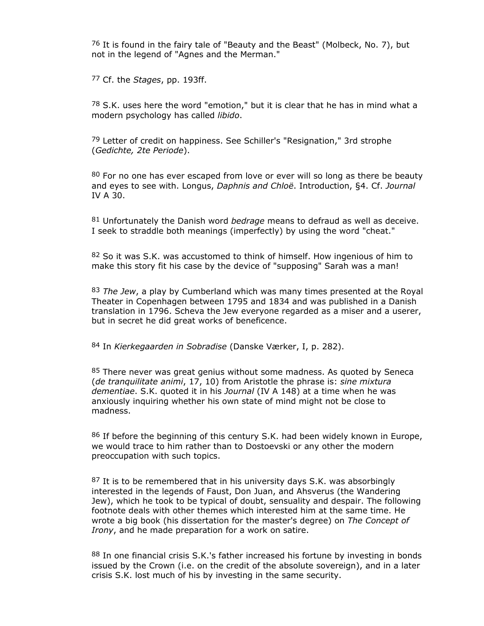<span id="page-67-0"></span> $76$  It is found in the fairy tale of "Beauty and the Beast" (Molbeck, No. 7), but not in the legend of "Agnes and the Merman."

<span id="page-67-1"></span>77 Cf. the *Stages*, pp. 193ff.

<span id="page-67-2"></span> $78$  S.K. uses here the word "emotion," but it is clear that he has in mind what a modern psychology has called *libido*.

<span id="page-67-3"></span>79 Letter of credit on happiness. See Schiller's "Resignation," 3rd strophe (*Gedichte, 2te Periode*).

<span id="page-67-4"></span>80 For no one has ever escaped from love or ever will so long as there be beauty and eyes to see with. Longus, *Daphnis and Chloë*. Introduction, §4. Cf. *Journal* IV A 30.

<span id="page-67-5"></span>81 Unfortunately the Danish word *bedrage* means to defraud as well as deceive. I seek to straddle both meanings (imperfectly) by using the word "cheat."

<span id="page-67-6"></span>82 So it was S.K. was accustomed to think of himself. How ingenious of him to make this story fit his case by the device of "supposing" Sarah was a man!

<span id="page-67-7"></span>83 *The Jew*, a play by Cumberland which was many times presented at the Royal Theater in Copenhagen between 1795 and 1834 and was published in a Danish translation in 1796. Scheva the Jew everyone regarded as a miser and a userer, but in secret he did great works of beneficence.

<span id="page-67-8"></span>84 In *Kierkegaarden in Sobradise* (Danske Værker, I, p. 282).

<span id="page-67-9"></span>85 There never was great genius without some madness. As guoted by Seneca (*de tranquilitate animi*, 17, 10) from Aristotle the phrase is: *sine mixtura dementiae*. S.K. quoted it in his *Journal* (IV A 148) at a time when he was anxiously inquiring whether his own state of mind might not be close to madness.

<span id="page-67-10"></span>86 If before the beginning of this century S.K. had been widely known in Europe, we would trace to him rather than to Dostoevski or any other the modern preoccupation with such topics.

<span id="page-67-11"></span> $87$  It is to be remembered that in his university days S.K. was absorbingly interested in the legends of Faust, Don Juan, and Ahsverus (the Wandering Jew), which he took to be typical of doubt, sensuality and despair. The following footnote deals with other themes which interested him at the same time. He wrote a big book (his dissertation for the master's degree) on *The Concept of Irony*, and he made preparation for a work on satire.

<span id="page-67-13"></span><span id="page-67-12"></span>88 In one financial crisis S.K.'s father increased his fortune by investing in bonds issued by the Crown (i.e. on the credit of the absolute sovereign), and in a later crisis S.K. lost much of his by investing in the same security.